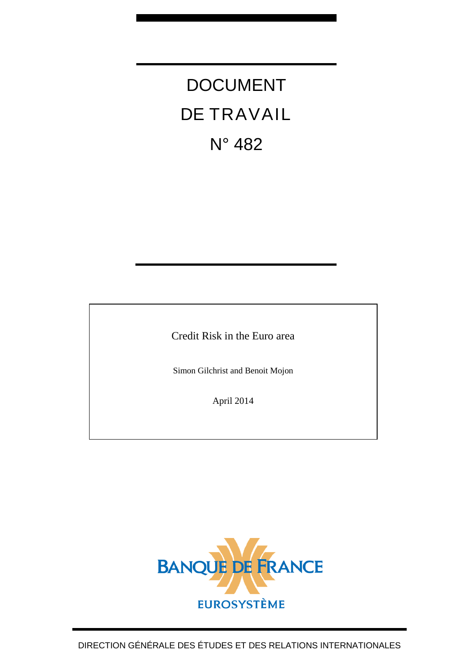# DOCUMENT DE TRAVAIL N° 482

Credit Risk in the Euro area

Simon Gilchrist and Benoit Mojon

April 2014

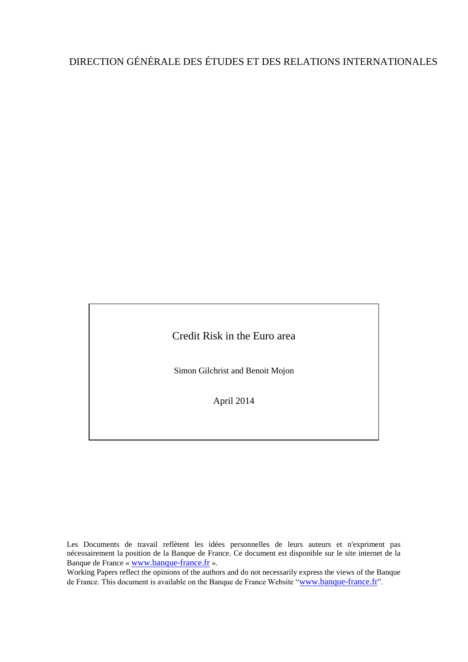# DIRECTION GÉNÉRALE DES ÉTUDES ET DES RELATIONS INTERNATIONALES

Credit Risk in the Euro area

Simon Gilchrist and Benoit Mojon

April 2014

Les Documents de travail reflètent les idées personnelles de leurs auteurs et n'expriment pas nécessairement la position de la Banque de France. Ce document est disponible sur le site internet de la Banque de France « [www.banque-france.fr](http://www.banque-france.fr/) ».

Working Papers reflect the opinions of the authors and do not necessarily express the views of the Banque de France. This document is available on the Banque de France Website "[www.banque-france.fr](http://www.banque-france.fr/)".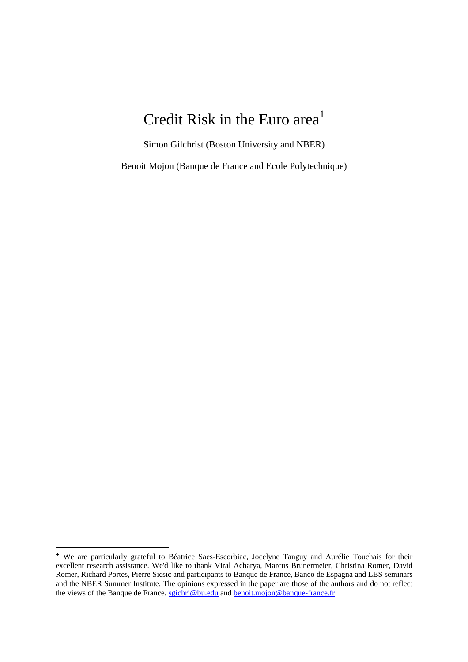# Credit Risk in the Euro area<sup>1</sup>

Simon Gilchrist (Boston University and NBER)

Benoit Mojon (Banque de France and Ecole Polytechnique)

1

We are particularly grateful to Béatrice Saes-Escorbiac, Jocelyne Tanguy and Aurélie Touchais for their excellent research assistance. We'd like to thank Viral Acharya, Marcus Brunermeier, Christina Romer, David Romer, Richard Portes, Pierre Sicsic and participants to Banque de France, Banco de Espagna and LBS seminars and the NBER Summer Institute. The opinions expressed in the paper are those of the authors and do not reflect the views of the Banque de France. sgichri@bu.edu and **benoit.mojon@banque-france.fr**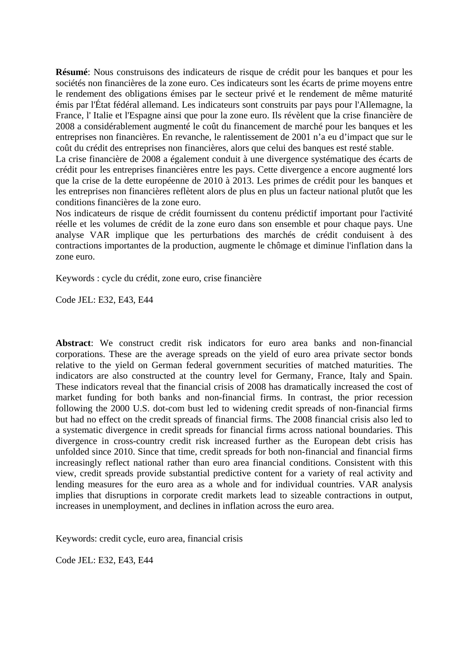**Résumé**: Nous construisons des indicateurs de risque de crédit pour les banques et pour les sociétés non financières de la zone euro. Ces indicateurs sont les écarts de prime moyens entre le rendement des obligations émises par le secteur privé et le rendement de même maturité émis par l'État fédéral allemand. Les indicateurs sont construits par pays pour l'Allemagne, la France, l' Italie et l'Espagne ainsi que pour la zone euro. Ils révèlent que la crise financière de 2008 a considérablement augmenté le coût du financement de marché pour les banques et les entreprises non financières. En revanche, le ralentissement de 2001 n'a eu d'impact que sur le coût du crédit des entreprises non financières, alors que celui des banques est resté stable.

La crise financière de 2008 a également conduit à une divergence systématique des écarts de crédit pour les entreprises financières entre les pays. Cette divergence a encore augmenté lors que la crise de la dette européenne de 2010 à 2013. Les primes de crédit pour les banques et les entreprises non financières reflètent alors de plus en plus un facteur national plutôt que les conditions financières de la zone euro.

Nos indicateurs de risque de crédit fournissent du contenu prédictif important pour l'activité réelle et les volumes de crédit de la zone euro dans son ensemble et pour chaque pays. Une analyse VAR implique que les perturbations des marchés de crédit conduisent à des contractions importantes de la production, augmente le chômage et diminue l'inflation dans la zone euro.

Keywords : cycle du crédit, zone euro, crise financière

Code JEL: E32, E43, E44

**Abstract**: We construct credit risk indicators for euro area banks and non-financial corporations. These are the average spreads on the yield of euro area private sector bonds relative to the yield on German federal government securities of matched maturities. The indicators are also constructed at the country level for Germany, France, Italy and Spain. These indicators reveal that the financial crisis of 2008 has dramatically increased the cost of market funding for both banks and non-financial firms. In contrast, the prior recession following the 2000 U.S. dot-com bust led to widening credit spreads of non-financial firms but had no effect on the credit spreads of financial firms. The 2008 financial crisis also led to a systematic divergence in credit spreads for financial firms across national boundaries. This divergence in cross-country credit risk increased further as the European debt crisis has unfolded since 2010. Since that time, credit spreads for both non-financial and financial firms increasingly reflect national rather than euro area financial conditions. Consistent with this view, credit spreads provide substantial predictive content for a variety of real activity and lending measures for the euro area as a whole and for individual countries. VAR analysis implies that disruptions in corporate credit markets lead to sizeable contractions in output, increases in unemployment, and declines in inflation across the euro area.

Keywords: credit cycle, euro area, financial crisis

Code JEL: E32, E43, E44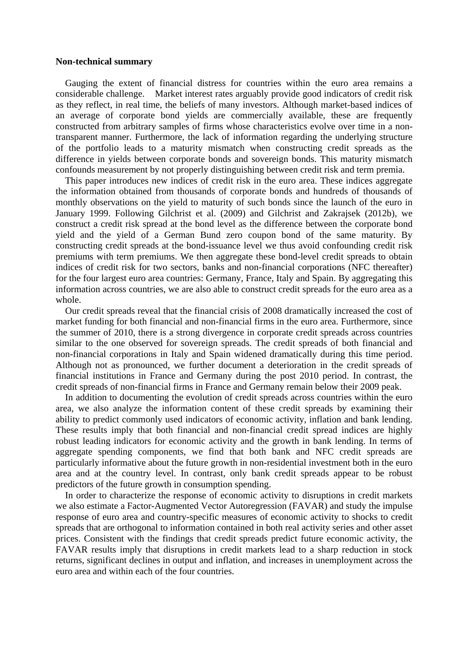#### **Non-technical summary**

 Gauging the extent of financial distress for countries within the euro area remains a considerable challenge. Market interest rates arguably provide good indicators of credit risk as they reflect, in real time, the beliefs of many investors. Although market-based indices of an average of corporate bond yields are commercially available, these are frequently constructed from arbitrary samples of firms whose characteristics evolve over time in a nontransparent manner. Furthermore, the lack of information regarding the underlying structure of the portfolio leads to a maturity mismatch when constructing credit spreads as the difference in yields between corporate bonds and sovereign bonds. This maturity mismatch confounds measurement by not properly distinguishing between credit risk and term premia.

 This paper introduces new indices of credit risk in the euro area. These indices aggregate the information obtained from thousands of corporate bonds and hundreds of thousands of monthly observations on the yield to maturity of such bonds since the launch of the euro in January 1999. Following Gilchrist et al. (2009) and Gilchrist and Zakrajsek (2012b), we construct a credit risk spread at the bond level as the difference between the corporate bond yield and the yield of a German Bund zero coupon bond of the same maturity. By constructing credit spreads at the bond-issuance level we thus avoid confounding credit risk premiums with term premiums. We then aggregate these bond-level credit spreads to obtain indices of credit risk for two sectors, banks and non-financial corporations (NFC thereafter) for the four largest euro area countries: Germany, France, Italy and Spain. By aggregating this information across countries, we are also able to construct credit spreads for the euro area as a whole.

 Our credit spreads reveal that the financial crisis of 2008 dramatically increased the cost of market funding for both financial and non-financial firms in the euro area. Furthermore, since the summer of 2010, there is a strong divergence in corporate credit spreads across countries similar to the one observed for sovereign spreads. The credit spreads of both financial and non-financial corporations in Italy and Spain widened dramatically during this time period. Although not as pronounced, we further document a deterioration in the credit spreads of financial institutions in France and Germany during the post 2010 period. In contrast, the credit spreads of non-financial firms in France and Germany remain below their 2009 peak.

 In addition to documenting the evolution of credit spreads across countries within the euro area, we also analyze the information content of these credit spreads by examining their ability to predict commonly used indicators of economic activity, inflation and bank lending. These results imply that both financial and non-financial credit spread indices are highly robust leading indicators for economic activity and the growth in bank lending. In terms of aggregate spending components, we find that both bank and NFC credit spreads are particularly informative about the future growth in non-residential investment both in the euro area and at the country level. In contrast, only bank credit spreads appear to be robust predictors of the future growth in consumption spending.

 In order to characterize the response of economic activity to disruptions in credit markets we also estimate a Factor-Augmented Vector Autoregression (FAVAR) and study the impulse response of euro area and country-specific measures of economic activity to shocks to credit spreads that are orthogonal to information contained in both real activity series and other asset prices. Consistent with the findings that credit spreads predict future economic activity, the FAVAR results imply that disruptions in credit markets lead to a sharp reduction in stock returns, significant declines in output and inflation, and increases in unemployment across the euro area and within each of the four countries.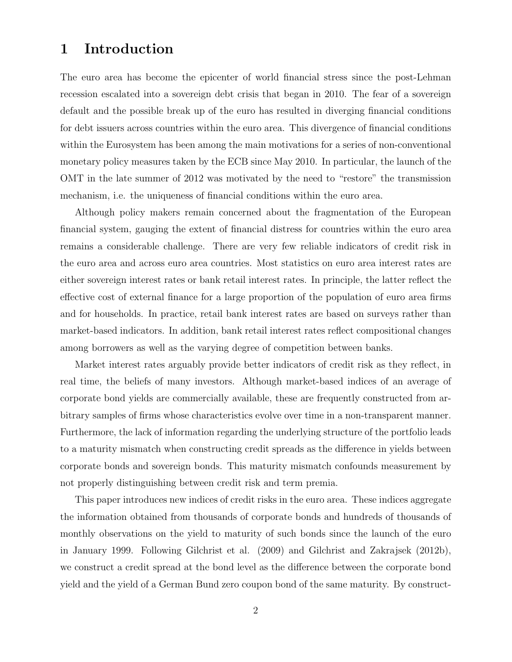# 1 Introduction

The euro area has become the epicenter of world financial stress since the post-Lehman recession escalated into a sovereign debt crisis that began in 2010. The fear of a sovereign default and the possible break up of the euro has resulted in diverging financial conditions for debt issuers across countries within the euro area. This divergence of financial conditions within the Eurosystem has been among the main motivations for a series of non-conventional monetary policy measures taken by the ECB since May 2010. In particular, the launch of the OMT in the late summer of 2012 was motivated by the need to "restore" the transmission mechanism, i.e. the uniqueness of financial conditions within the euro area.

Although policy makers remain concerned about the fragmentation of the European financial system, gauging the extent of financial distress for countries within the euro area remains a considerable challenge. There are very few reliable indicators of credit risk in the euro area and across euro area countries. Most statistics on euro area interest rates are either sovereign interest rates or bank retail interest rates. In principle, the latter reflect the effective cost of external finance for a large proportion of the population of euro area firms and for households. In practice, retail bank interest rates are based on surveys rather than market-based indicators. In addition, bank retail interest rates reflect compositional changes among borrowers as well as the varying degree of competition between banks.

Market interest rates arguably provide better indicators of credit risk as they reflect, in real time, the beliefs of many investors. Although market-based indices of an average of corporate bond yields are commercially available, these are frequently constructed from arbitrary samples of firms whose characteristics evolve over time in a non-transparent manner. Furthermore, the lack of information regarding the underlying structure of the portfolio leads to a maturity mismatch when constructing credit spreads as the difference in yields between corporate bonds and sovereign bonds. This maturity mismatch confounds measurement by not properly distinguishing between credit risk and term premia.

This paper introduces new indices of credit risks in the euro area. These indices aggregate the information obtained from thousands of corporate bonds and hundreds of thousands of monthly observations on the yield to maturity of such bonds since the launch of the euro in January 1999. Following Gilchrist et al. (2009) and Gilchrist and Zakrajsek (2012b), we construct a credit spread at the bond level as the difference between the corporate bond yield and the yield of a German Bund zero coupon bond of the same maturity. By construct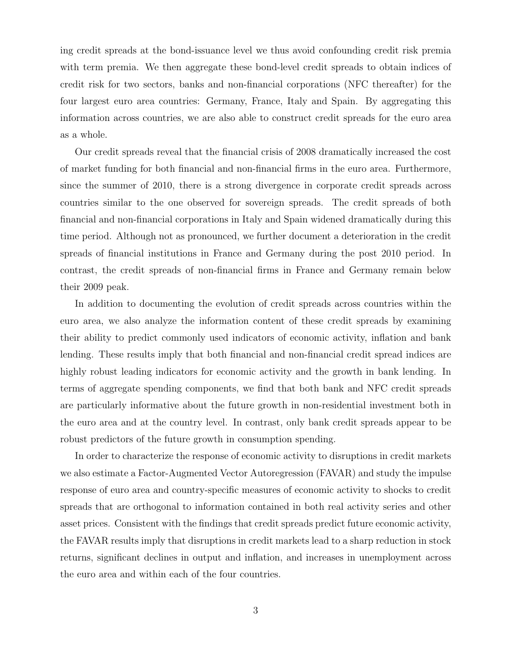ing credit spreads at the bond-issuance level we thus avoid confounding credit risk premia with term premia. We then aggregate these bond-level credit spreads to obtain indices of credit risk for two sectors, banks and non-financial corporations (NFC thereafter) for the four largest euro area countries: Germany, France, Italy and Spain. By aggregating this information across countries, we are also able to construct credit spreads for the euro area as a whole.

Our credit spreads reveal that the financial crisis of 2008 dramatically increased the cost of market funding for both financial and non-financial firms in the euro area. Furthermore, since the summer of 2010, there is a strong divergence in corporate credit spreads across countries similar to the one observed for sovereign spreads. The credit spreads of both financial and non-financial corporations in Italy and Spain widened dramatically during this time period. Although not as pronounced, we further document a deterioration in the credit spreads of financial institutions in France and Germany during the post 2010 period. In contrast, the credit spreads of non-financial firms in France and Germany remain below their 2009 peak.

In addition to documenting the evolution of credit spreads across countries within the euro area, we also analyze the information content of these credit spreads by examining their ability to predict commonly used indicators of economic activity, inflation and bank lending. These results imply that both financial and non-financial credit spread indices are highly robust leading indicators for economic activity and the growth in bank lending. In terms of aggregate spending components, we find that both bank and NFC credit spreads are particularly informative about the future growth in non-residential investment both in the euro area and at the country level. In contrast, only bank credit spreads appear to be robust predictors of the future growth in consumption spending.

In order to characterize the response of economic activity to disruptions in credit markets we also estimate a Factor-Augmented Vector Autoregression (FAVAR) and study the impulse response of euro area and country-specific measures of economic activity to shocks to credit spreads that are orthogonal to information contained in both real activity series and other asset prices. Consistent with the findings that credit spreads predict future economic activity, the FAVAR results imply that disruptions in credit markets lead to a sharp reduction in stock returns, significant declines in output and inflation, and increases in unemployment across the euro area and within each of the four countries.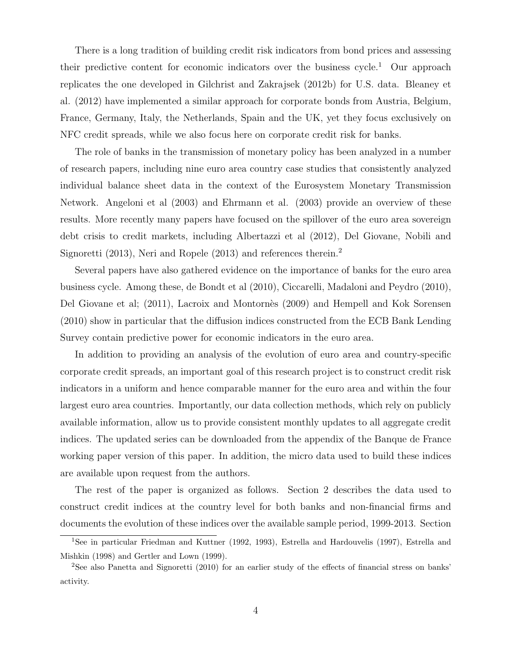There is a long tradition of building credit risk indicators from bond prices and assessing their predictive content for economic indicators over the business cycle.<sup>1</sup> Our approach replicates the one developed in Gilchrist and Zakrajsek (2012b) for U.S. data. Bleaney et al. (2012) have implemented a similar approach for corporate bonds from Austria, Belgium, France, Germany, Italy, the Netherlands, Spain and the UK, yet they focus exclusively on NFC credit spreads, while we also focus here on corporate credit risk for banks.

The role of banks in the transmission of monetary policy has been analyzed in a number of research papers, including nine euro area country case studies that consistently analyzed individual balance sheet data in the context of the Eurosystem Monetary Transmission Network. Angeloni et al (2003) and Ehrmann et al. (2003) provide an overview of these results. More recently many papers have focused on the spillover of the euro area sovereign debt crisis to credit markets, including Albertazzi et al (2012), Del Giovane, Nobili and Signoretti (2013), Neri and Ropele (2013) and references therein.<sup>2</sup>

Several papers have also gathered evidence on the importance of banks for the euro area business cycle. Among these, de Bondt et al (2010), Ciccarelli, Madaloni and Peydro (2010), Del Giovane et al; (2011), Lacroix and Montorn`es (2009) and Hempell and Kok Sorensen (2010) show in particular that the diffusion indices constructed from the ECB Bank Lending Survey contain predictive power for economic indicators in the euro area.

In addition to providing an analysis of the evolution of euro area and country-specific corporate credit spreads, an important goal of this research project is to construct credit risk indicators in a uniform and hence comparable manner for the euro area and within the four largest euro area countries. Importantly, our data collection methods, which rely on publicly available information, allow us to provide consistent monthly updates to all aggregate credit indices. The updated series can be downloaded from the appendix of the Banque de France working paper version of this paper. In addition, the micro data used to build these indices are available upon request from the authors.

The rest of the paper is organized as follows. Section 2 describes the data used to construct credit indices at the country level for both banks and non-financial firms and documents the evolution of these indices over the available sample period, 1999-2013. Section

<sup>&</sup>lt;sup>1</sup>See in particular Friedman and Kuttner (1992, 1993), Estrella and Hardouvelis (1997), Estrella and Mishkin (1998) and Gertler and Lown (1999).

<sup>&</sup>lt;sup>2</sup>See also Panetta and Signoretti (2010) for an earlier study of the effects of financial stress on banks' activity.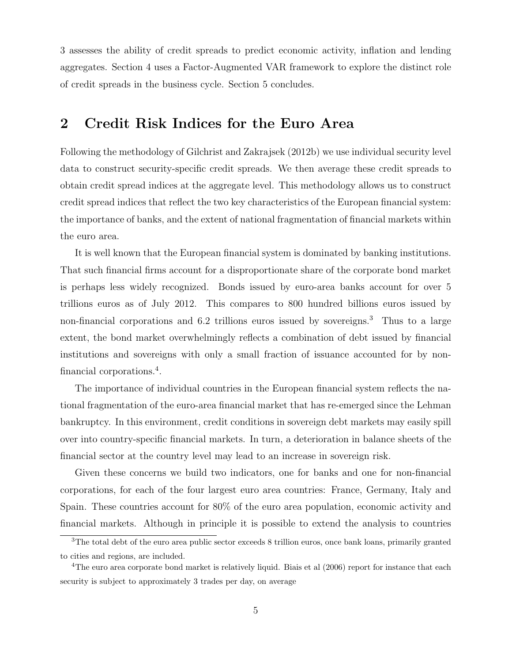3 assesses the ability of credit spreads to predict economic activity, inflation and lending aggregates. Section 4 uses a Factor-Augmented VAR framework to explore the distinct role of credit spreads in the business cycle. Section 5 concludes.

# 2 Credit Risk Indices for the Euro Area

Following the methodology of Gilchrist and Zakrajsek (2012b) we use individual security level data to construct security-specific credit spreads. We then average these credit spreads to obtain credit spread indices at the aggregate level. This methodology allows us to construct credit spread indices that reflect the two key characteristics of the European financial system: the importance of banks, and the extent of national fragmentation of financial markets within the euro area.

It is well known that the European financial system is dominated by banking institutions. That such financial firms account for a disproportionate share of the corporate bond market is perhaps less widely recognized. Bonds issued by euro-area banks account for over 5 trillions euros as of July 2012. This compares to 800 hundred billions euros issued by non-financial corporations and 6.2 trillions euros issued by sovereigns.<sup>3</sup> Thus to a large extent, the bond market overwhelmingly reflects a combination of debt issued by financial institutions and sovereigns with only a small fraction of issuance accounted for by nonfinancial corporations.<sup>4</sup> .

The importance of individual countries in the European financial system reflects the national fragmentation of the euro-area financial market that has re-emerged since the Lehman bankruptcy. In this environment, credit conditions in sovereign debt markets may easily spill over into country-specific financial markets. In turn, a deterioration in balance sheets of the financial sector at the country level may lead to an increase in sovereign risk.

Given these concerns we build two indicators, one for banks and one for non-financial corporations, for each of the four largest euro area countries: France, Germany, Italy and Spain. These countries account for 80% of the euro area population, economic activity and financial markets. Although in principle it is possible to extend the analysis to countries

<sup>&</sup>lt;sup>3</sup>The total debt of the euro area public sector exceeds 8 trillion euros, once bank loans, primarily granted to cities and regions, are included.

<sup>&</sup>lt;sup>4</sup>The euro area corporate bond market is relatively liquid. Biais et al (2006) report for instance that each security is subject to approximately 3 trades per day, on average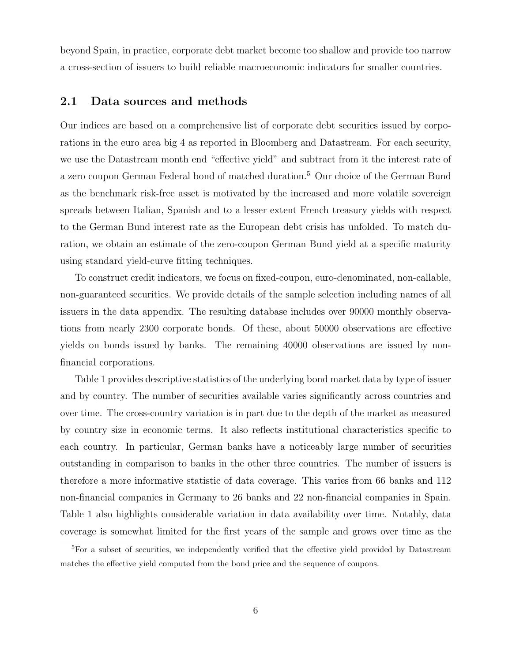beyond Spain, in practice, corporate debt market become too shallow and provide too narrow a cross-section of issuers to build reliable macroeconomic indicators for smaller countries.

### 2.1 Data sources and methods

Our indices are based on a comprehensive list of corporate debt securities issued by corporations in the euro area big 4 as reported in Bloomberg and Datastream. For each security, we use the Datastream month end "effective yield" and subtract from it the interest rate of a zero coupon German Federal bond of matched duration.<sup>5</sup> Our choice of the German Bund as the benchmark risk-free asset is motivated by the increased and more volatile sovereign spreads between Italian, Spanish and to a lesser extent French treasury yields with respect to the German Bund interest rate as the European debt crisis has unfolded. To match duration, we obtain an estimate of the zero-coupon German Bund yield at a specific maturity using standard yield-curve fitting techniques.

To construct credit indicators, we focus on fixed-coupon, euro-denominated, non-callable, non-guaranteed securities. We provide details of the sample selection including names of all issuers in the data appendix. The resulting database includes over 90000 monthly observations from nearly 2300 corporate bonds. Of these, about 50000 observations are effective yields on bonds issued by banks. The remaining 40000 observations are issued by nonfinancial corporations.

Table 1 provides descriptive statistics of the underlying bond market data by type of issuer and by country. The number of securities available varies significantly across countries and over time. The cross-country variation is in part due to the depth of the market as measured by country size in economic terms. It also reflects institutional characteristics specific to each country. In particular, German banks have a noticeably large number of securities outstanding in comparison to banks in the other three countries. The number of issuers is therefore a more informative statistic of data coverage. This varies from 66 banks and 112 non-financial companies in Germany to 26 banks and 22 non-financial companies in Spain. Table 1 also highlights considerable variation in data availability over time. Notably, data coverage is somewhat limited for the first years of the sample and grows over time as the

<sup>&</sup>lt;sup>5</sup>For a subset of securities, we independently verified that the effective yield provided by Datastream matches the effective yield computed from the bond price and the sequence of coupons.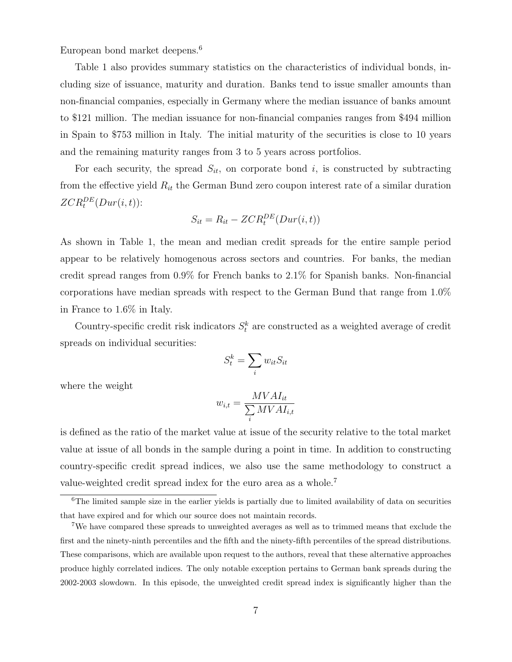European bond market deepens.<sup>6</sup>

Table 1 also provides summary statistics on the characteristics of individual bonds, including size of issuance, maturity and duration. Banks tend to issue smaller amounts than non-financial companies, especially in Germany where the median issuance of banks amount to \$121 million. The median issuance for non-financial companies ranges from \$494 million in Spain to \$753 million in Italy. The initial maturity of the securities is close to 10 years and the remaining maturity ranges from 3 to 5 years across portfolios.

For each security, the spread  $S_{it}$ , on corporate bond i, is constructed by subtracting from the effective yield  $R_{it}$  the German Bund zero coupon interest rate of a similar duration  $\mathit{ZCR}^{DE}_t(Dur(i,t))$ :

$$
S_{it} = R_{it} - ZCR_t^{DE}(Dur(i, t))
$$

As shown in Table 1, the mean and median credit spreads for the entire sample period appear to be relatively homogenous across sectors and countries. For banks, the median credit spread ranges from 0.9% for French banks to 2.1% for Spanish banks. Non-financial corporations have median spreads with respect to the German Bund that range from 1.0% in France to 1.6% in Italy.

Country-specific credit risk indicators  $S_t^k$  are constructed as a weighted average of credit spreads on individual securities:

$$
S_t^k = \sum_i w_{it} S_{it}
$$

where the weight

$$
w_{i,t} = \frac{MVAL_{it}}{\sum_{i} MVAL_{i,t}}
$$

is defined as the ratio of the market value at issue of the security relative to the total market value at issue of all bonds in the sample during a point in time. In addition to constructing country-specific credit spread indices, we also use the same methodology to construct a value-weighted credit spread index for the euro area as a whole.<sup>7</sup>

<sup>&</sup>lt;sup>6</sup>The limited sample size in the earlier yields is partially due to limited availability of data on securities that have expired and for which our source does not maintain records.

<sup>7</sup>We have compared these spreads to unweighted averages as well as to trimmed means that exclude the first and the ninety-ninth percentiles and the fifth and the ninety-fifth percentiles of the spread distributions. These comparisons, which are available upon request to the authors, reveal that these alternative approaches produce highly correlated indices. The only notable exception pertains to German bank spreads during the 2002-2003 slowdown. In this episode, the unweighted credit spread index is significantly higher than the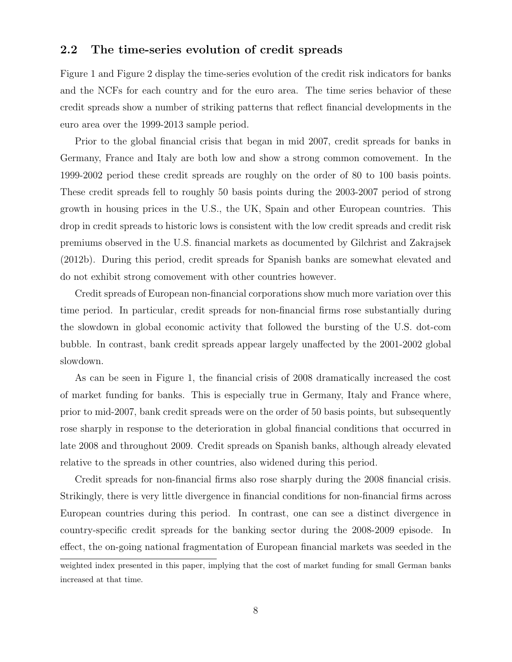## 2.2 The time-series evolution of credit spreads

Figure 1 and Figure 2 display the time-series evolution of the credit risk indicators for banks and the NCFs for each country and for the euro area. The time series behavior of these credit spreads show a number of striking patterns that reflect financial developments in the euro area over the 1999-2013 sample period.

Prior to the global financial crisis that began in mid 2007, credit spreads for banks in Germany, France and Italy are both low and show a strong common comovement. In the 1999-2002 period these credit spreads are roughly on the order of 80 to 100 basis points. These credit spreads fell to roughly 50 basis points during the 2003-2007 period of strong growth in housing prices in the U.S., the UK, Spain and other European countries. This drop in credit spreads to historic lows is consistent with the low credit spreads and credit risk premiums observed in the U.S. financial markets as documented by Gilchrist and Zakrajsek (2012b). During this period, credit spreads for Spanish banks are somewhat elevated and do not exhibit strong comovement with other countries however.

Credit spreads of European non-financial corporations show much more variation over this time period. In particular, credit spreads for non-financial firms rose substantially during the slowdown in global economic activity that followed the bursting of the U.S. dot-com bubble. In contrast, bank credit spreads appear largely unaffected by the 2001-2002 global slowdown.

As can be seen in Figure 1, the financial crisis of 2008 dramatically increased the cost of market funding for banks. This is especially true in Germany, Italy and France where, prior to mid-2007, bank credit spreads were on the order of 50 basis points, but subsequently rose sharply in response to the deterioration in global financial conditions that occurred in late 2008 and throughout 2009. Credit spreads on Spanish banks, although already elevated relative to the spreads in other countries, also widened during this period.

Credit spreads for non-financial firms also rose sharply during the 2008 financial crisis. Strikingly, there is very little divergence in financial conditions for non-financial firms across European countries during this period. In contrast, one can see a distinct divergence in country-specific credit spreads for the banking sector during the 2008-2009 episode. In effect, the on-going national fragmentation of European financial markets was seeded in the

weighted index presented in this paper, implying that the cost of market funding for small German banks increased at that time.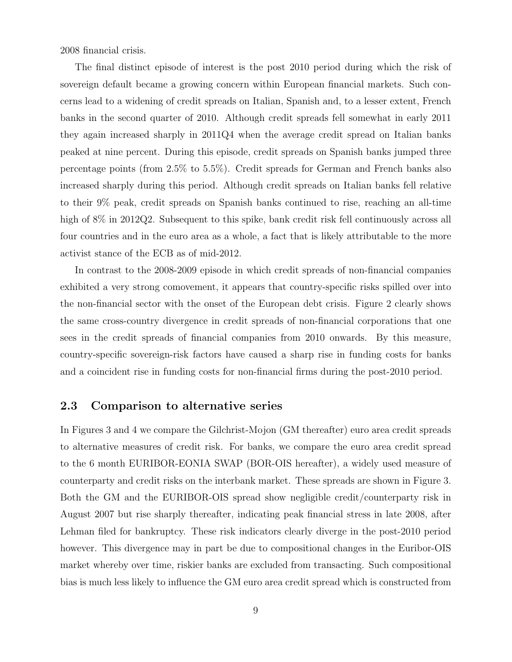2008 financial crisis.

The final distinct episode of interest is the post 2010 period during which the risk of sovereign default became a growing concern within European financial markets. Such concerns lead to a widening of credit spreads on Italian, Spanish and, to a lesser extent, French banks in the second quarter of 2010. Although credit spreads fell somewhat in early 2011 they again increased sharply in 2011Q4 when the average credit spread on Italian banks peaked at nine percent. During this episode, credit spreads on Spanish banks jumped three percentage points (from 2.5% to 5.5%). Credit spreads for German and French banks also increased sharply during this period. Although credit spreads on Italian banks fell relative to their 9% peak, credit spreads on Spanish banks continued to rise, reaching an all-time high of 8% in 2012Q2. Subsequent to this spike, bank credit risk fell continuously across all four countries and in the euro area as a whole, a fact that is likely attributable to the more activist stance of the ECB as of mid-2012.

In contrast to the 2008-2009 episode in which credit spreads of non-financial companies exhibited a very strong comovement, it appears that country-specific risks spilled over into the non-financial sector with the onset of the European debt crisis. Figure 2 clearly shows the same cross-country divergence in credit spreads of non-financial corporations that one sees in the credit spreads of financial companies from 2010 onwards. By this measure, country-specific sovereign-risk factors have caused a sharp rise in funding costs for banks and a coincident rise in funding costs for non-financial firms during the post-2010 period.

## 2.3 Comparison to alternative series

In Figures 3 and 4 we compare the Gilchrist-Mojon (GM thereafter) euro area credit spreads to alternative measures of credit risk. For banks, we compare the euro area credit spread to the 6 month EURIBOR-EONIA SWAP (BOR-OIS hereafter), a widely used measure of counterparty and credit risks on the interbank market. These spreads are shown in Figure 3. Both the GM and the EURIBOR-OIS spread show negligible credit/counterparty risk in August 2007 but rise sharply thereafter, indicating peak financial stress in late 2008, after Lehman filed for bankruptcy. These risk indicators clearly diverge in the post-2010 period however. This divergence may in part be due to compositional changes in the Euribor-OIS market whereby over time, riskier banks are excluded from transacting. Such compositional bias is much less likely to influence the GM euro area credit spread which is constructed from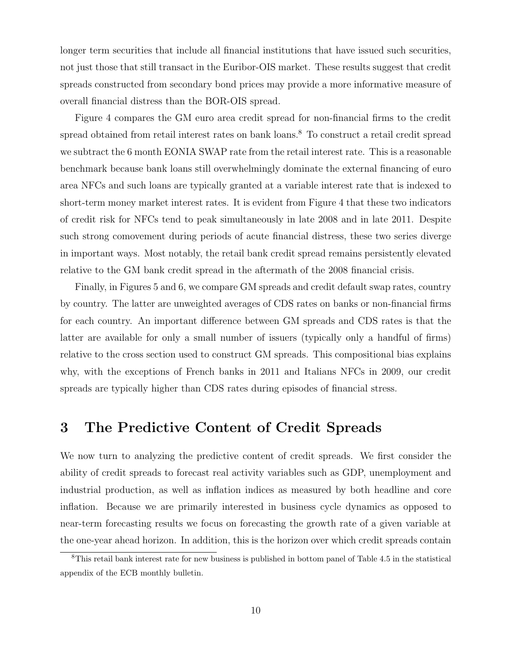longer term securities that include all financial institutions that have issued such securities, not just those that still transact in the Euribor-OIS market. These results suggest that credit spreads constructed from secondary bond prices may provide a more informative measure of overall financial distress than the BOR-OIS spread.

Figure 4 compares the GM euro area credit spread for non-financial firms to the credit spread obtained from retail interest rates on bank loans.<sup>8</sup> To construct a retail credit spread we subtract the 6 month EONIA SWAP rate from the retail interest rate. This is a reasonable benchmark because bank loans still overwhelmingly dominate the external financing of euro area NFCs and such loans are typically granted at a variable interest rate that is indexed to short-term money market interest rates. It is evident from Figure 4 that these two indicators of credit risk for NFCs tend to peak simultaneously in late 2008 and in late 2011. Despite such strong comovement during periods of acute financial distress, these two series diverge in important ways. Most notably, the retail bank credit spread remains persistently elevated relative to the GM bank credit spread in the aftermath of the 2008 financial crisis.

Finally, in Figures 5 and 6, we compare GM spreads and credit default swap rates, country by country. The latter are unweighted averages of CDS rates on banks or non-financial firms for each country. An important difference between GM spreads and CDS rates is that the latter are available for only a small number of issuers (typically only a handful of firms) relative to the cross section used to construct GM spreads. This compositional bias explains why, with the exceptions of French banks in 2011 and Italians NFCs in 2009, our credit spreads are typically higher than CDS rates during episodes of financial stress.

# 3 The Predictive Content of Credit Spreads

We now turn to analyzing the predictive content of credit spreads. We first consider the ability of credit spreads to forecast real activity variables such as GDP, unemployment and industrial production, as well as inflation indices as measured by both headline and core inflation. Because we are primarily interested in business cycle dynamics as opposed to near-term forecasting results we focus on forecasting the growth rate of a given variable at the one-year ahead horizon. In addition, this is the horizon over which credit spreads contain

<sup>8</sup>This retail bank interest rate for new business is published in bottom panel of Table 4.5 in the statistical appendix of the ECB monthly bulletin.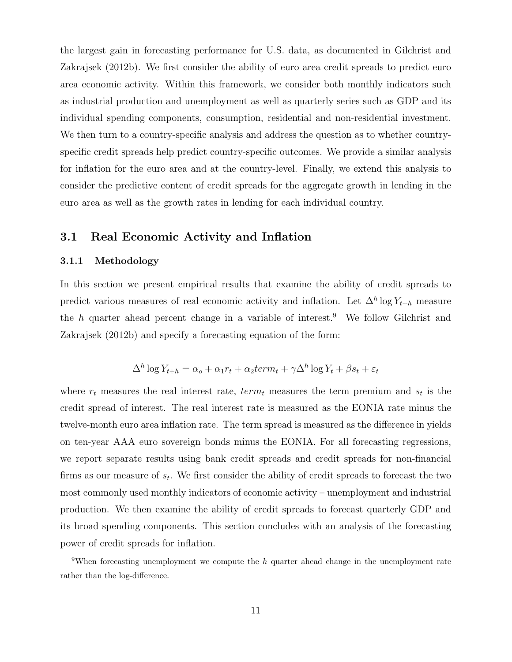the largest gain in forecasting performance for U.S. data, as documented in Gilchrist and Zakrajsek (2012b). We first consider the ability of euro area credit spreads to predict euro area economic activity. Within this framework, we consider both monthly indicators such as industrial production and unemployment as well as quarterly series such as GDP and its individual spending components, consumption, residential and non-residential investment. We then turn to a country-specific analysis and address the question as to whether countryspecific credit spreads help predict country-specific outcomes. We provide a similar analysis for inflation for the euro area and at the country-level. Finally, we extend this analysis to consider the predictive content of credit spreads for the aggregate growth in lending in the euro area as well as the growth rates in lending for each individual country.

### 3.1 Real Economic Activity and Inflation

#### 3.1.1 Methodology

In this section we present empirical results that examine the ability of credit spreads to predict various measures of real economic activity and inflation. Let  $\Delta^h$  log  $Y_{t+h}$  measure the h quarter ahead percent change in a variable of interest.<sup>9</sup> We follow Gilchrist and Zakrajsek (2012b) and specify a forecasting equation of the form:

$$
\Delta^h \log Y_{t+h} = \alpha_o + \alpha_1 r_t + \alpha_2 term_t + \gamma \Delta^h \log Y_t + \beta s_t + \varepsilon_t
$$

where  $r_t$  measures the real interest rate,  $term_t$  measures the term premium and  $s_t$  is the credit spread of interest. The real interest rate is measured as the EONIA rate minus the twelve-month euro area inflation rate. The term spread is measured as the difference in yields on ten-year AAA euro sovereign bonds minus the EONIA. For all forecasting regressions, we report separate results using bank credit spreads and credit spreads for non-financial firms as our measure of  $s_t$ . We first consider the ability of credit spreads to forecast the two most commonly used monthly indicators of economic activity – unemployment and industrial production. We then examine the ability of credit spreads to forecast quarterly GDP and its broad spending components. This section concludes with an analysis of the forecasting power of credit spreads for inflation.

<sup>&</sup>lt;sup>9</sup>When forecasting unemployment we compute the  $h$  quarter ahead change in the unemployment rate rather than the log-difference.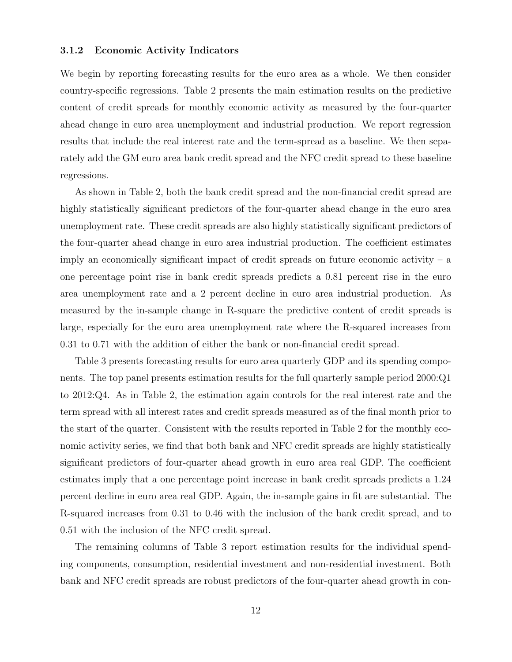#### 3.1.2 Economic Activity Indicators

We begin by reporting forecasting results for the euro area as a whole. We then consider country-specific regressions. Table 2 presents the main estimation results on the predictive content of credit spreads for monthly economic activity as measured by the four-quarter ahead change in euro area unemployment and industrial production. We report regression results that include the real interest rate and the term-spread as a baseline. We then separately add the GM euro area bank credit spread and the NFC credit spread to these baseline regressions.

As shown in Table 2, both the bank credit spread and the non-financial credit spread are highly statistically significant predictors of the four-quarter ahead change in the euro area unemployment rate. These credit spreads are also highly statistically significant predictors of the four-quarter ahead change in euro area industrial production. The coefficient estimates imply an economically significant impact of credit spreads on future economic activity  $- a$ one percentage point rise in bank credit spreads predicts a 0.81 percent rise in the euro area unemployment rate and a 2 percent decline in euro area industrial production. As measured by the in-sample change in R-square the predictive content of credit spreads is large, especially for the euro area unemployment rate where the R-squared increases from 0.31 to 0.71 with the addition of either the bank or non-financial credit spread.

Table 3 presents forecasting results for euro area quarterly GDP and its spending components. The top panel presents estimation results for the full quarterly sample period 2000:Q1 to 2012:Q4. As in Table 2, the estimation again controls for the real interest rate and the term spread with all interest rates and credit spreads measured as of the final month prior to the start of the quarter. Consistent with the results reported in Table 2 for the monthly economic activity series, we find that both bank and NFC credit spreads are highly statistically significant predictors of four-quarter ahead growth in euro area real GDP. The coefficient estimates imply that a one percentage point increase in bank credit spreads predicts a 1.24 percent decline in euro area real GDP. Again, the in-sample gains in fit are substantial. The R-squared increases from 0.31 to 0.46 with the inclusion of the bank credit spread, and to 0.51 with the inclusion of the NFC credit spread.

The remaining columns of Table 3 report estimation results for the individual spending components, consumption, residential investment and non-residential investment. Both bank and NFC credit spreads are robust predictors of the four-quarter ahead growth in con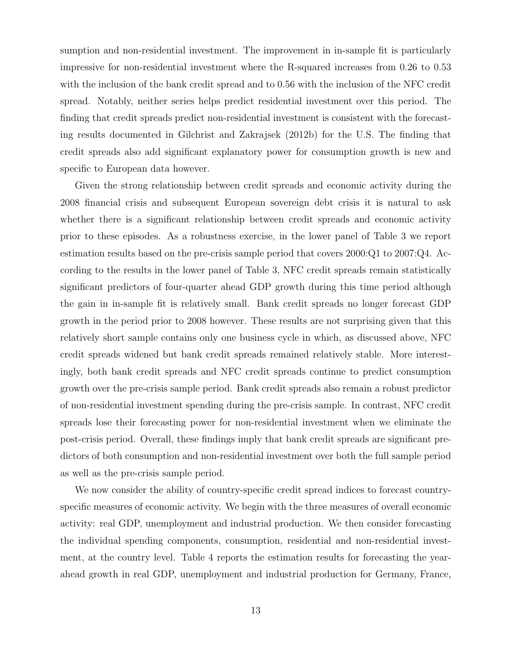sumption and non-residential investment. The improvement in in-sample fit is particularly impressive for non-residential investment where the R-squared increases from 0.26 to 0.53 with the inclusion of the bank credit spread and to 0.56 with the inclusion of the NFC credit spread. Notably, neither series helps predict residential investment over this period. The finding that credit spreads predict non-residential investment is consistent with the forecasting results documented in Gilchrist and Zakrajsek (2012b) for the U.S. The finding that credit spreads also add significant explanatory power for consumption growth is new and specific to European data however.

Given the strong relationship between credit spreads and economic activity during the 2008 financial crisis and subsequent European sovereign debt crisis it is natural to ask whether there is a significant relationship between credit spreads and economic activity prior to these episodes. As a robustness exercise, in the lower panel of Table 3 we report estimation results based on the pre-crisis sample period that covers 2000:Q1 to 2007:Q4. According to the results in the lower panel of Table 3, NFC credit spreads remain statistically significant predictors of four-quarter ahead GDP growth during this time period although the gain in in-sample fit is relatively small. Bank credit spreads no longer forecast GDP growth in the period prior to 2008 however. These results are not surprising given that this relatively short sample contains only one business cycle in which, as discussed above, NFC credit spreads widened but bank credit spreads remained relatively stable. More interestingly, both bank credit spreads and NFC credit spreads continue to predict consumption growth over the pre-crisis sample period. Bank credit spreads also remain a robust predictor of non-residential investment spending during the pre-crisis sample. In contrast, NFC credit spreads lose their forecasting power for non-residential investment when we eliminate the post-crisis period. Overall, these findings imply that bank credit spreads are significant predictors of both consumption and non-residential investment over both the full sample period as well as the pre-crisis sample period.

We now consider the ability of country-specific credit spread indices to forecast countryspecific measures of economic activity. We begin with the three measures of overall economic activity: real GDP, unemployment and industrial production. We then consider forecasting the individual spending components, consumption, residential and non-residential investment, at the country level. Table 4 reports the estimation results for forecasting the yearahead growth in real GDP, unemployment and industrial production for Germany, France,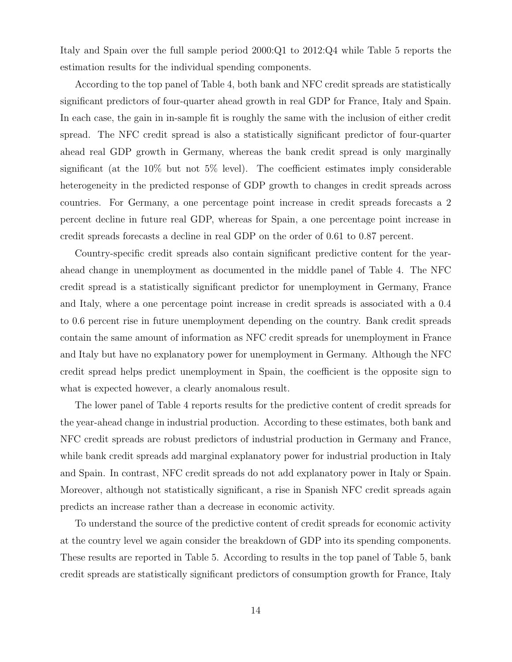Italy and Spain over the full sample period 2000:Q1 to 2012:Q4 while Table 5 reports the estimation results for the individual spending components.

According to the top panel of Table 4, both bank and NFC credit spreads are statistically significant predictors of four-quarter ahead growth in real GDP for France, Italy and Spain. In each case, the gain in in-sample fit is roughly the same with the inclusion of either credit spread. The NFC credit spread is also a statistically significant predictor of four-quarter ahead real GDP growth in Germany, whereas the bank credit spread is only marginally significant (at the 10% but not 5% level). The coefficient estimates imply considerable heterogeneity in the predicted response of GDP growth to changes in credit spreads across countries. For Germany, a one percentage point increase in credit spreads forecasts a 2 percent decline in future real GDP, whereas for Spain, a one percentage point increase in credit spreads forecasts a decline in real GDP on the order of 0.61 to 0.87 percent.

Country-specific credit spreads also contain significant predictive content for the yearahead change in unemployment as documented in the middle panel of Table 4. The NFC credit spread is a statistically significant predictor for unemployment in Germany, France and Italy, where a one percentage point increase in credit spreads is associated with a 0.4 to 0.6 percent rise in future unemployment depending on the country. Bank credit spreads contain the same amount of information as NFC credit spreads for unemployment in France and Italy but have no explanatory power for unemployment in Germany. Although the NFC credit spread helps predict unemployment in Spain, the coefficient is the opposite sign to what is expected however, a clearly anomalous result.

The lower panel of Table 4 reports results for the predictive content of credit spreads for the year-ahead change in industrial production. According to these estimates, both bank and NFC credit spreads are robust predictors of industrial production in Germany and France, while bank credit spreads add marginal explanatory power for industrial production in Italy and Spain. In contrast, NFC credit spreads do not add explanatory power in Italy or Spain. Moreover, although not statistically significant, a rise in Spanish NFC credit spreads again predicts an increase rather than a decrease in economic activity.

To understand the source of the predictive content of credit spreads for economic activity at the country level we again consider the breakdown of GDP into its spending components. These results are reported in Table 5. According to results in the top panel of Table 5, bank credit spreads are statistically significant predictors of consumption growth for France, Italy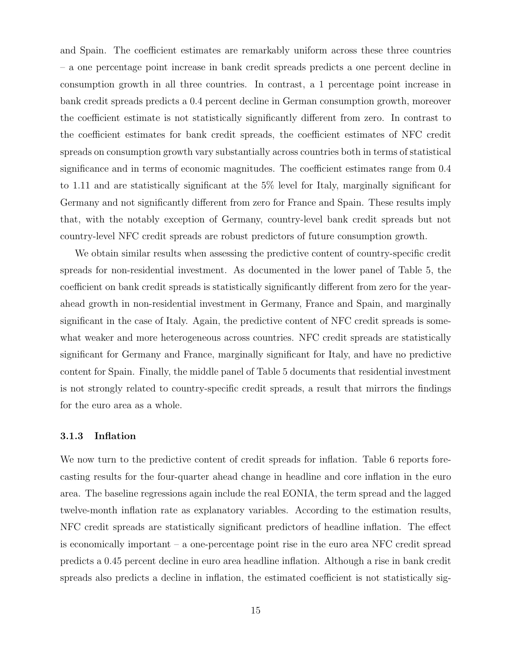and Spain. The coefficient estimates are remarkably uniform across these three countries – a one percentage point increase in bank credit spreads predicts a one percent decline in consumption growth in all three countries. In contrast, a 1 percentage point increase in bank credit spreads predicts a 0.4 percent decline in German consumption growth, moreover the coefficient estimate is not statistically significantly different from zero. In contrast to the coefficient estimates for bank credit spreads, the coefficient estimates of NFC credit spreads on consumption growth vary substantially across countries both in terms of statistical significance and in terms of economic magnitudes. The coefficient estimates range from 0.4 to 1.11 and are statistically significant at the 5% level for Italy, marginally significant for Germany and not significantly different from zero for France and Spain. These results imply that, with the notably exception of Germany, country-level bank credit spreads but not country-level NFC credit spreads are robust predictors of future consumption growth.

We obtain similar results when assessing the predictive content of country-specific credit spreads for non-residential investment. As documented in the lower panel of Table 5, the coefficient on bank credit spreads is statistically significantly different from zero for the yearahead growth in non-residential investment in Germany, France and Spain, and marginally significant in the case of Italy. Again, the predictive content of NFC credit spreads is somewhat weaker and more heterogeneous across countries. NFC credit spreads are statistically significant for Germany and France, marginally significant for Italy, and have no predictive content for Spain. Finally, the middle panel of Table 5 documents that residential investment is not strongly related to country-specific credit spreads, a result that mirrors the findings for the euro area as a whole.

#### 3.1.3 Inflation

We now turn to the predictive content of credit spreads for inflation. Table 6 reports forecasting results for the four-quarter ahead change in headline and core inflation in the euro area. The baseline regressions again include the real EONIA, the term spread and the lagged twelve-month inflation rate as explanatory variables. According to the estimation results, NFC credit spreads are statistically significant predictors of headline inflation. The effect is economically important – a one-percentage point rise in the euro area NFC credit spread predicts a 0.45 percent decline in euro area headline inflation. Although a rise in bank credit spreads also predicts a decline in inflation, the estimated coefficient is not statistically sig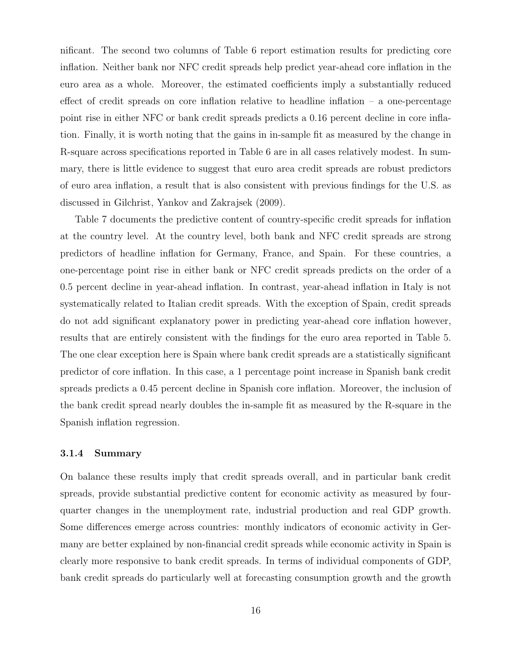nificant. The second two columns of Table 6 report estimation results for predicting core inflation. Neither bank nor NFC credit spreads help predict year-ahead core inflation in the euro area as a whole. Moreover, the estimated coefficients imply a substantially reduced effect of credit spreads on core inflation relative to headline inflation – a one-percentage point rise in either NFC or bank credit spreads predicts a 0.16 percent decline in core inflation. Finally, it is worth noting that the gains in in-sample fit as measured by the change in R-square across specifications reported in Table 6 are in all cases relatively modest. In summary, there is little evidence to suggest that euro area credit spreads are robust predictors of euro area inflation, a result that is also consistent with previous findings for the U.S. as discussed in Gilchrist, Yankov and Zakrajsek (2009).

Table 7 documents the predictive content of country-specific credit spreads for inflation at the country level. At the country level, both bank and NFC credit spreads are strong predictors of headline inflation for Germany, France, and Spain. For these countries, a one-percentage point rise in either bank or NFC credit spreads predicts on the order of a 0.5 percent decline in year-ahead inflation. In contrast, year-ahead inflation in Italy is not systematically related to Italian credit spreads. With the exception of Spain, credit spreads do not add significant explanatory power in predicting year-ahead core inflation however, results that are entirely consistent with the findings for the euro area reported in Table 5. The one clear exception here is Spain where bank credit spreads are a statistically significant predictor of core inflation. In this case, a 1 percentage point increase in Spanish bank credit spreads predicts a 0.45 percent decline in Spanish core inflation. Moreover, the inclusion of the bank credit spread nearly doubles the in-sample fit as measured by the R-square in the Spanish inflation regression.

#### 3.1.4 Summary

On balance these results imply that credit spreads overall, and in particular bank credit spreads, provide substantial predictive content for economic activity as measured by fourquarter changes in the unemployment rate, industrial production and real GDP growth. Some differences emerge across countries: monthly indicators of economic activity in Germany are better explained by non-financial credit spreads while economic activity in Spain is clearly more responsive to bank credit spreads. In terms of individual components of GDP, bank credit spreads do particularly well at forecasting consumption growth and the growth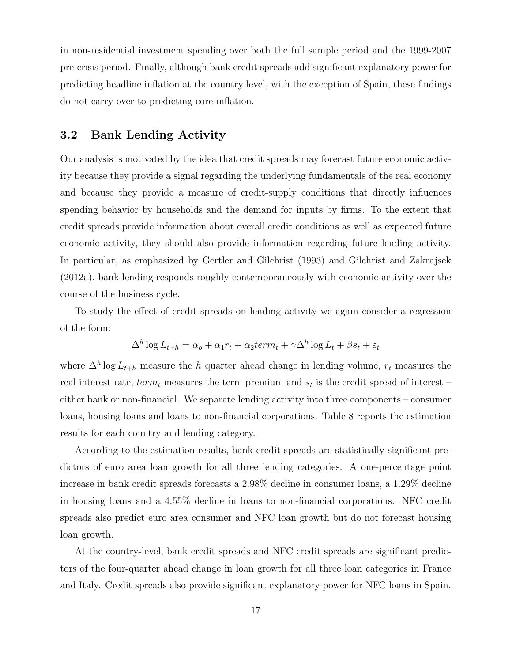in non-residential investment spending over both the full sample period and the 1999-2007 pre-crisis period. Finally, although bank credit spreads add significant explanatory power for predicting headline inflation at the country level, with the exception of Spain, these findings do not carry over to predicting core inflation.

## 3.2 Bank Lending Activity

Our analysis is motivated by the idea that credit spreads may forecast future economic activity because they provide a signal regarding the underlying fundamentals of the real economy and because they provide a measure of credit-supply conditions that directly influences spending behavior by households and the demand for inputs by firms. To the extent that credit spreads provide information about overall credit conditions as well as expected future economic activity, they should also provide information regarding future lending activity. In particular, as emphasized by Gertler and Gilchrist (1993) and Gilchrist and Zakrajsek (2012a), bank lending responds roughly contemporaneously with economic activity over the course of the business cycle.

To study the effect of credit spreads on lending activity we again consider a regression of the form:

$$
\Delta^h \log L_{t+h} = \alpha_o + \alpha_1 r_t + \alpha_2 term_t + \gamma \Delta^h \log L_t + \beta s_t + \varepsilon_t
$$

where  $\Delta^h$  log  $L_{t+h}$  measure the h quarter ahead change in lending volume,  $r_t$  measures the real interest rate,  $term_t$  measures the term premium and  $s_t$  is the credit spread of interest – either bank or non-financial. We separate lending activity into three components – consumer loans, housing loans and loans to non-financial corporations. Table 8 reports the estimation results for each country and lending category.

According to the estimation results, bank credit spreads are statistically significant predictors of euro area loan growth for all three lending categories. A one-percentage point increase in bank credit spreads forecasts a 2.98% decline in consumer loans, a 1.29% decline in housing loans and a 4.55% decline in loans to non-financial corporations. NFC credit spreads also predict euro area consumer and NFC loan growth but do not forecast housing loan growth.

At the country-level, bank credit spreads and NFC credit spreads are significant predictors of the four-quarter ahead change in loan growth for all three loan categories in France and Italy. Credit spreads also provide significant explanatory power for NFC loans in Spain.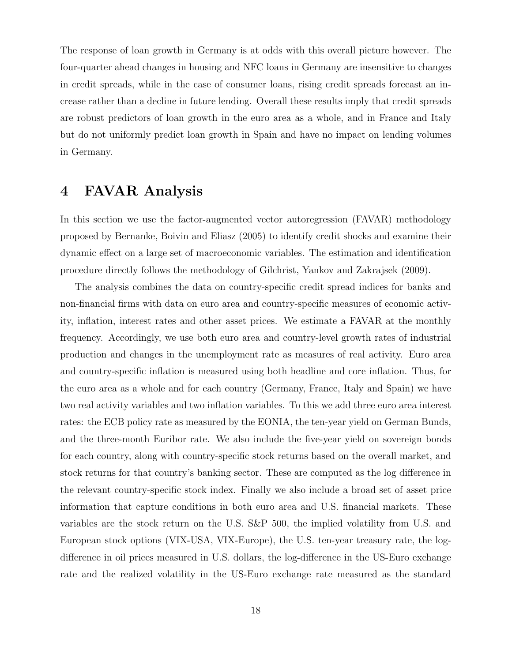The response of loan growth in Germany is at odds with this overall picture however. The four-quarter ahead changes in housing and NFC loans in Germany are insensitive to changes in credit spreads, while in the case of consumer loans, rising credit spreads forecast an increase rather than a decline in future lending. Overall these results imply that credit spreads are robust predictors of loan growth in the euro area as a whole, and in France and Italy but do not uniformly predict loan growth in Spain and have no impact on lending volumes in Germany.

# 4 FAVAR Analysis

In this section we use the factor-augmented vector autoregression (FAVAR) methodology proposed by Bernanke, Boivin and Eliasz (2005) to identify credit shocks and examine their dynamic effect on a large set of macroeconomic variables. The estimation and identification procedure directly follows the methodology of Gilchrist, Yankov and Zakrajsek (2009).

The analysis combines the data on country-specific credit spread indices for banks and non-financial firms with data on euro area and country-specific measures of economic activity, inflation, interest rates and other asset prices. We estimate a FAVAR at the monthly frequency. Accordingly, we use both euro area and country-level growth rates of industrial production and changes in the unemployment rate as measures of real activity. Euro area and country-specific inflation is measured using both headline and core inflation. Thus, for the euro area as a whole and for each country (Germany, France, Italy and Spain) we have two real activity variables and two inflation variables. To this we add three euro area interest rates: the ECB policy rate as measured by the EONIA, the ten-year yield on German Bunds, and the three-month Euribor rate. We also include the five-year yield on sovereign bonds for each country, along with country-specific stock returns based on the overall market, and stock returns for that country's banking sector. These are computed as the log difference in the relevant country-specific stock index. Finally we also include a broad set of asset price information that capture conditions in both euro area and U.S. financial markets. These variables are the stock return on the U.S. S&P 500, the implied volatility from U.S. and European stock options (VIX-USA, VIX-Europe), the U.S. ten-year treasury rate, the logdifference in oil prices measured in U.S. dollars, the log-difference in the US-Euro exchange rate and the realized volatility in the US-Euro exchange rate measured as the standard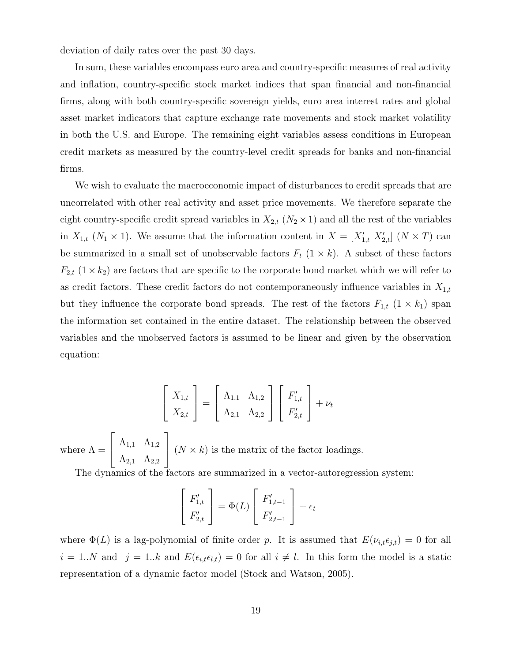deviation of daily rates over the past 30 days.

In sum, these variables encompass euro area and country-specific measures of real activity and inflation, country-specific stock market indices that span financial and non-financial firms, along with both country-specific sovereign yields, euro area interest rates and global asset market indicators that capture exchange rate movements and stock market volatility in both the U.S. and Europe. The remaining eight variables assess conditions in European credit markets as measured by the country-level credit spreads for banks and non-financial firms.

We wish to evaluate the macroeconomic impact of disturbances to credit spreads that are uncorrelated with other real activity and asset price movements. We therefore separate the eight country-specific credit spread variables in  $X_{2,t}$   $(N_2 \times 1)$  and all the rest of the variables in  $X_{1,t}$  ( $N_1 \times 1$ ). We assume that the information content in  $X = [X'_{1,t}, X'_{2,t}]$  ( $N \times T$ ) can be summarized in a small set of unobservable factors  $F_t$  (1  $\times$  k). A subset of these factors  $F_{2,t}$  (1 × k<sub>2</sub>) are factors that are specific to the corporate bond market which we will refer to as credit factors. These credit factors do not contemporaneously influence variables in  $X_{1,t}$ but they influence the corporate bond spreads. The rest of the factors  $F_{1,t}$  ( $1 \times k_1$ ) span the information set contained in the entire dataset. The relationship between the observed variables and the unobserved factors is assumed to be linear and given by the observation equation:

$$
\begin{bmatrix} X_{1,t} \\ X_{2,t} \end{bmatrix} = \begin{bmatrix} \Lambda_{1,1} & \Lambda_{1,2} \\ \Lambda_{2,1} & \Lambda_{2,2} \end{bmatrix} \begin{bmatrix} F'_{1,t} \\ F'_{2,t} \end{bmatrix} + \nu_t
$$

where  $\Lambda =$  $\lceil$  $\overline{1}$  $\Lambda_{1,1}$   $\Lambda_{1,2}$  $\Lambda_{2,1}$   $\Lambda_{2,2}$ 1  $\left(N \times k\right)$  is the matrix of the factor loadings.

The dynamics of the factors are summarized in a vector-autoregression system:

$$
\begin{bmatrix} F'_{1,t} \\ F'_{2,t} \end{bmatrix} = \Phi(L) \begin{bmatrix} F'_{1,t-1} \\ F'_{2,t-1} \end{bmatrix} + \epsilon_t
$$

where  $\Phi(L)$  is a lag-polynomial of finite order p. It is assumed that  $E(\nu_{i,t} \epsilon_{j,t}) = 0$  for all  $i = 1..N$  and  $j = 1..k$  and  $E(\epsilon_{i,t} \epsilon_{l,t}) = 0$  for all  $i \neq l$ . In this form the model is a static representation of a dynamic factor model (Stock and Watson, 2005).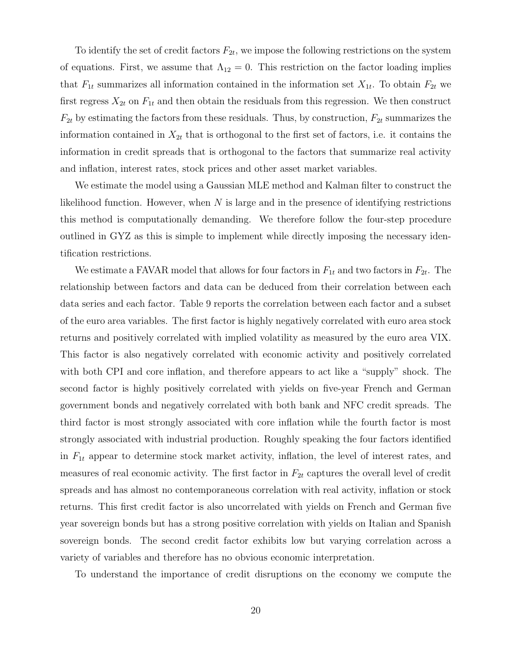To identify the set of credit factors  $F_{2t}$ , we impose the following restrictions on the system of equations. First, we assume that  $\Lambda_{12} = 0$ . This restriction on the factor loading implies that  $F_{1t}$  summarizes all information contained in the information set  $X_{1t}$ . To obtain  $F_{2t}$  we first regress  $X_{2t}$  on  $F_{1t}$  and then obtain the residuals from this regression. We then construct  $F_{2t}$  by estimating the factors from these residuals. Thus, by construction,  $F_{2t}$  summarizes the information contained in  $X_{2t}$  that is orthogonal to the first set of factors, i.e. it contains the information in credit spreads that is orthogonal to the factors that summarize real activity and inflation, interest rates, stock prices and other asset market variables.

We estimate the model using a Gaussian MLE method and Kalman filter to construct the likelihood function. However, when  $N$  is large and in the presence of identifying restrictions this method is computationally demanding. We therefore follow the four-step procedure outlined in GYZ as this is simple to implement while directly imposing the necessary identification restrictions.

We estimate a FAVAR model that allows for four factors in  $F_{1t}$  and two factors in  $F_{2t}$ . The relationship between factors and data can be deduced from their correlation between each data series and each factor. Table 9 reports the correlation between each factor and a subset of the euro area variables. The first factor is highly negatively correlated with euro area stock returns and positively correlated with implied volatility as measured by the euro area VIX. This factor is also negatively correlated with economic activity and positively correlated with both CPI and core inflation, and therefore appears to act like a "supply" shock. The second factor is highly positively correlated with yields on five-year French and German government bonds and negatively correlated with both bank and NFC credit spreads. The third factor is most strongly associated with core inflation while the fourth factor is most strongly associated with industrial production. Roughly speaking the four factors identified in  $F_{1t}$  appear to determine stock market activity, inflation, the level of interest rates, and measures of real economic activity. The first factor in  $F_{2t}$  captures the overall level of credit spreads and has almost no contemporaneous correlation with real activity, inflation or stock returns. This first credit factor is also uncorrelated with yields on French and German five year sovereign bonds but has a strong positive correlation with yields on Italian and Spanish sovereign bonds. The second credit factor exhibits low but varying correlation across a variety of variables and therefore has no obvious economic interpretation.

To understand the importance of credit disruptions on the economy we compute the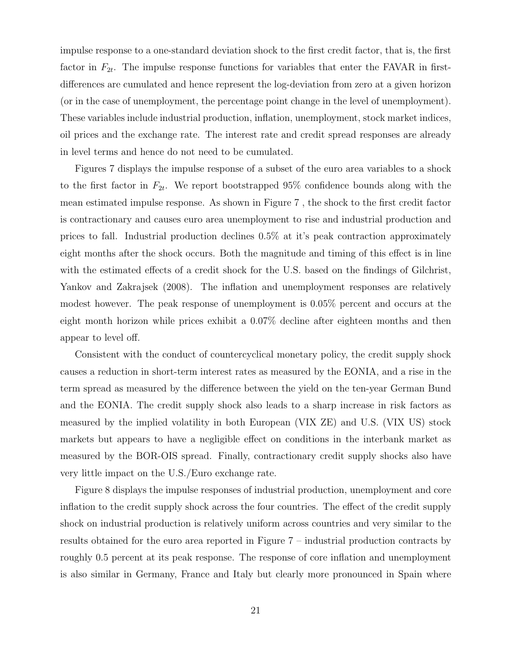impulse response to a one-standard deviation shock to the first credit factor, that is, the first factor in  $F_{2t}$ . The impulse response functions for variables that enter the FAVAR in firstdifferences are cumulated and hence represent the log-deviation from zero at a given horizon (or in the case of unemployment, the percentage point change in the level of unemployment). These variables include industrial production, inflation, unemployment, stock market indices, oil prices and the exchange rate. The interest rate and credit spread responses are already in level terms and hence do not need to be cumulated.

Figures 7 displays the impulse response of a subset of the euro area variables to a shock to the first factor in  $F_{2t}$ . We report bootstrapped 95% confidence bounds along with the mean estimated impulse response. As shown in Figure 7 , the shock to the first credit factor is contractionary and causes euro area unemployment to rise and industrial production and prices to fall. Industrial production declines 0.5% at it's peak contraction approximately eight months after the shock occurs. Both the magnitude and timing of this effect is in line with the estimated effects of a credit shock for the U.S. based on the findings of Gilchrist, Yankov and Zakrajsek (2008). The inflation and unemployment responses are relatively modest however. The peak response of unemployment is 0.05% percent and occurs at the eight month horizon while prices exhibit a 0.07% decline after eighteen months and then appear to level off.

Consistent with the conduct of countercyclical monetary policy, the credit supply shock causes a reduction in short-term interest rates as measured by the EONIA, and a rise in the term spread as measured by the difference between the yield on the ten-year German Bund and the EONIA. The credit supply shock also leads to a sharp increase in risk factors as measured by the implied volatility in both European (VIX ZE) and U.S. (VIX US) stock markets but appears to have a negligible effect on conditions in the interbank market as measured by the BOR-OIS spread. Finally, contractionary credit supply shocks also have very little impact on the U.S./Euro exchange rate.

Figure 8 displays the impulse responses of industrial production, unemployment and core inflation to the credit supply shock across the four countries. The effect of the credit supply shock on industrial production is relatively uniform across countries and very similar to the results obtained for the euro area reported in Figure 7 – industrial production contracts by roughly 0.5 percent at its peak response. The response of core inflation and unemployment is also similar in Germany, France and Italy but clearly more pronounced in Spain where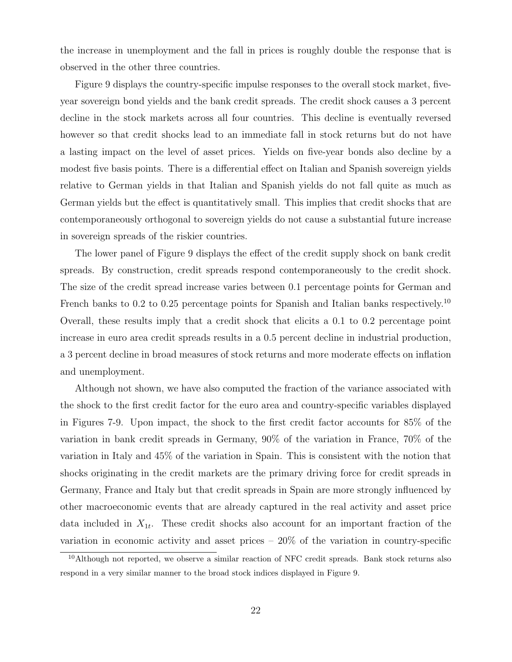the increase in unemployment and the fall in prices is roughly double the response that is observed in the other three countries.

Figure 9 displays the country-specific impulse responses to the overall stock market, fiveyear sovereign bond yields and the bank credit spreads. The credit shock causes a 3 percent decline in the stock markets across all four countries. This decline is eventually reversed however so that credit shocks lead to an immediate fall in stock returns but do not have a lasting impact on the level of asset prices. Yields on five-year bonds also decline by a modest five basis points. There is a differential effect on Italian and Spanish sovereign yields relative to German yields in that Italian and Spanish yields do not fall quite as much as German yields but the effect is quantitatively small. This implies that credit shocks that are contemporaneously orthogonal to sovereign yields do not cause a substantial future increase in sovereign spreads of the riskier countries.

The lower panel of Figure 9 displays the effect of the credit supply shock on bank credit spreads. By construction, credit spreads respond contemporaneously to the credit shock. The size of the credit spread increase varies between 0.1 percentage points for German and French banks to 0.2 to 0.25 percentage points for Spanish and Italian banks respectively.<sup>10</sup> Overall, these results imply that a credit shock that elicits a 0.1 to 0.2 percentage point increase in euro area credit spreads results in a 0.5 percent decline in industrial production, a 3 percent decline in broad measures of stock returns and more moderate effects on inflation and unemployment.

Although not shown, we have also computed the fraction of the variance associated with the shock to the first credit factor for the euro area and country-specific variables displayed in Figures 7-9. Upon impact, the shock to the first credit factor accounts for 85% of the variation in bank credit spreads in Germany, 90% of the variation in France, 70% of the variation in Italy and 45% of the variation in Spain. This is consistent with the notion that shocks originating in the credit markets are the primary driving force for credit spreads in Germany, France and Italy but that credit spreads in Spain are more strongly influenced by other macroeconomic events that are already captured in the real activity and asset price data included in  $X_{1t}$ . These credit shocks also account for an important fraction of the variation in economic activity and asset prices  $-20\%$  of the variation in country-specific

<sup>10</sup>Although not reported, we observe a similar reaction of NFC credit spreads. Bank stock returns also respond in a very similar manner to the broad stock indices displayed in Figure 9.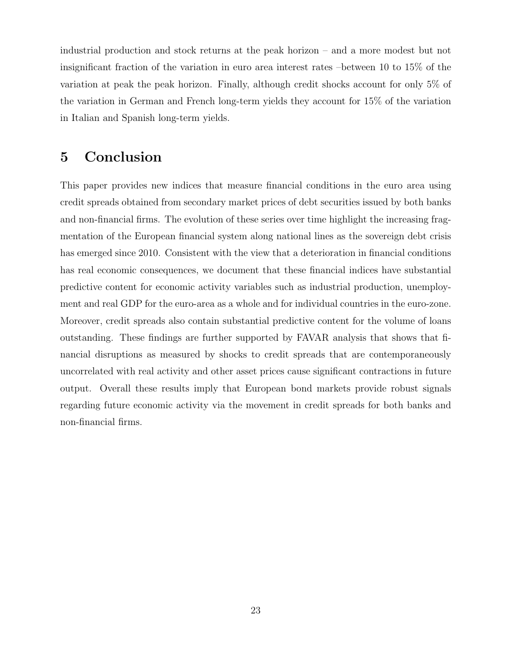industrial production and stock returns at the peak horizon – and a more modest but not insignificant fraction of the variation in euro area interest rates –between 10 to 15% of the variation at peak the peak horizon. Finally, although credit shocks account for only 5% of the variation in German and French long-term yields they account for 15% of the variation in Italian and Spanish long-term yields.

# 5 Conclusion

This paper provides new indices that measure financial conditions in the euro area using credit spreads obtained from secondary market prices of debt securities issued by both banks and non-financial firms. The evolution of these series over time highlight the increasing fragmentation of the European financial system along national lines as the sovereign debt crisis has emerged since 2010. Consistent with the view that a deterioration in financial conditions has real economic consequences, we document that these financial indices have substantial predictive content for economic activity variables such as industrial production, unemployment and real GDP for the euro-area as a whole and for individual countries in the euro-zone. Moreover, credit spreads also contain substantial predictive content for the volume of loans outstanding. These findings are further supported by FAVAR analysis that shows that financial disruptions as measured by shocks to credit spreads that are contemporaneously uncorrelated with real activity and other asset prices cause significant contractions in future output. Overall these results imply that European bond markets provide robust signals regarding future economic activity via the movement in credit spreads for both banks and non-financial firms.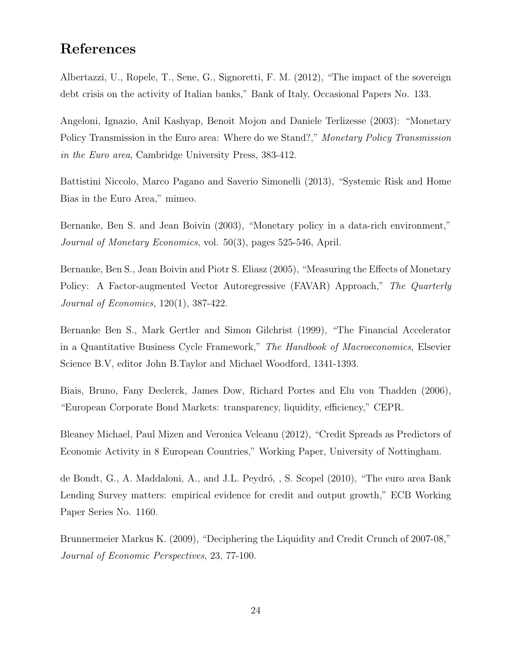# References

Albertazzi, U., Ropele, T., Sene, G., Signoretti, F. M. (2012), "The impact of the sovereign debt crisis on the activity of Italian banks," Bank of Italy, Occasional Papers No. 133.

Angeloni, Ignazio, Anil Kashyap, Benoit Mojon and Daniele Terlizesse (2003): "Monetary Policy Transmission in the Euro area: Where do we Stand?," Monetary Policy Transmission in the Euro area, Cambridge University Press, 383-412.

Battistini Niccolo, Marco Pagano and Saverio Simonelli (2013), "Systemic Risk and Home Bias in the Euro Area," mimeo.

Bernanke, Ben S. and Jean Boivin (2003), "Monetary policy in a data-rich environment," Journal of Monetary Economics, vol. 50(3), pages 525-546, April.

Bernanke, Ben S., Jean Boivin and Piotr S. Eliasz (2005), "Measuring the Effects of Monetary Policy: A Factor-augmented Vector Autoregressive (FAVAR) Approach," The Quarterly Journal of Economics, 120(1), 387-422.

Bernanke Ben S., Mark Gertler and Simon Gilchrist (1999), "The Financial Accelerator in a Quantitative Business Cycle Framework," The Handbook of Macroeconomics, Elsevier Science B.V, editor John B.Taylor and Michael Woodford, 1341-1393.

Biais, Bruno, Fany Declerck, James Dow, Richard Portes and Elu von Thadden (2006), "European Corporate Bond Markets: transparency, liquidity, efficiency," CEPR.

Bleaney Michael, Paul Mizen and Veronica Veleanu (2012), "Credit Spreads as Predictors of Economic Activity in 8 European Countries," Working Paper, University of Nottingham.

de Bondt, G., A. Maddaloni, A., and J.L. Peydró, , S. Scopel (2010), "The euro area Bank Lending Survey matters: empirical evidence for credit and output growth," ECB Working Paper Series No. 1160.

Brunnermeier Markus K. (2009), "Deciphering the Liquidity and Credit Crunch of 2007-08," Journal of Economic Perspectives, 23, 77-100.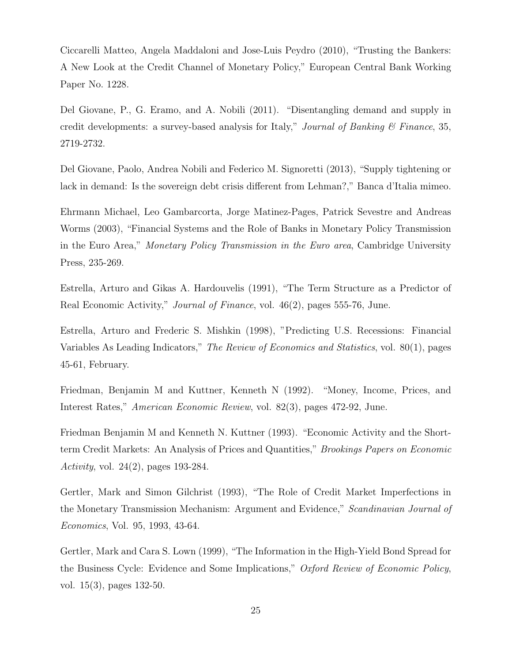Ciccarelli Matteo, Angela Maddaloni and Jose-Luis Peydro (2010), "Trusting the Bankers: A New Look at the Credit Channel of Monetary Policy," European Central Bank Working Paper No. 1228.

Del Giovane, P., G. Eramo, and A. Nobili (2011). "Disentangling demand and supply in credit developments: a survey-based analysis for Italy," *Journal of Banking*  $\mathcal C$  *Finance*, 35, 2719-2732.

Del Giovane, Paolo, Andrea Nobili and Federico M. Signoretti (2013), "Supply tightening or lack in demand: Is the sovereign debt crisis different from Lehman?," Banca d'Italia mimeo.

Ehrmann Michael, Leo Gambarcorta, Jorge Matinez-Pages, Patrick Sevestre and Andreas Worms (2003), "Financial Systems and the Role of Banks in Monetary Policy Transmission in the Euro Area," Monetary Policy Transmission in the Euro area, Cambridge University Press, 235-269.

Estrella, Arturo and Gikas A. Hardouvelis (1991), "The Term Structure as a Predictor of Real Economic Activity," *Journal of Finance*, vol. 46(2), pages 555-76, June.

Estrella, Arturo and Frederic S. Mishkin (1998), "Predicting U.S. Recessions: Financial Variables As Leading Indicators," The Review of Economics and Statistics, vol. 80(1), pages 45-61, February.

Friedman, Benjamin M and Kuttner, Kenneth N (1992). "Money, Income, Prices, and Interest Rates," American Economic Review, vol. 82(3), pages 472-92, June.

Friedman Benjamin M and Kenneth N. Kuttner (1993). "Economic Activity and the Shortterm Credit Markets: An Analysis of Prices and Quantities," Brookings Papers on Economic Activity, vol. 24(2), pages 193-284.

Gertler, Mark and Simon Gilchrist (1993), "The Role of Credit Market Imperfections in the Monetary Transmission Mechanism: Argument and Evidence," Scandinavian Journal of Economics, Vol. 95, 1993, 43-64.

Gertler, Mark and Cara S. Lown (1999), "The Information in the High-Yield Bond Spread for the Business Cycle: Evidence and Some Implications," Oxford Review of Economic Policy, vol. 15(3), pages 132-50.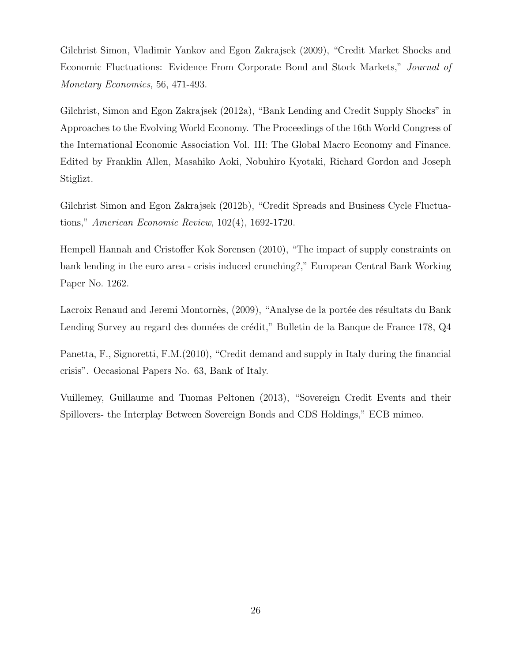Gilchrist Simon, Vladimir Yankov and Egon Zakrajsek (2009), "Credit Market Shocks and Economic Fluctuations: Evidence From Corporate Bond and Stock Markets," Journal of Monetary Economics, 56, 471-493.

Gilchrist, Simon and Egon Zakrajsek (2012a), "Bank Lending and Credit Supply Shocks" in Approaches to the Evolving World Economy. The Proceedings of the 16th World Congress of the International Economic Association Vol. III: The Global Macro Economy and Finance. Edited by Franklin Allen, Masahiko Aoki, Nobuhiro Kyotaki, Richard Gordon and Joseph Stiglizt.

Gilchrist Simon and Egon Zakrajsek (2012b), "Credit Spreads and Business Cycle Fluctuations," American Economic Review, 102(4), 1692-1720.

Hempell Hannah and Cristoffer Kok Sorensen (2010), "The impact of supply constraints on bank lending in the euro area - crisis induced crunching?," European Central Bank Working Paper No. 1262.

Lacroix Renaud and Jeremi Montornès, (2009), "Analyse de la portée des résultats du Bank Lending Survey au regard des données de crédit," Bulletin de la Banque de France 178, Q4

Panetta, F., Signoretti, F.M.(2010), "Credit demand and supply in Italy during the financial crisis". Occasional Papers No. 63, Bank of Italy.

Vuillemey, Guillaume and Tuomas Peltonen (2013), "Sovereign Credit Events and their Spillovers- the Interplay Between Sovereign Bonds and CDS Holdings," ECB mimeo.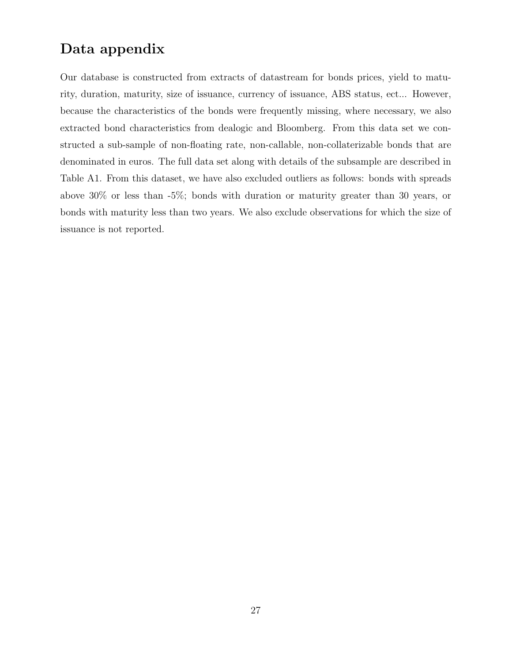# Data appendix

Our database is constructed from extracts of datastream for bonds prices, yield to maturity, duration, maturity, size of issuance, currency of issuance, ABS status, ect... However, because the characteristics of the bonds were frequently missing, where necessary, we also extracted bond characteristics from dealogic and Bloomberg. From this data set we constructed a sub-sample of non-floating rate, non-callable, non-collaterizable bonds that are denominated in euros. The full data set along with details of the subsample are described in Table A1. From this dataset, we have also excluded outliers as follows: bonds with spreads above 30% or less than -5%; bonds with duration or maturity greater than 30 years, or bonds with maturity less than two years. We also exclude observations for which the size of issuance is not reported.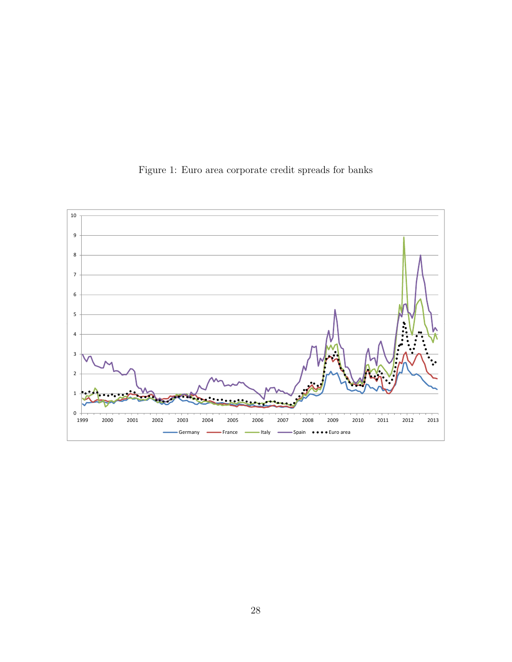

Figure 1: Euro area corporate credit spreads for banks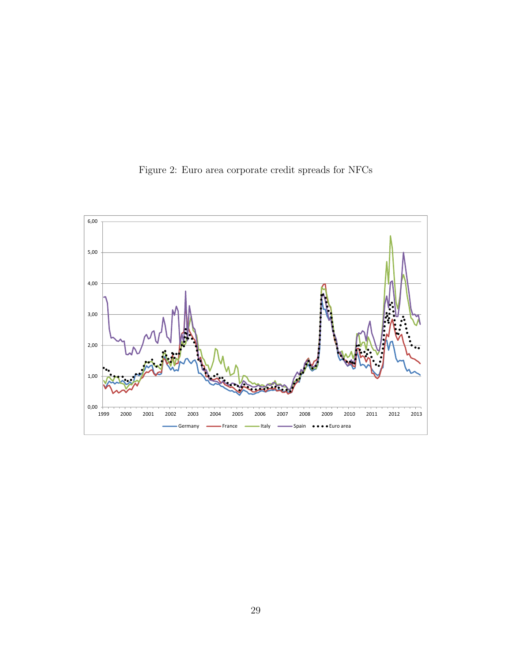

Figure 2: Euro area corporate credit spreads for NFCs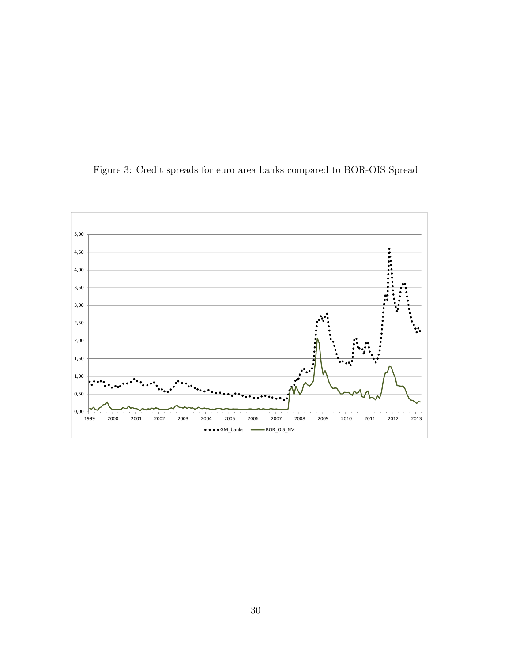

Figure 3: Credit spreads for euro area banks compared to BOR-OIS Spread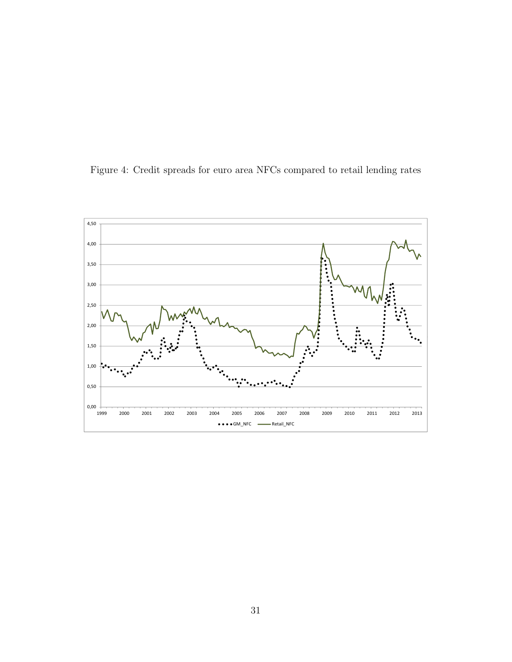

Figure 4: Credit spreads for euro area NFCs compared to retail lending rates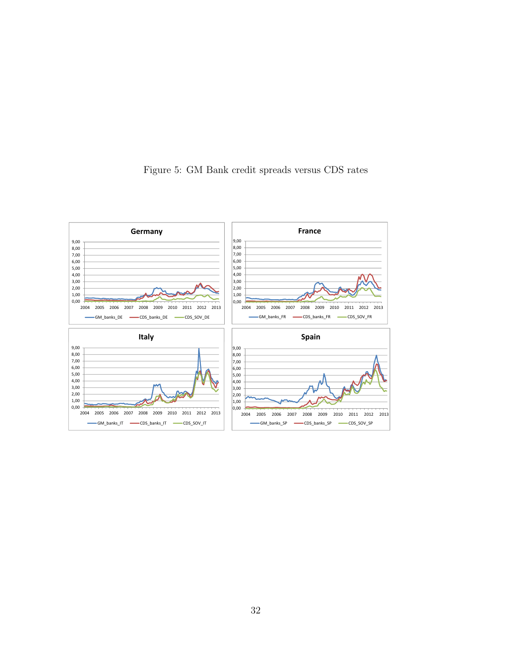

Figure 5: GM Bank credit spreads versus CDS rates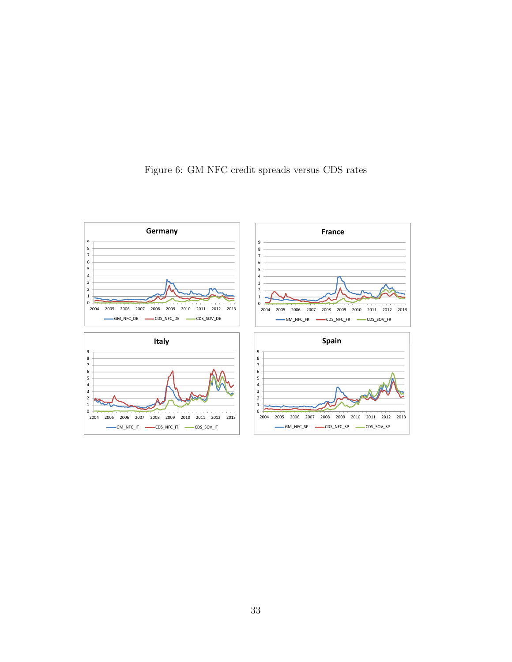

Figure 6: GM NFC credit spreads versus CDS rates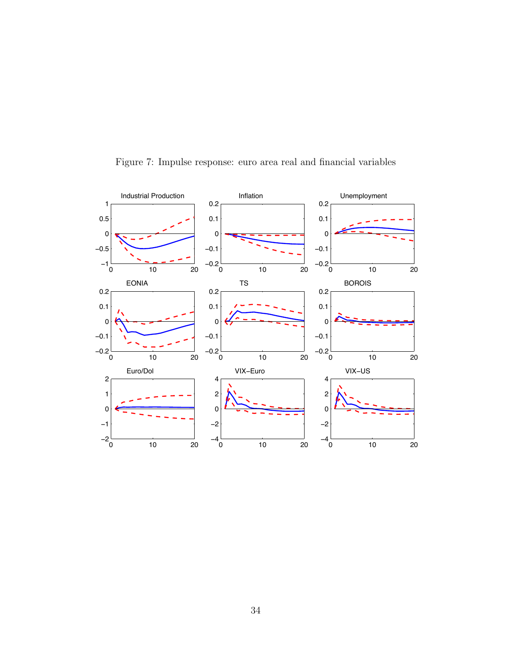

Figure 7: Impulse response: euro area real and financial variables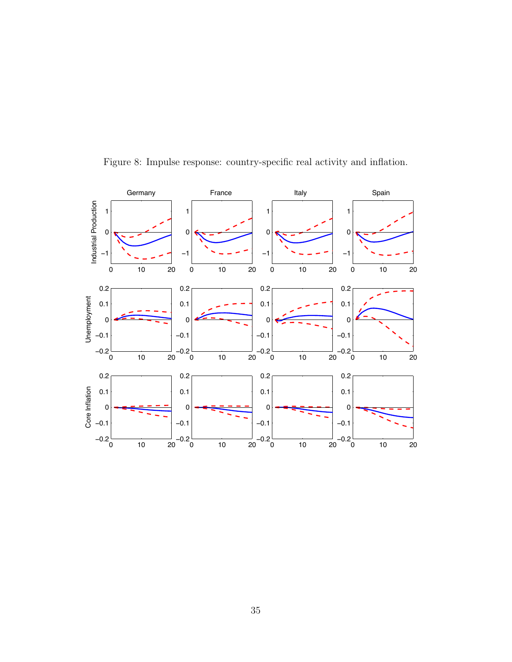

Figure 8: Impulse response: country-specific real activity and inflation.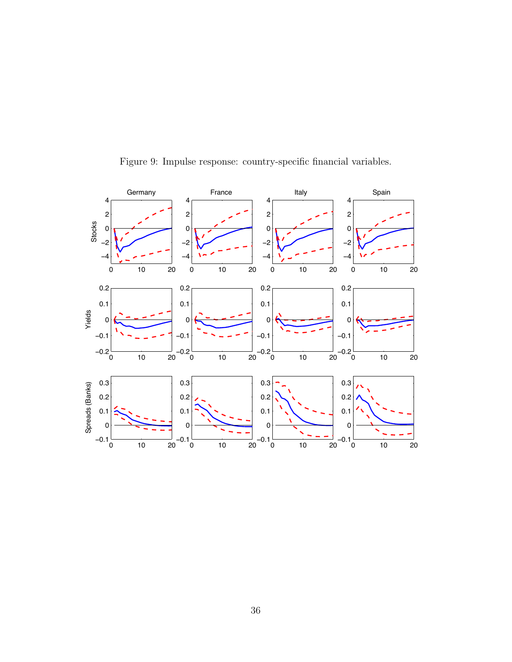

Figure 9: Impulse response: country-specific financial variables.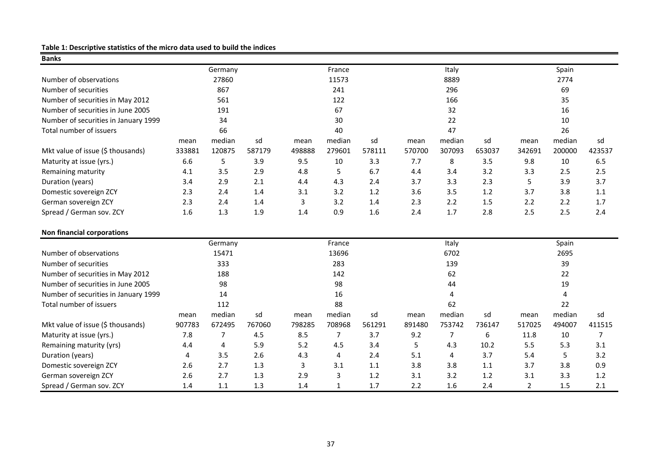## **Table 1: Descriptive statistics of the micro data used to build the indices**

| <b>Banks</b>                         |        |         |        |        |              |        |        |        |        |                |        |        |
|--------------------------------------|--------|---------|--------|--------|--------------|--------|--------|--------|--------|----------------|--------|--------|
|                                      |        | Germany |        |        | France       |        |        | Italy  |        |                | Spain  |        |
| Number of observations               |        | 27860   |        |        | 11573        |        |        | 8889   |        |                | 2774   |        |
| Number of securities                 |        | 867     |        |        | 241          |        |        | 296    |        |                | 69     |        |
| Number of securities in May 2012     |        | 561     |        |        | 122          |        |        | 166    |        |                | 35     |        |
| Number of securities in June 2005    |        | 191     |        |        | 67           |        |        | 32     |        |                | 16     |        |
| Number of securities in January 1999 |        | 34      |        |        | 30           |        |        | 22     |        |                | 10     |        |
| Total number of issuers              |        | 66      |        |        | 40           |        |        | 47     |        |                | 26     |        |
|                                      | mean   | median  | sd     | mean   | median       | sd     | mean   | median | sd     | mean           | median | sd     |
| Mkt value of issue (\$ thousands)    | 333881 | 120875  | 587179 | 498888 | 279601       | 578111 | 570700 | 307093 | 653037 | 342691         | 200000 | 423537 |
| Maturity at issue (yrs.)             | 6.6    | 5       | 3.9    | 9.5    | 10           | 3.3    | 7.7    | 8      | 3.5    | 9.8            | 10     | 6.5    |
| Remaining maturity                   | 4.1    | 3.5     | 2.9    | 4.8    | 5            | 6.7    | 4.4    | 3.4    | 3.2    | 3.3            | 2.5    | 2.5    |
| Duration (years)                     | 3.4    | 2.9     | 2.1    | 4.4    | 4.3          | 2.4    | 3.7    | 3.3    | 2.3    | 5              | 3.9    | 3.7    |
| Domestic sovereign ZCY               | 2.3    | 2.4     | 1.4    | 3.1    | 3.2          | 1.2    | 3.6    | 3.5    | 1.2    | 3.7            | 3.8    | 1.1    |
| German sovereign ZCY                 | 2.3    | 2.4     | 1.4    | 3      | 3.2          | 1.4    | 2.3    | 2.2    | 1.5    | 2.2            | 2.2    | 1.7    |
| Spread / German sov. ZCY             | 1.6    | 1.3     | 1.9    | 1.4    | 0.9          | 1.6    | 2.4    | 1.7    | 2.8    | 2.5            | 2.5    | 2.4    |
| <b>Non financial corporations</b>    |        |         |        |        |              |        |        |        |        |                |        |        |
|                                      |        | Germany |        |        | France       |        |        | Italy  |        |                | Spain  |        |
| Number of observations               |        | 15471   |        |        | 13696        |        |        | 6702   |        |                | 2695   |        |
| Number of securities                 |        | 333     |        |        | 283          |        |        | 139    |        |                | 39     |        |
| Number of securities in May 2012     |        | 188     |        |        | 142          |        |        | 62     |        |                | 22     |        |
| Number of securities in June 2005    |        | 98      |        |        | 98           |        |        | 44     |        |                | 19     |        |
| Number of securities in January 1999 |        | 14      |        |        | 16           |        |        | 4      |        |                | 4      |        |
| Total number of issuers              |        | 112     |        |        | 88           |        |        | 62     |        |                | 22     |        |
|                                      | mean   | median  | sd     | mean   | median       | sd     | mean   | median | sd     | mean           | median | sd     |
| Mkt value of issue (\$ thousands)    | 907783 | 672495  | 767060 | 798285 | 708968       | 561291 | 891480 | 753742 | 736147 | 517025         | 494007 | 411515 |
| Maturity at issue (yrs.)             | 7.8    | 7       | 4.5    | 8.5    | 7            | 3.7    | 9.2    | 7      | 6      | 11.8           | 10     | 7      |
| Remaining maturity (yrs)             | 4.4    | 4       | 5.9    | 5.2    | 4.5          | 3.4    | 5      | 4.3    | 10.2   | 5.5            | 5.3    | 3.1    |
| Duration (years)                     | 4      | 3.5     | 2.6    | 4.3    | 4            | 2.4    | 5.1    | 4      | 3.7    | 5.4            | 5      | 3.2    |
| Domestic sovereign ZCY               | 2.6    | 2.7     | 1.3    | 3      | 3.1          | 1.1    | 3.8    | 3.8    | 1.1    | 3.7            | 3.8    | 0.9    |
| German sovereign ZCY                 | 2.6    | 2.7     | 1.3    | 2.9    | 3            | 1.2    | 3.1    | 3.2    | 1.2    | 3.1            | 3.3    | 1.2    |
| Spread / German sov. ZCY             | 1.4    | 1.1     | 1.3    | 1.4    | $\mathbf{1}$ | 1.7    | 2.2    | 1.6    | 2.4    | $\overline{2}$ | 1.5    | 2.1    |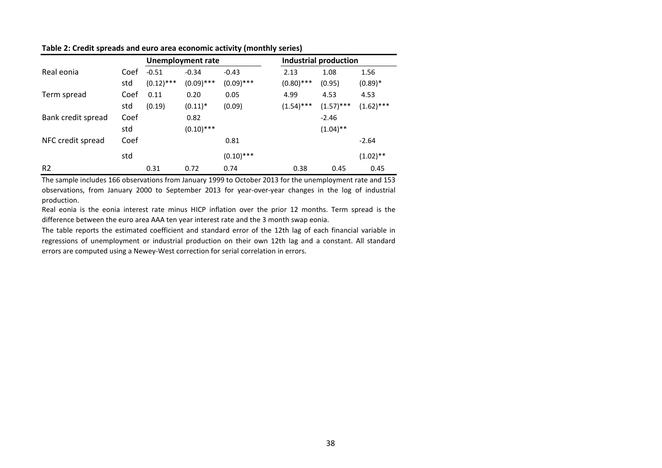|                    |      |              | <b>Unemployment rate</b> |              |              | Industrial production |              |
|--------------------|------|--------------|--------------------------|--------------|--------------|-----------------------|--------------|
| Real eonia         | Coef | $-0.51$      | $-0.34$                  | $-0.43$      | 2.13         | 1.08                  | 1.56         |
|                    | std  | $(0.12)$ *** | $(0.09)$ ***             | $(0.09)$ *** | $(0.80)$ *** | (0.95)                | $(0.89)$ *   |
| Term spread        | Coef | 0.11         | 0.20                     | 0.05         | 4.99         | 4.53                  | 4.53         |
|                    | std  | (0.19)       | $(0.11)^*$               | (0.09)       | $(1.54)$ *** | $(1.57)$ ***          | $(1.62)$ *** |
| Bank credit spread | Coef |              | 0.82                     |              |              | $-2.46$               |              |
|                    | std  |              | $(0.10)$ ***             |              |              | $(1.04)$ **           |              |
| NFC credit spread  | Coef |              |                          | 0.81         |              |                       | $-2.64$      |
|                    | std  |              |                          | $(0.10)$ *** |              |                       | $(1.02)$ **  |
| R <sub>2</sub>     |      | 0.31         | 0.72                     | 0.74         | 0.38         | 0.45                  | 0.45         |

**Table 2: Credit spreads and euro area economic activity (monthly series)**

The sample includes 166 observations from January 1999 to October 2013 for the unemployment rate and 153 observations, from January 2000 to September 2013 for year-over-year changes in the log of industrial production.

Real eonia is the eonia interest rate minus HICP inflation over the prior 12 months. Term spread is the difference between the euro area AAA ten year interest rate and the 3 month swap eonia.

The table reports the estimated coefficient and standard error of the 12th lag of each financial variable in regressions of unemployment or industrial production on their own 12th lag and a constant. All standard errors are computed using a Newey-West correction for serial correlation in errors.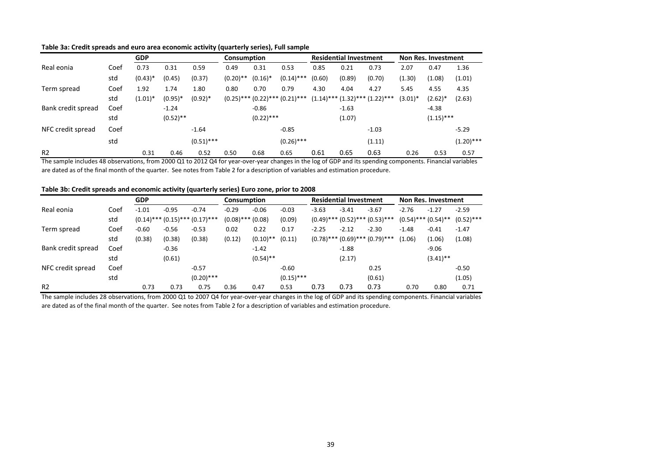|                    |      | <b>GDP</b> |             |              | <b>Consumption</b> |              |                                        |        | <b>Residential Investment</b> |                                        |            | Non Res. Investment |              |
|--------------------|------|------------|-------------|--------------|--------------------|--------------|----------------------------------------|--------|-------------------------------|----------------------------------------|------------|---------------------|--------------|
| Real eonia         | Coef | 0.73       | 0.31        | 0.59         | 0.49               | 0.31         | 0.53                                   | 0.85   | 0.21                          | 0.73                                   | 2.07       | 0.47                | 1.36         |
|                    | std  | $(0.43)*$  | (0.45)      | (0.37)       | $(0.20)$ **        | $(0.16)^*$   | $(0.14)$ ***                           | (0.60) | (0.89)                        | (0.70)                                 | (1.30)     | (1.08)              | (1.01)       |
| Term spread        | Coef | 1.92       | 1.74        | 1.80         | 0.80               | 0.70         | 0.79                                   | 4.30   | 4.04                          | 4.27                                   | 5.45       | 4.55                | 4.35         |
|                    | std  | $(1.01)^*$ | $(0.95)^*$  | $(0.92)*$    |                    |              | $(0.25)$ *** $(0.22)$ *** $(0.21)$ *** |        |                               | $(1.14)$ *** $(1.32)$ *** $(1.22)$ *** | $(3.01)^*$ | $(2.62)*$           | (2.63)       |
| Bank credit spread | Coef |            | $-1.24$     |              |                    | $-0.86$      |                                        |        | $-1.63$                       |                                        |            | $-4.38$             |              |
|                    | std  |            | $(0.52)$ ** |              |                    | $(0.22)$ *** |                                        |        | (1.07)                        |                                        |            | $(1.15)$ ***        |              |
| NFC credit spread  | Coef |            |             | $-1.64$      |                    |              | $-0.85$                                |        |                               | $-1.03$                                |            |                     | $-5.29$      |
|                    | std  |            |             | $(0.51)$ *** |                    |              | $(0.26)$ ***                           |        |                               | (1.11)                                 |            |                     | $(1.20)$ *** |
| R <sub>2</sub>     |      | 0.31       | 0.46        | 0.52         | 0.50               | 0.68         | 0.65                                   | 0.61   | 0.65                          | 0.63                                   | 0.26       | 0.53                | 0.57         |

#### **Table 3a: Credit spreads and euro area economic activity (quarterly series), Full sample**

The sample includes 48 observations, from 2000 Q1 to 2012 Q4 for year-over-year changes in the log of GDP and its spending components. Financial variables are dated as of the final month of the quarter. See notes from Table 2 for a description of variables and estimation procedure.

#### **Table 3b: Credit spreads and economic activity (quarterly series) Euro zone, prior to 2008**

|                    |      | <b>GDP</b> |         |                                        | Consumption |                       | <b>Residential Investment</b> |         |         | <b>Non Res. Investment</b>             |         |                          |              |
|--------------------|------|------------|---------|----------------------------------------|-------------|-----------------------|-------------------------------|---------|---------|----------------------------------------|---------|--------------------------|--------------|
| Real eonia         | Coef | $-1.01$    | $-0.95$ | $-0.74$                                | $-0.29$     | $-0.06$               | $-0.03$                       | $-3.63$ | $-3.41$ | $-3.67$                                | $-2.76$ | $-1.27$                  | $-2.59$      |
|                    | std  |            |         | $(0.14)$ *** $(0.15)$ *** $(0.17)$ *** |             | $(0.08)$ *** $(0.08)$ | (0.09)                        |         |         | $(0.49)$ *** $(0.52)$ *** $(0.53)$ *** |         | $(0.54)$ *** $(0.54)$ ** | $(0.52)$ *** |
| Term spread        | Coef | $-0.60$    | $-0.56$ | $-0.53$                                | 0.02        | 0.22                  | 0.17                          | $-2.25$ | $-2.12$ | $-2.30$                                | $-1.48$ | $-0.41$                  | $-1.47$      |
|                    | std  | (0.38)     | (0.38)  | (0.38)                                 | (0.12)      | $(0.10)$ **           | (0.11)                        |         |         | $(0.78)$ *** $(0.69)$ *** $(0.79)$ *** | (1.06)  | (1.06)                   | (1.08)       |
| Bank credit spread | Coef |            | $-0.36$ |                                        |             | $-1.42$               |                               |         | $-1.88$ |                                        |         | $-9.06$                  |              |
|                    | std  |            | (0.61)  |                                        |             | $(0.54)$ **           |                               |         | (2.17)  |                                        |         | $(3.41)$ **              |              |
| NFC credit spread  | Coef |            |         | $-0.57$                                |             |                       | $-0.60$                       |         |         | 0.25                                   |         |                          | $-0.50$      |
|                    | std  |            |         | $(0.20)$ ***                           |             |                       | $(0.15)$ ***                  |         |         | (0.61)                                 |         |                          | (1.05)       |
| R <sub>2</sub>     |      | 0.73       | 0.73    | 0.75                                   | 0.36        | 0.47                  | 0.53                          | 0.73    | 0.73    | 0.73                                   | 0.70    | 0.80                     | 0.71         |

The sample includes 28 observations, from 2000 Q1 to 2007 Q4 for year-over-year changes in the log of GDP and its spending components. Financial variables are dated as of the final month of the quarter. See notes from Table 2 for a description of variables and estimation procedure.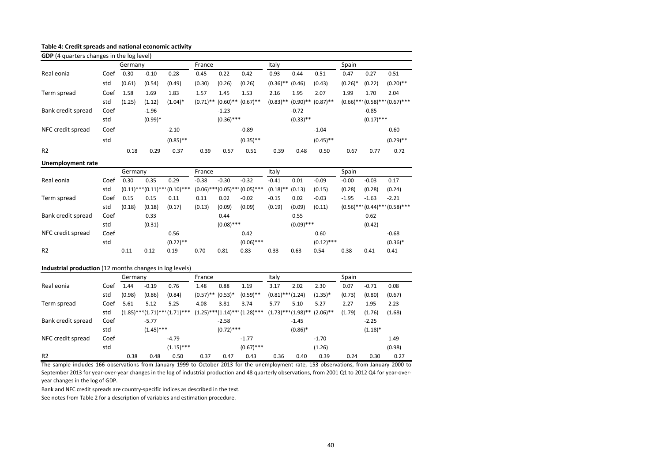#### **Table 4: Credit spreads and national economic activity**

| <b>GDP</b> (4 quarters changes in the log level)        |      |         |           |                                        |             |              |                                        |                       |                          |              |            |                           |                                        |
|---------------------------------------------------------|------|---------|-----------|----------------------------------------|-------------|--------------|----------------------------------------|-----------------------|--------------------------|--------------|------------|---------------------------|----------------------------------------|
|                                                         |      | Germany |           |                                        | France      |              |                                        | Italy                 |                          |              | Spain      |                           |                                        |
| Real eonia                                              | Coef | 0.30    | $-0.10$   | 0.28                                   | 0.45        | 0.22         | 0.42                                   | 0.93                  | 0.44                     | 0.51         | 0.47       | 0.27                      | 0.51                                   |
|                                                         | std  | (0.61)  | (0.54)    | (0.49)                                 | (0.30)      | (0.26)       | (0.26)                                 | $(0.36)$ **           | (0.46)                   | (0.43)       | $(0.26)$ * | (0.22)                    | $(0.20)$ **                            |
| Term spread                                             | Coef | 1.58    | 1.69      | 1.83                                   | 1.57        | 1.45         | 1.53                                   | 2.16                  | 1.95                     | 2.07         | 1.99       | 1.70                      | 2.04                                   |
|                                                         | std  | (1.25)  | (1.12)    | $(1.04)^*$                             | $(0.71)$ ** | $(0.60)$ **  | $(0.67)$ **                            | $(0.83)$ **           | $(0.90)$ **              | $(0.87)$ **  |            | $(0.66)$ *** $(0.58)$ *** | $(0.67)$ ***                           |
| Bank credit spread                                      | Coef |         | $-1.96$   |                                        |             | $-1.23$      |                                        |                       | $-0.72$                  |              |            | $-0.85$                   |                                        |
|                                                         | std  |         | $(0.99)*$ |                                        |             | $(0.36)$ *** |                                        |                       | $(0.33)$ **              |              |            | $(0.17)$ ***              |                                        |
| NFC credit spread                                       | Coef |         |           | $-2.10$                                |             |              | $-0.89$                                |                       |                          | $-1.04$      |            |                           | $-0.60$                                |
|                                                         | std  |         |           | $(0.85)$ **                            |             |              | $(0.35)$ **                            |                       |                          | $(0.45)$ **  |            |                           | $(0.29)$ **                            |
| R <sub>2</sub>                                          |      | 0.18    | 0.29      | 0.37                                   | 0.39        | 0.57         | 0.51                                   | 0.39                  | 0.48                     | 0.50         | 0.67       | 0.77                      | 0.72                                   |
| <b>Unemployment rate</b>                                |      |         |           |                                        |             |              |                                        |                       |                          |              |            |                           |                                        |
|                                                         |      | Germany |           |                                        | France      |              |                                        | Italy                 |                          |              | Spain      |                           |                                        |
| Real eonia                                              | Coef | 0.30    | 0.35      | 0.29                                   | $-0.38$     | $-0.30$      | $-0.32$                                | $-0.41$               | 0.01                     | $-0.09$      | $-0.00$    | $-0.03$                   | 0.17                                   |
|                                                         | std  |         |           | $(0.11)$ *** $(0.11)$ *** $(0.10)$ *** | $(0.06)$ ** |              | $*(0.05)$ *** $(0.05)$ ***             | $(0.18)$ **           | (0.13)                   | (0.15)       | (0.28)     | (0.28)                    | (0.24)                                 |
| Term spread                                             | Coef | 0.15    | 0.15      | 0.11                                   | 0.11        | 0.02         | $-0.02$                                | $-0.15$               | 0.02                     | $-0.03$      | $-1.95$    | $-1.63$                   | $-2.21$                                |
|                                                         | std  | (0.18)  | (0.18)    | (0.17)                                 | (0.13)      | (0.09)       | (0.09)                                 | (0.19)                | (0.09)                   | (0.11)       |            |                           | $(0.56)$ *** $(0.44)$ *** $(0.58)$ *** |
| Bank credit spread                                      | Coef |         | 0.33      |                                        |             | 0.44         |                                        |                       | 0.55                     |              |            | 0.62                      |                                        |
|                                                         | std  |         | (0.31)    |                                        |             | $(0.08)$ *** |                                        |                       | $(0.09)$ ***             |              |            | (0.42)                    |                                        |
| NFC credit spread                                       | Coef |         |           | 0.56                                   |             |              | 0.42                                   |                       |                          | 0.60         |            |                           | $-0.68$                                |
|                                                         | std  |         |           | $(0.22)$ **                            |             |              | $(0.06)$ ***                           |                       |                          | $(0.12)$ *** |            |                           | $(0.36)*$                              |
| R <sub>2</sub>                                          |      | 0.11    | 0.12      | 0.19                                   | 0.70        | 0.81         | 0.83                                   | 0.33                  | 0.63                     | 0.54         | 0.38       | 0.41                      | 0.41                                   |
| Industrial production (12 months changes in log levels) |      |         |           |                                        |             |              |                                        |                       |                          |              |            |                           |                                        |
|                                                         |      | Germany |           |                                        | France      |              |                                        | Italy                 |                          |              | Spain      |                           |                                        |
| Real eonia                                              | Coef | 1.44    | $-0.19$   | 0.76                                   | 1.48        | 0.88         | 1.19                                   | 3.17                  | 2.02                     | 2.30         | 0.07       | $-0.71$                   | 0.08                                   |
|                                                         | std  | (0.98)  | (0.86)    | (0.84)                                 | $(0.57)$ ** | $(0.53)*$    | $(0.59)$ **                            | $(0.81)$ *** $(1.24)$ |                          | $(1.35)^*$   | (0.73)     | (0.80)                    | (0.67)                                 |
| Term spread                                             | Coef | 5.61    | 5.12      | 5.25                                   | 4.08        | 3.81         | 3.74                                   | 5.77                  | 5.10                     | 5.27         | 2.27       | 1.95                      | 2.23                                   |
|                                                         | std  |         |           | $(1.85)$ *** $(1.71)$ *** $(1.71)$ *** |             |              | $(1.25)$ *** $(1.14)$ *** $(1.28)$ *** |                       | $(1.73)$ *** $(1.98)$ ** | $(2.06)$ **  | (1.79)     | (1.76)                    | (1.68)                                 |

std (1.15)\*\*\* (0.67)\*\*\* (1.26) (0.98) R2 0.38 0.48 0.50 0.37 0.47 0.43 0.36 0.40 0.39 0.24 0.30 0.27 The sample includes 166 observations from January 1999 to October 2013 for the unemployment rate, 153 observations, from January 2000 to September 2013 for year-over-year changes in the log of industrial production and 48 quarterly observations, from 2001 Q1 to 2012 Q4 for year-overyear changes in the log of GDP.

NFC credit spread Coef -4.79 -1.77 -1.70 -1.70 -1.70 1.49

std (1.45)\*\*\* (0.72)\*\*\* (0.86)\* (0.86)\* (1.18)\*

Bank credit spread Coef -5.77 -2.58 -2.58 -1.45 -2.25

Bank and NFC credit spreads are country-specific indices as described in the text.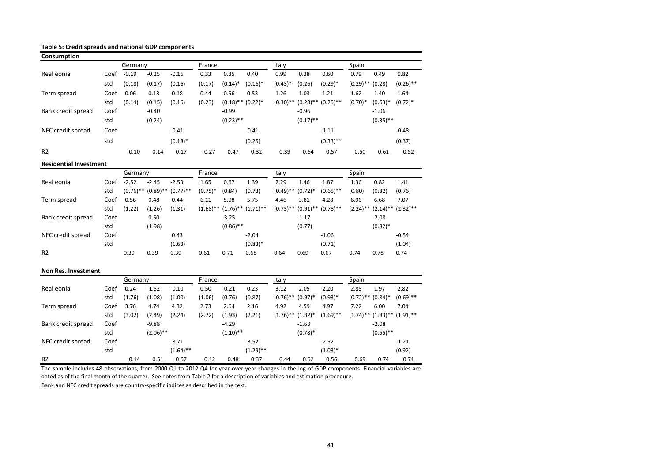**Table 5: Credit spreads and national GDP components** 

| Consumption                   |      |             |             |             |             |                        |                         |             |                       |             |                        |             |                         |
|-------------------------------|------|-------------|-------------|-------------|-------------|------------------------|-------------------------|-------------|-----------------------|-------------|------------------------|-------------|-------------------------|
|                               |      | Germany     |             |             | France      |                        |                         | Italy       |                       |             | Spain                  |             |                         |
| Real eonia                    | Coef | $-0.19$     | $-0.25$     | $-0.16$     | 0.33        | 0.35                   | 0.40                    | 0.99        | 0.38                  | 0.60        | 0.79                   | 0.49        | 0.82                    |
|                               | std  | (0.18)      | (0.17)      | (0.16)      | (0.17)      | $(0.14)^*$             | $(0.16)^*$              | $(0.43)*$   | (0.26)                | $(0.29)*$   | $(0.29)$ ** $(0.28)$   |             | $(0.26)$ **             |
| Term spread                   | Coef | 0.06        | 0.13        | 0.18        | 0.44        | 0.56                   | 0.53                    | 1.26        | 1.03                  | 1.21        | 1.62                   | 1.40        | 1.64                    |
|                               | std  | (0.14)      | (0.15)      | (0.16)      | (0.23)      | $(0.18)$ ** $(0.22)$ * |                         | $(0.30)$ ** | $(0.28)$ **           | $(0.25)$ ** | $(0.70)*$              | $(0.63)*$   | $(0.72)*$               |
| Bank credit spread            | Coef |             | $-0.40$     |             |             | $-0.99$                |                         |             | $-0.96$               |             |                        | $-1.06$     |                         |
|                               | std  |             | (0.24)      |             |             | $(0.23)$ **            |                         |             | $(0.17)$ **           |             |                        | $(0.35)$ ** |                         |
| NFC credit spread             | Coef |             |             | $-0.41$     |             |                        | $-0.41$                 |             |                       | $-1.11$     |                        |             | $-0.48$                 |
|                               | std  |             |             | $(0.18)*$   |             |                        | (0.25)                  |             |                       | $(0.33)$ ** |                        |             | (0.37)                  |
| R <sub>2</sub>                |      | 0.10        | 0.14        | 0.17        | 0.27        | 0.47                   | 0.32                    | 0.39        | 0.64                  | 0.57        | 0.50                   | 0.61        | 0.52                    |
| <b>Residential Investment</b> |      |             |             |             |             |                        |                         |             |                       |             |                        |             |                         |
|                               |      | Germany     |             |             | France      |                        |                         | Italy       |                       |             | Spain                  |             |                         |
| Real eonia                    | Coef | $-2.52$     | $-2.45$     | $-2.53$     | 1.65        | 0.67                   | 1.39                    | 2.29        | 1.46                  | 1.87        | 1.36                   | 0.82        | 1.41                    |
|                               | std  | $(0.76)$ ** | $(0.89)$ ** | $(0.77)$ ** | $(0.75)*$   | (0.84)                 | (0.73)                  | $(0.49)$ ** | $(0.72)$ <sup>*</sup> | $(0.65)$ ** | (0.80)                 | (0.82)      | (0.76)                  |
| Term spread                   | Coef | 0.56        | 0.48        | 0.44        | 6.11        | 5.08                   | 5.75                    | 4.46        | 3.81                  | 4.28        | 6.96                   | 6.68        | 7.07                    |
|                               | std  | (1.22)      | (1.26)      | (1.31)      | $(1.68)$ ** |                        | $(1.76)$ ** $(1.71)$ ** | $(0.73)$ ** | $(0.91)$ **           | $(0.78)$ ** | $(2.24)$ **            | $(2.14)$ ** | $(2.32)$ **             |
| Bank credit spread            | Coef |             | 0.50        |             |             | $-3.25$                |                         |             | $-1.17$               |             |                        | $-2.08$     |                         |
|                               | std  |             | (1.98)      |             |             | $(0.86)$ **            |                         |             | (0.77)                |             |                        | $(0.82)*$   |                         |
| NFC credit spread             | Coef |             |             | 0.43        |             |                        | $-2.04$                 |             |                       | $-1.06$     |                        |             | $-0.54$                 |
|                               | std  |             |             | (1.63)      |             |                        | $(0.83)*$               |             |                       | (0.71)      |                        |             | (1.04)                  |
| R <sub>2</sub>                |      | 0.39        | 0.39        | 0.39        | 0.61        | 0.71                   | 0.68                    | 0.64        | 0.69                  | 0.67        | 0.74                   | 0.78        | 0.74                    |
| <b>Non Res. Investment</b>    |      |             |             |             |             |                        |                         |             |                       |             |                        |             |                         |
|                               |      | Germany     |             |             | France      |                        |                         | Italy       |                       |             | Spain                  |             |                         |
| Real eonia                    | Coef | 0.24        | $-1.52$     | $-0.10$     | 0.50        | $-0.21$                | 0.23                    | 3.12        | 2.05                  | 2.20        | 2.85                   | 1.97        | 2.82                    |
|                               | std  | (1.76)      | (1.08)      | (1.00)      | (1.06)      | (0.76)                 | (0.87)                  | $(0.76)$ ** | $(0.97)^*$            | $(0.93)*$   | $(0.72)$ ** $(0.84)$ * |             | $(0.69)$ **             |
| Term spread                   | Coef | 3.76        | 4.74        | 4.32        | 2.73        | 2.64                   | 2.16                    | 4.92        | 4.59                  | 4.97        | 7.22                   | 6.00        | 7.04                    |
|                               | std  | (3.02)      | (2.49)      | (2.24)      | (2.72)      | (1.93)                 | (2.21)                  | $(1.76)$ ** | $(1.82)^*$            | $(1.69)$ ** | $(1.74)$ **            |             | $(1.83)$ ** $(1.91)$ ** |
| Bank credit spread            | Coef |             | $-9.88$     |             |             | $-4.29$                |                         |             | $-1.63$               |             |                        | $-2.08$     |                         |
|                               | std  |             | $(2.06)$ ** |             |             | $(1.10)$ **            |                         |             | $(0.78)$ *            |             |                        | $(0.55)$ ** |                         |
| NFC credit spread             | Coef |             |             | $-8.71$     |             |                        | $-3.52$                 |             |                       | $-2.52$     |                        |             | $-1.21$                 |
|                               | std  |             |             | $(1.64)$ ** |             |                        | $(1.29)$ **             |             |                       | $(1.03)*$   |                        |             | (0.92)                  |

The sample includes 48 observations, from 2000 Q1 to 2012 Q4 for year-over-year changes in the log of GDP components. Financial variables are dated as of the final month of the quarter. See notes from Table 2 for a description of variables and estimation procedure.

R2 0.14 0.51 0.57 0.12 0.48 0.37 0.44 0.52 0.56 0.69 0.74 0.71

Bank and NFC credit spreads are country-specific indices as described in the text.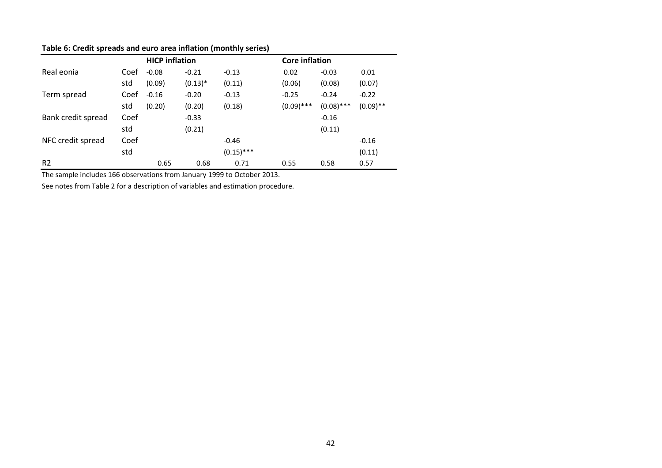|                    |      | <b>HICP</b> inflation |           |              | <b>Core inflation</b> |              |             |  |  |
|--------------------|------|-----------------------|-----------|--------------|-----------------------|--------------|-------------|--|--|
| Real eonia         | Coef | $-0.08$               | $-0.21$   | $-0.13$      | 0.02                  | $-0.03$      | 0.01        |  |  |
|                    | std  | (0.09)                | $(0.13)*$ | (0.11)       | (0.06)                | (0.08)       | (0.07)      |  |  |
| Term spread        | Coef | $-0.16$               | $-0.20$   | $-0.13$      | $-0.25$               | $-0.24$      | $-0.22$     |  |  |
|                    | std  | (0.20)                | (0.20)    | (0.18)       | $(0.09)$ ***          | $(0.08)$ *** | $(0.09)$ ** |  |  |
| Bank credit spread | Coef |                       | $-0.33$   |              |                       | $-0.16$      |             |  |  |
|                    | std  |                       | (0.21)    |              |                       | (0.11)       |             |  |  |
| NFC credit spread  | Coef |                       |           | $-0.46$      |                       |              | $-0.16$     |  |  |
|                    | std  |                       |           | $(0.15)$ *** |                       |              | (0.11)      |  |  |
| R <sub>2</sub>     |      | 0.65                  | 0.68      | 0.71         | 0.55                  | 0.58         | 0.57        |  |  |

#### **Table 6: Credit spreads and euro area inflation (monthly series)**

The sample includes 166 observations from January 1999 to October 2013.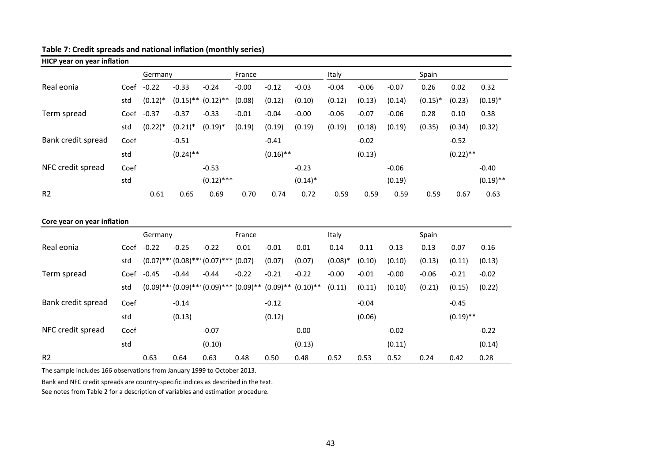## **Table 7: Credit spreads and national inflation (monthly series)**

| <b>HICP year on year inflation</b> |                             |            |             |                         |         |             |            |         |         |         |            |             |             |
|------------------------------------|-----------------------------|------------|-------------|-------------------------|---------|-------------|------------|---------|---------|---------|------------|-------------|-------------|
|                                    |                             | Germany    |             |                         | France  |             |            | Italy   |         |         | Spain      |             |             |
| Real eonia                         | Coef                        | $-0.22$    | $-0.33$     | $-0.24$                 | $-0.00$ | $-0.12$     | $-0.03$    | $-0.04$ | $-0.06$ | $-0.07$ | 0.26       | 0.02        | 0.32        |
|                                    | std                         | $(0.12)^*$ |             | $(0.15)$ ** $(0.12)$ ** | (0.08)  | (0.12)      | (0.10)     | (0.12)  | (0.13)  | (0.14)  | $(0.15)^*$ | (0.23)      | $(0.19)*$   |
| Term spread                        | Coef                        | $-0.37$    | $-0.37$     | $-0.33$                 | $-0.01$ | $-0.04$     | $-0.00$    | $-0.06$ | $-0.07$ | $-0.06$ | 0.28       | 0.10        | 0.38        |
|                                    | std                         | $(0.22)*$  | $(0.21)^*$  | $(0.19)^*$              | (0.19)  | (0.19)      | (0.19)     | (0.19)  | (0.18)  | (0.19)  | (0.35)     | (0.34)      | (0.32)      |
| Bank credit spread                 | Coef                        |            | $-0.51$     |                         |         | $-0.41$     |            |         | $-0.02$ |         |            | $-0.52$     |             |
|                                    | std                         |            | $(0.24)$ ** |                         |         | $(0.16)$ ** |            |         | (0.13)  |         |            | $(0.22)$ ** |             |
| NFC credit spread                  | Coef                        |            |             | $-0.53$                 |         |             | $-0.23$    |         |         | $-0.06$ |            |             | $-0.40$     |
|                                    | std                         |            |             | $(0.12)$ ***            |         |             | $(0.14)^*$ |         |         | (0.19)  |            |             | $(0.19)$ ** |
| R <sub>2</sub>                     |                             | 0.61       | 0.65        | 0.69                    | 0.70    | 0.74        | 0.72       | 0.59    | 0.59    | 0.59    | 0.59       | 0.67        | 0.63        |
|                                    |                             |            |             |                         |         |             |            |         |         |         |            |             |             |
|                                    | Core year on year inflation |            |             |                         |         |             |            |         |         |         |            |             |             |

|                    |      | Germany |         |                                                                             | France  |         |         | Italy     |         |         | Spain   |             |         |
|--------------------|------|---------|---------|-----------------------------------------------------------------------------|---------|---------|---------|-----------|---------|---------|---------|-------------|---------|
| Real eonia         | Coef | $-0.22$ | $-0.25$ | $-0.22$                                                                     | 0.01    | $-0.01$ | 0.01    | 0.14      | 0.11    | 0.13    | 0.13    | 0.07        | 0.16    |
|                    | std  |         |         | $(0.07)$ *** $(0.08)$ *** $(0.07)$ *** $(0.07)$                             |         | (0.07)  | (0.07)  | $(0.08)*$ | (0.10)  | (0.10)  | (0.13)  | (0.11)      | (0.13)  |
| Term spread        | Coef | $-0.45$ | $-0.44$ | $-0.44$                                                                     | $-0.22$ | $-0.21$ | $-0.22$ | $-0.00$   | $-0.01$ | $-0.00$ | $-0.06$ | $-0.21$     | $-0.02$ |
|                    | std  |         |         | $(0.09)$ *** $(0.09)$ *** $(0.09)$ *** $(0.09)$ *** $(0.09)$ ** $(0.10)$ ** |         |         |         | (0.11)    | (0.11)  | (0.10)  | (0.21)  | (0.15)      | (0.22)  |
| Bank credit spread | Coef |         | $-0.14$ |                                                                             |         | $-0.12$ |         |           | $-0.04$ |         |         | $-0.45$     |         |
|                    | std  |         | (0.13)  |                                                                             |         | (0.12)  |         |           | (0.06)  |         |         | $(0.19)$ ** |         |
| NFC credit spread  | Coef |         |         | $-0.07$                                                                     |         |         | 0.00    |           |         | $-0.02$ |         |             | $-0.22$ |
|                    | std  |         |         | (0.10)                                                                      |         |         | (0.13)  |           |         | (0.11)  |         |             | (0.14)  |
| R <sub>2</sub>     |      | 0.63    | 0.64    | 0.63                                                                        | 0.48    | 0.50    | 0.48    | 0.52      | 0.53    | 0.52    | 0.24    | 0.42        | 0.28    |

The sample includes 166 observations from January 1999 to October 2013.

Bank and NFC credit spreads are country-specific indices as described in the text.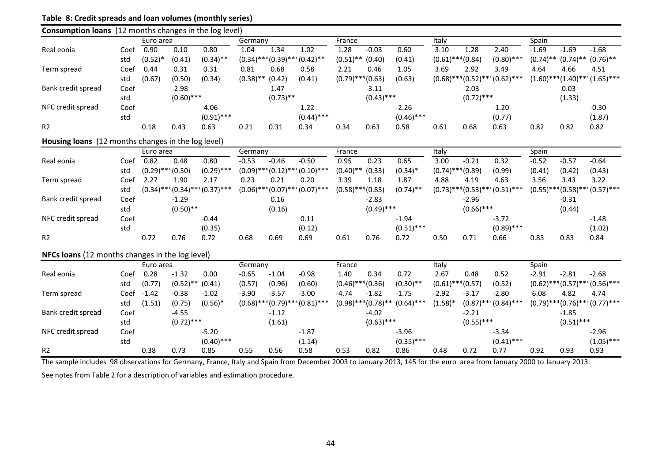## **Table 8: Credit spreads and loan volumes (monthly series)**

| <b>Consumption loans</b> (12 months changes in the log level) |      |                       |              |                                        |              |                           |                                        |                       |              |              |                       |              |                           |             |              |                           |
|---------------------------------------------------------------|------|-----------------------|--------------|----------------------------------------|--------------|---------------------------|----------------------------------------|-----------------------|--------------|--------------|-----------------------|--------------|---------------------------|-------------|--------------|---------------------------|
|                                                               |      | Euro area             |              |                                        | Germany      |                           |                                        | France                |              |              | Italy                 |              |                           | Spain       |              |                           |
| Real eonia                                                    | Coef | 0.90                  | 0.10         | 0.80                                   | 1.04         | 1.34                      | 1.02                                   | 1.28                  | $-0.03$      | 0.60         | 3.10                  | 1.28         | 2.40                      | $-1.69$     | $-1.69$      | $-1.68$                   |
|                                                               | std  | $(0.52)^*$            | (0.41)       | $(0.34)$ **                            |              | $(0.34)$ *** $(0.39)$ *** | $(0.42)$ **                            | $(0.51)$ **           | (0.40)       | (0.41)       | $(0.61)$ *** $(0.84)$ |              | $(0.80)$ ***              | $(0.74)$ ** | $(0.74)$ **  | $(0.76)$ **               |
| Term spread                                                   | Coef | 0.44                  | 0.31         | 0.31                                   | 0.81         | 0.68                      | 0.58                                   | 2.21                  | 0.46         | 1.05         | 3.69                  | 2.92         | 3.49                      | 4.64        | 4.66         | 4.51                      |
|                                                               | std  | (0.67)                | (0.50)       | (0.34)                                 | $(0.38)$ **  | (0.42)                    | (0.41)                                 | $(0.79)$ *** $(0.63)$ |              | (0.63)       | $(0.68)$ ***          |              | $(0.52)$ **' $(0.62)$ *** | $(1.60)$ ** |              | $(1.40)$ *** $(1.65)$ *** |
| Bank credit spread                                            | Coef |                       | $-2.98$      |                                        |              | 1.47                      |                                        |                       | $-3.11$      |              |                       | $-2.03$      |                           |             | 0.03         |                           |
|                                                               | std  |                       | $(0.60)$ *** |                                        |              | $(0.73)$ **               |                                        |                       | $(0.43)$ *** |              |                       | $(0.72)$ *** |                           |             | (1.33)       |                           |
| NFC credit spread                                             | Coef |                       |              | $-4.06$                                |              |                           | 1.22                                   |                       |              | $-2.26$      |                       |              | $-1.20$                   |             |              | $-0.30$                   |
|                                                               | std  |                       |              | $(0.91)$ ***                           |              |                           | $(0.44)$ ***                           |                       |              | $(0.46)$ *** |                       |              | (0.77)                    |             |              | (1.87)                    |
| R <sub>2</sub>                                                |      | 0.18                  | 0.43         | 0.63                                   | 0.21         | 0.31                      | 0.34                                   | 0.34                  | 0.63         | 0.58         | 0.61                  | 0.68         | 0.63                      | 0.82        | 0.82         | 0.82                      |
| Housing loans (12 months changes in the log level)            |      |                       |              |                                        |              |                           |                                        |                       |              |              |                       |              |                           |             |              |                           |
|                                                               |      | Euro area             |              |                                        | Germany      |                           |                                        | France                |              |              | Italy                 |              |                           | Spain       |              |                           |
| Real eonia                                                    | Coef | 0.82                  | 0.48         | 0.80                                   | $-0.53$      | $-0.46$                   | $-0.50$                                | 0.95                  | 0.23         | 0.65         | 3.00                  | $-0.21$      | 0.32                      | $-0.52$     | $-0.57$      | $-0.64$                   |
|                                                               | std  | $(0.29)$ *** $(0.30)$ |              | $(0.29)$ ***                           |              | $(0.09)$ *** $(0.12)$ *** | $^*(0.10)^{***}$                       | $(0.40)$ **           | (0.33)       | $(0.34)^*$   | $(0.74)$ *** $(0.89)$ |              | (0.99)                    | (0.41)      | (0.42)       | (0.43)                    |
| Term spread                                                   | Coef | 2.27                  | 1.90         | 2.17                                   | 0.23         | 0.21                      | 0.20                                   | 3.39                  | 1.18         | 1.87         | 4.88                  | 4.19         | 4.63                      | 3.56        | 3.43         | 3.22                      |
|                                                               | std  |                       |              | $(0.34)$ *** $(0.34)$ *** $(0.37)$ *** | $(0.06)$ *** | $(0.07)$ ***              | $(0.07)$ ***                           | $(0.58)$ **           | $*(0.83)$    | $(0.74)$ **  | $(0.73)$ ***          |              | $(0.53)$ **' $(0.51)$ *** | $(0.55)$ ** | $(0.58)$ **  | $(0.57)$ ***              |
| Bank credit spread                                            | Coef |                       | $-1.29$      |                                        |              | 0.16                      |                                        |                       | $-2.83$      |              |                       | $-2.96$      |                           |             | $-0.31$      |                           |
|                                                               | std  |                       | $(0.50)$ **  |                                        |              | (0.16)                    |                                        |                       | $(0.49)$ *** |              |                       | $(0.66)$ *** |                           |             | (0.44)       |                           |
| NFC credit spread                                             | Coef |                       |              | $-0.44$                                |              |                           | 0.11                                   |                       |              | $-1.94$      |                       |              | $-3.72$                   |             |              | $-1.48$                   |
|                                                               | std  |                       |              | (0.35)                                 |              |                           | (0.12)                                 |                       |              | $(0.51)$ *** |                       |              | $(0.89)$ ***              |             |              | (1.02)                    |
| R <sub>2</sub>                                                |      | 0.72                  | 0.76         | 0.72                                   | 0.68         | 0.69                      | 0.69                                   | 0.61                  | 0.76         | 0.72         | 0.50                  | 0.71         | 0.66                      | 0.83        | 0.83         | 0.84                      |
| NFCs loans (12 months changes in the log level)               |      |                       |              |                                        |              |                           |                                        |                       |              |              |                       |              |                           |             |              |                           |
|                                                               |      | Euro area             |              |                                        | Germany      |                           |                                        | France                |              |              | Italy                 |              |                           | Spain       |              |                           |
| Real eonia                                                    | Coef | 0.28                  | $-1.32$      | 0.00                                   | $-0.65$      | $-1.04$                   | $-0.98$                                | 1.40                  | 0.34         | 0.72         | 2.67                  | 0.48         | 0.52                      | $-2.91$     | $-2.81$      | $-2.68$                   |
|                                                               | std  | (0.77)                | $(0.52)$ **  | (0.41)                                 | (0.57)       | (0.96)                    | (0.60)                                 | $(0.46)$ *** $(0.36)$ |              | $(0.30)$ **  | $(0.61)$ *** $(0.57)$ |              | (0.52)                    | $(0.62)$ *  | $*(0.57)$ ** | $(0.56)$ ***              |
| Term spread                                                   | Coef | $-1.42$               | $-0.38$      | $-1.02$                                | $-3.90$      | $-3.57$                   | $-3.00$                                | $-4.74$               | $-1.82$      | $-1.75$      | $-2.92$               | $-3.17$      | $-2.80$                   | 6.08        | 4.82         | 4.74                      |
|                                                               | std  | (1.51)                | (0.75)       | $(0.56)^*$                             |              |                           | $(0.68)$ *** $(0.79)$ *** $(0.81)$ *** | $(0.98)$ **           | $*(0.78)$ ** | $(0.64)$ *** | $(1.58)^*$            |              | $(0.87)$ *** $(0.84)$ *** | $(0.79)$ ** |              | $*(0.76)***(0.77)***$     |
| Bank credit spread                                            | Coef |                       | $-4.55$      |                                        |              | $-1.12$                   |                                        |                       | $-4.02$      |              |                       | $-2.21$      |                           |             | $-1.85$      |                           |
|                                                               | std  |                       | $(0.72)$ *** |                                        |              | (1.61)                    |                                        |                       | $(0.63)$ *** |              |                       | $(0.55)$ *** |                           |             | $(0.51)$ *** |                           |
| NFC credit spread                                             | Coef |                       |              | $-5.20$                                |              |                           | $-1.87$                                |                       |              | $-3.96$      |                       |              | $-3.34$                   |             |              | $-2.96$                   |
|                                                               | std  |                       |              | $(0.40)$ ***                           |              |                           | (1.14)                                 |                       |              | $(0.35)$ *** |                       |              | $(0.41)$ ***              |             |              | $(1.05)$ ***              |
| R <sub>2</sub>                                                |      | 0.38                  | 0.73         | 0.85                                   | 0.55         | 0.56                      | 0.58                                   | 0.53                  | 0.82         | 0.86         | 0.48                  | 0.72         | 0.77                      | 0.92        | 0.93         | 0.93                      |

The sample includes 98 observations for Germany, France, Italy and Spain from December 2003 to January 2013, 145 for the euro area from January 2000 to January 2013.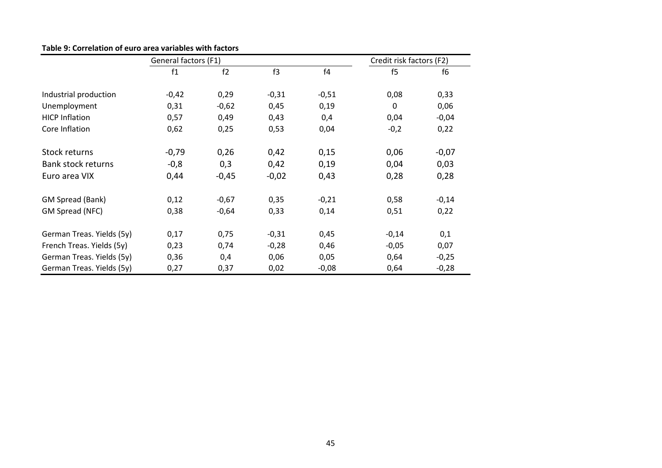| Table 9: Correlation of euro area variables with factors |  |  |  |
|----------------------------------------------------------|--|--|--|
|----------------------------------------------------------|--|--|--|

|                           | General factors (F1) |         |         |         | Credit risk factors (F2) |                |  |  |
|---------------------------|----------------------|---------|---------|---------|--------------------------|----------------|--|--|
|                           | f1                   | f2      | f3      | f4      | f5                       | f <sub>6</sub> |  |  |
| Industrial production     | $-0,42$              | 0,29    | $-0,31$ | $-0,51$ | 0,08                     | 0,33           |  |  |
| Unemployment              | 0,31                 | $-0,62$ | 0,45    | 0,19    | $\Omega$                 | 0,06           |  |  |
| <b>HICP Inflation</b>     | 0,57                 | 0,49    | 0,43    | 0,4     | 0,04                     | $-0,04$        |  |  |
| Core Inflation            | 0,62                 | 0,25    | 0,53    | 0,04    | $-0,2$                   | 0,22           |  |  |
| Stock returns             | $-0,79$              | 0,26    | 0,42    | 0,15    | 0,06                     | $-0,07$        |  |  |
| Bank stock returns        | $-0,8$               | 0,3     | 0,42    | 0,19    | 0,04                     | 0,03           |  |  |
| Euro area VIX             | 0,44                 | $-0,45$ | $-0,02$ | 0,43    | 0,28                     | 0,28           |  |  |
| GM Spread (Bank)          | 0,12                 | $-0,67$ | 0,35    | $-0,21$ | 0,58                     | $-0,14$        |  |  |
| GM Spread (NFC)           | 0,38                 | $-0,64$ | 0,33    | 0,14    | 0,51                     | 0,22           |  |  |
| German Treas. Yields (5y) | 0,17                 | 0,75    | $-0,31$ | 0,45    | $-0,14$                  | 0,1            |  |  |
| French Treas. Yields (5y) | 0,23                 | 0,74    | $-0,28$ | 0,46    | $-0,05$                  | 0,07           |  |  |
| German Treas. Yields (5y) | 0,36                 | 0,4     | 0,06    | 0,05    | 0,64                     | $-0,25$        |  |  |
| German Treas. Yields (5y) | 0,27                 | 0,37    | 0,02    | $-0,08$ | 0,64                     | $-0,28$        |  |  |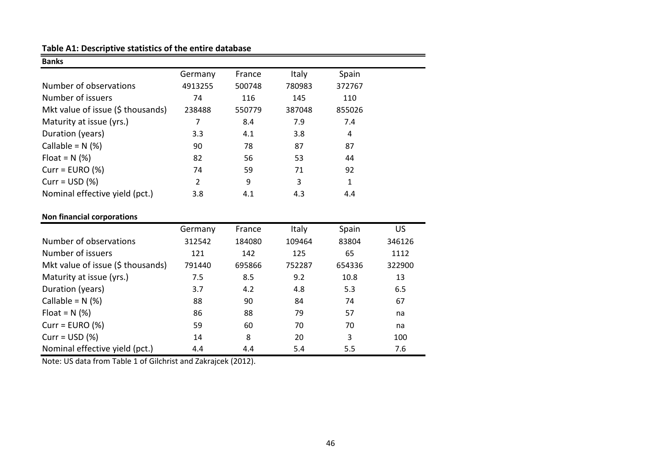## **Table A1: Descriptive statistics of the entire database**

| <b>Banks</b>                      |         |        |              |        |
|-----------------------------------|---------|--------|--------------|--------|
|                                   | Germany | France | <b>Italy</b> | Spain  |
| Number of observations            | 4913255 | 500748 | 780983       | 372767 |
| Number of issuers                 | 74      | 116    | 145          | 110    |
| Mkt value of issue (\$ thousands) | 238488  | 550779 | 387048       | 855026 |
| Maturity at issue (yrs.)          | 7       | 8.4    | 7.9          | 7.4    |
| Duration (years)                  | 3.3     | 4.1    | 3.8          | 4      |
| Callable = $N$ (%)                | 90      | 78     | 87           | 87     |
| Float = $N$ (%)                   | 82      | 56     | 53           | 44     |
| $Curr = EURO (%)$                 | 74      | 59     | 71           | 92     |
| $Curr = USD (%)$                  | 2       | 9      | 3            | 1      |
| Nominal effective yield (pct.)    | 3.8     | 4.1    | 4.3          | 4.4    |

## **Non financial corporations**

|                                   | Germany | France | <b>Italy</b> | Spain  | US     |
|-----------------------------------|---------|--------|--------------|--------|--------|
| Number of observations            | 312542  | 184080 | 109464       | 83804  | 346126 |
| Number of issuers                 | 121     | 142    | 125          | 65     | 1112   |
| Mkt value of issue (\$ thousands) | 791440  | 695866 | 752287       | 654336 | 322900 |
| Maturity at issue (yrs.)          | 7.5     | 8.5    | 9.2          | 10.8   | 13     |
| Duration (years)                  | 3.7     | 4.2    | 4.8          | 5.3    | 6.5    |
| Callable = $N$ (%)                | 88      | 90     | 84           | 74     | 67     |
| Float = $N$ (%)                   | 86      | 88     | 79           | 57     | na     |
| $Curr = EURO (%)$                 | 59      | 60     | 70           | 70     | na     |
| Curr = $USD$ (%)                  | 14      | 8      | 20           | 3      | 100    |
| Nominal effective yield (pct.)    | 4.4     | 4.4    | 5.4          | 5.5    | 7.6    |
|                                   |         |        |              |        |        |

Note: US data from Table 1 of Gilchrist and Zakrajcek (2012).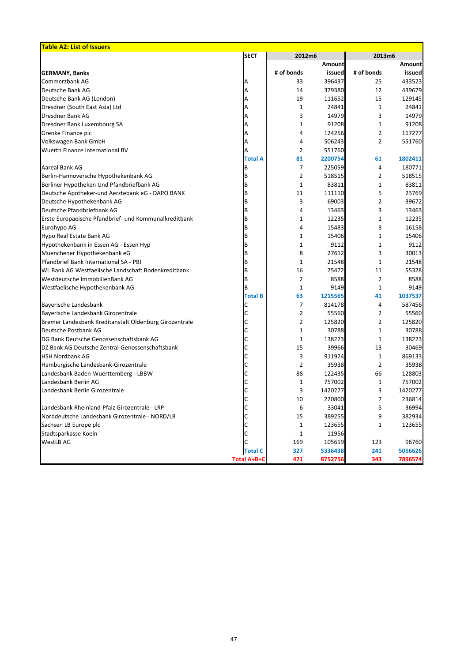| <b>Table A2: List of Issuers</b>                       |                    |            |               |            |               |  |
|--------------------------------------------------------|--------------------|------------|---------------|------------|---------------|--|
|                                                        | <b>SECT</b>        |            | 2012m6        | 2013m6     |               |  |
|                                                        |                    |            | <b>Amount</b> |            | <b>Amount</b> |  |
| <b>GERMANY, Banks</b>                                  |                    | # of bonds | issued        | # of bonds | issued        |  |
| Commerzbank AG                                         | Α                  | 33         | 396437        | 25         | 433523        |  |
| Deutsche Bank AG                                       | Α                  | 14         | 379380        | 12         | 439679        |  |
| Deutsche Bank AG (London)                              | Α                  | 19         | 111652        | 15         | 129145        |  |
| Dresdner (South East Asia) Ltd                         | А                  | 1          | 24841         |            | 24841         |  |
| <b>Dresdner Bank AG</b>                                | A                  | 3          | 14979         |            | 14979         |  |
| Dresdner Bank Luxembourg SA                            | А                  | 1          | 91208         |            | 91208         |  |
| Grenke Finance plc                                     | А                  | 4          | 124256        |            | 117277        |  |
| Volkswagen Bank GmbH                                   | A                  | 4          | 506243        |            | 551760        |  |
| Wuerth Finance International BV                        | A                  | 2          | 551760        |            |               |  |
|                                                        | <b>Total A</b>     | 81         | 2200754       | 61         | 1802411       |  |
| <b>Aareal Bank AG</b>                                  | B                  | 7          | 225059        | 4          | 180771        |  |
| Berlin-Hannoversche Hypothekenbank AG                  | B                  | 2          | 518515        |            | 518515        |  |
| Berliner Hypotheken Und Pfandbriefbank AG              | B                  | 1          | 83811         |            | 83811         |  |
| Deutsche Apotheker-und Aerztebank eG - DAPO BANK       | B                  | 11         | 111110        |            | 23769         |  |
| Deutsche Hypothekenbank AG                             | B                  | 3          | 69003         |            | 39672         |  |
| Deutsche Pfandbriefbank AG                             | B                  | 4          | 13463         |            | 13463         |  |
| Erste Europaeische Pfandbrief- und Kommunalkreditbank  | B                  | 1          | 12235         |            | 12235         |  |
| Eurohypo AG                                            | B                  | 4          | 15483         |            | 16158         |  |
| Hypo Real Estate Bank AG                               | B                  | 1          | 15406         |            | 15406         |  |
| Hypothekenbank in Essen AG - Essen Hyp                 | B                  |            | 9112          |            | 9112          |  |
| Muenchener Hypothekenbank eG                           | B                  | 8          | 27612         | 3          | 30013         |  |
| Pfandbrief Bank International SA - PBI                 | B                  | 1          | 21548         |            | 21548         |  |
| WL Bank AG Westfaelische Landschaft Bodenkreditbank    | B                  | 16         | 75472         | 11         | 55328         |  |
| Westdeutsche ImmobilienBank AG                         | B                  | 2          | 8588          |            | 8588          |  |
| Westfaelische Hypothekenbank AG                        |                    | 1          | 9149          |            | 9149          |  |
|                                                        | <b>Total B</b>     | 63         | 1215565       | 41         | 1037537       |  |
| <b>Bayerische Landesbank</b>                           | C                  | 7          | 814178        | 4          | 587456        |  |
| Bayerische Landesbank Girozentrale                     | С                  | 2          | 55560         |            | 55560         |  |
| Bremer Landesbank Kreditanstalt Oldenburg Girozentrale | С                  | 2          | 125820        |            | 125820        |  |
| Deutsche Postbank AG                                   |                    |            | 30788         |            | 30788         |  |
| DG Bank Deutsche Genossenschaftsbank AG                |                    | 1          | 138223        |            | 138223        |  |
| DZ Bank AG Deutsche Zentral-Genossenschaftsbank        |                    | 15         | 39966         | 13         | 30469         |  |
| <b>HSH Nordbank AG</b>                                 |                    | 3          | 911924        |            | 869133        |  |
| Hamburgische Landesbank-Girozentrale                   |                    |            | 35938         |            | 35938         |  |
| Landesbank Baden-Wuerttemberg - LBBW                   |                    | 88         | 122435        | 66         | 128803        |  |
| Landesbank Berlin AG                                   |                    | 1          | 757002        |            | 757002        |  |
| Landesbank Berlin Girozentrale                         |                    | 3          | 1420277       |            | 1420277       |  |
|                                                        |                    | 10         | 220800        |            | 236814        |  |
| Landesbank Rheinland-Pfalz Girozentrale - LRP          |                    | 6          | 33041         |            | 36994         |  |
| Norddeutsche Landesbank Girozentrale - NORD/LB         |                    | 15         | 389255        | 9          | 382934        |  |
| Sachsen LB Europe plc                                  |                    |            | 123655        |            | 123655        |  |
| Stadtsparkasse Koeln                                   |                    |            | 11956         |            |               |  |
| <b>WestLB AG</b>                                       | С                  | 169        | 105619        | 123        | 96760         |  |
|                                                        | <b>Total C</b>     | 327        | 5336438       | 241        | 5056626       |  |
|                                                        | <b>Total A+B+C</b> | 471        | 8752756       | 343        | 7896574       |  |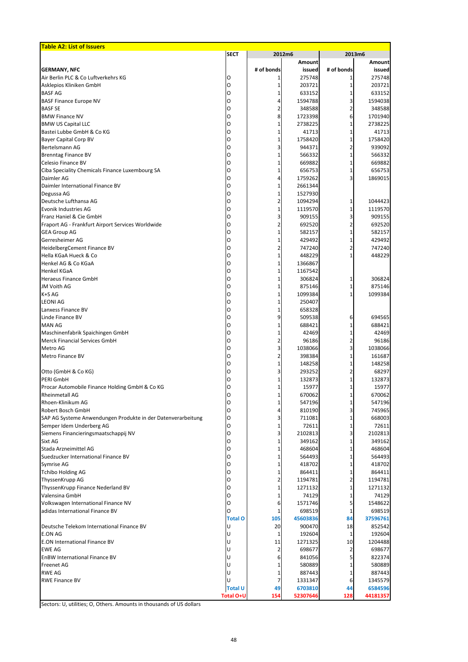| <b>SECT</b><br>2012m6<br>2013m6<br><b>Amount</b><br><b>Amount</b><br><b>GERMANY, NFC</b><br># of bonds<br># of bonds<br>issued<br>issued<br>Air Berlin PLC & Co Luftverkehrs KG<br>275748<br>275748<br>O<br>Asklepios Kliniken GmbH<br>203721<br>203721<br>O<br>1<br><b>BASF AG</b><br>633152<br>633152<br>O<br>1<br><b>BASF Finance Europe NV</b><br>1594788<br>1594038<br>O<br>4<br><b>BASF SE</b><br>2<br>348588<br>O<br>348588<br><b>BMW Finance NV</b><br>8<br>1723398<br>1701940<br>O<br>6<br><b>BMW US Capital LLC</b><br>2738225<br>2738225<br>O<br>1<br>Bastei Lubbe GmbH & Co KG<br>41713<br>41713<br>O<br>1<br><b>Bayer Capital Corp BV</b><br>1758420<br>1758420<br>O<br>1<br>Bertelsmann AG<br>3<br>944371<br>939092<br>O<br><b>Brenntag Finance BV</b><br>566332<br>566332<br>O<br>1<br>Celesio Finance BV<br>669882<br>669882<br>O<br>1<br>Ciba Speciality Chemicals Finance Luxembourg SA<br>656753<br>656753<br>O<br>1<br>Daimler AG<br>1759262<br>1869015<br>O<br>4<br>Daimler International Finance BV<br>2661344<br>O<br>1<br>1527930<br>Degussa AG<br>O<br>1<br>Deutsche Lufthansa AG<br>2<br>1094294<br>1044423<br>O<br>Evonik Industries AG<br>1119570<br>1119570<br>O<br>1<br>Franz Haniel & Cie GmbH<br>3<br>909155<br>909155<br>O<br>692520<br>692520<br>Fraport AG - Frankfurt Airport Services Worldwide<br>2<br>O<br><b>GEA Group AG</b><br>582157<br>O<br>582157<br>1<br>Gerresheimer AG<br>429492<br>429492<br>O<br>HeidelbergCement Finance BV<br>2<br>747240<br>747240<br>O<br>448229<br>Hella KGaA Hueck & Co<br>448229<br>O<br>Henkel AG & Co KGaA<br>1366867<br>O<br>1<br><b>Henkel KGaA</b><br>1167542<br>O<br>1<br><b>Heraeus Finance GmbH</b><br>O<br>306824<br>306824<br>1<br>JM Voith AG<br>875146<br>875146<br>O<br>1<br>1<br>K+S AG<br>1099384<br>1099384<br>1<br>O<br><b>LEONI AG</b><br>250407<br>O<br>1<br>Lanxess Finance BV<br>658328<br>1<br>O<br>Linde Finance BV<br>9<br>694565<br>509538<br>6<br>O<br><b>MAN AG</b><br>688421<br>688421<br>1<br>O<br>Maschinenfabrik Spaichingen GmbH<br>42469<br>42469<br>O<br><b>Merck Financial Services GmbH</b><br>96186<br>2<br>96186<br>O<br>3<br>1038066<br>Metro AG<br>1038066<br>3<br>O<br>Metro Finance BV<br>2<br>398384<br>161687<br>O<br>148258<br>148258<br>1<br>O<br>3<br>Otto (GmbH & Co KG)<br>293252<br>68297<br>O<br><b>PERI GmbH</b><br>132873<br>132873<br>O<br>1<br>15977<br>Procar Automobile Finance Holding GmbH & Co KG<br>15977<br>1<br>O<br>670062<br><b>Rheinmetall AG</b><br>670062<br>1<br>O<br>Rhoen-Klinikum AG<br>547196<br>547196<br>1<br>O<br>Robert Bosch GmbH<br>810190<br>4<br>745965<br>O<br>SAP AG Systeme Anwendungen Produkte in der Datenverarbeitung<br>711081<br>3<br>668003<br>O<br>Semper Idem Underberg AG<br>72611<br>72611<br>1<br>O<br>3<br>Siemens Financieringsmaatschappij NV<br>2102813<br>2102813<br>O<br>349162<br>Sixt AG<br>349162<br>1<br>O<br>Stada Arzneimittel AG<br>468604<br>468604<br>1<br>O<br>Suedzucker International Finance BV<br>564493<br>564493<br>O<br>1<br>418702<br>Symrise AG<br>418702<br>O<br>1<br><b>Tchibo Holding AG</b><br>864411<br>864411<br>O<br>1<br>1194781<br>1194781<br>ThyssenKrupp AG<br>2<br>O<br>1271132<br>1271132<br>ThyssenKrupp Finance Nederland BV<br>1<br>O<br>Valensina GmbH<br>74129<br>1<br>74129<br>O<br>Volkswagen International Finance NV<br>1571746<br>1548622<br>6<br>O<br>adidas International Finance BV<br>698519<br>698519<br>1<br>Ω<br><b>Total O</b><br>45603836<br>37596761<br>105<br>84<br>lυ<br>20<br>900470<br>18<br>Deutsche Telekom International Finance BV<br>852542<br><b>E.ON AG</b><br>192604<br>192604<br>U<br>1<br>1<br><b>E.ON International Finance BV</b><br>11<br>1271325<br>10<br>U<br>1204488<br><b>EWE AG</b><br>698677<br>2<br>698677<br>U<br><b>EnBW International Finance BV</b><br>841056<br>822374<br>6<br>U<br><b>Freenet AG</b><br>580889<br>580889<br>U<br><b>RWE AG</b><br>887443<br>887443<br>U<br><b>RWE Finance BV</b><br>U<br>1331347<br>1345579<br>6<br><b>Total U</b><br>6703810<br>6584596<br>49<br>44<br><b>Total O+U</b><br>52307646<br>44181357<br>154<br>128 | <b>Table A2: List of Issuers</b> |  |  |  |
|-----------------------------------------------------------------------------------------------------------------------------------------------------------------------------------------------------------------------------------------------------------------------------------------------------------------------------------------------------------------------------------------------------------------------------------------------------------------------------------------------------------------------------------------------------------------------------------------------------------------------------------------------------------------------------------------------------------------------------------------------------------------------------------------------------------------------------------------------------------------------------------------------------------------------------------------------------------------------------------------------------------------------------------------------------------------------------------------------------------------------------------------------------------------------------------------------------------------------------------------------------------------------------------------------------------------------------------------------------------------------------------------------------------------------------------------------------------------------------------------------------------------------------------------------------------------------------------------------------------------------------------------------------------------------------------------------------------------------------------------------------------------------------------------------------------------------------------------------------------------------------------------------------------------------------------------------------------------------------------------------------------------------------------------------------------------------------------------------------------------------------------------------------------------------------------------------------------------------------------------------------------------------------------------------------------------------------------------------------------------------------------------------------------------------------------------------------------------------------------------------------------------------------------------------------------------------------------------------------------------------------------------------------------------------------------------------------------------------------------------------------------------------------------------------------------------------------------------------------------------------------------------------------------------------------------------------------------------------------------------------------------------------------------------------------------------------------------------------------------------------------------------------------------------------------------------------------------------------------------------------------------------------------------------------------------------------------------------------------------------------------------------------------------------------------------------------------------------------------------------------------------------------------------------------------------------------------------------------------------------------------------------------------------------------------------------------------------------------------------------------------------------------------------------------------------------------------------------------------------------------------------------------------------------------------------------------------------------------------------------------------------------------------------------------------------------------------------------------------------------|----------------------------------|--|--|--|
|                                                                                                                                                                                                                                                                                                                                                                                                                                                                                                                                                                                                                                                                                                                                                                                                                                                                                                                                                                                                                                                                                                                                                                                                                                                                                                                                                                                                                                                                                                                                                                                                                                                                                                                                                                                                                                                                                                                                                                                                                                                                                                                                                                                                                                                                                                                                                                                                                                                                                                                                                                                                                                                                                                                                                                                                                                                                                                                                                                                                                                                                                                                                                                                                                                                                                                                                                                                                                                                                                                                                                                                                                                                                                                                                                                                                                                                                                                                                                                                                                                                                                                                 |                                  |  |  |  |
|                                                                                                                                                                                                                                                                                                                                                                                                                                                                                                                                                                                                                                                                                                                                                                                                                                                                                                                                                                                                                                                                                                                                                                                                                                                                                                                                                                                                                                                                                                                                                                                                                                                                                                                                                                                                                                                                                                                                                                                                                                                                                                                                                                                                                                                                                                                                                                                                                                                                                                                                                                                                                                                                                                                                                                                                                                                                                                                                                                                                                                                                                                                                                                                                                                                                                                                                                                                                                                                                                                                                                                                                                                                                                                                                                                                                                                                                                                                                                                                                                                                                                                                 |                                  |  |  |  |
|                                                                                                                                                                                                                                                                                                                                                                                                                                                                                                                                                                                                                                                                                                                                                                                                                                                                                                                                                                                                                                                                                                                                                                                                                                                                                                                                                                                                                                                                                                                                                                                                                                                                                                                                                                                                                                                                                                                                                                                                                                                                                                                                                                                                                                                                                                                                                                                                                                                                                                                                                                                                                                                                                                                                                                                                                                                                                                                                                                                                                                                                                                                                                                                                                                                                                                                                                                                                                                                                                                                                                                                                                                                                                                                                                                                                                                                                                                                                                                                                                                                                                                                 |                                  |  |  |  |
|                                                                                                                                                                                                                                                                                                                                                                                                                                                                                                                                                                                                                                                                                                                                                                                                                                                                                                                                                                                                                                                                                                                                                                                                                                                                                                                                                                                                                                                                                                                                                                                                                                                                                                                                                                                                                                                                                                                                                                                                                                                                                                                                                                                                                                                                                                                                                                                                                                                                                                                                                                                                                                                                                                                                                                                                                                                                                                                                                                                                                                                                                                                                                                                                                                                                                                                                                                                                                                                                                                                                                                                                                                                                                                                                                                                                                                                                                                                                                                                                                                                                                                                 |                                  |  |  |  |
|                                                                                                                                                                                                                                                                                                                                                                                                                                                                                                                                                                                                                                                                                                                                                                                                                                                                                                                                                                                                                                                                                                                                                                                                                                                                                                                                                                                                                                                                                                                                                                                                                                                                                                                                                                                                                                                                                                                                                                                                                                                                                                                                                                                                                                                                                                                                                                                                                                                                                                                                                                                                                                                                                                                                                                                                                                                                                                                                                                                                                                                                                                                                                                                                                                                                                                                                                                                                                                                                                                                                                                                                                                                                                                                                                                                                                                                                                                                                                                                                                                                                                                                 |                                  |  |  |  |
|                                                                                                                                                                                                                                                                                                                                                                                                                                                                                                                                                                                                                                                                                                                                                                                                                                                                                                                                                                                                                                                                                                                                                                                                                                                                                                                                                                                                                                                                                                                                                                                                                                                                                                                                                                                                                                                                                                                                                                                                                                                                                                                                                                                                                                                                                                                                                                                                                                                                                                                                                                                                                                                                                                                                                                                                                                                                                                                                                                                                                                                                                                                                                                                                                                                                                                                                                                                                                                                                                                                                                                                                                                                                                                                                                                                                                                                                                                                                                                                                                                                                                                                 |                                  |  |  |  |
|                                                                                                                                                                                                                                                                                                                                                                                                                                                                                                                                                                                                                                                                                                                                                                                                                                                                                                                                                                                                                                                                                                                                                                                                                                                                                                                                                                                                                                                                                                                                                                                                                                                                                                                                                                                                                                                                                                                                                                                                                                                                                                                                                                                                                                                                                                                                                                                                                                                                                                                                                                                                                                                                                                                                                                                                                                                                                                                                                                                                                                                                                                                                                                                                                                                                                                                                                                                                                                                                                                                                                                                                                                                                                                                                                                                                                                                                                                                                                                                                                                                                                                                 |                                  |  |  |  |
|                                                                                                                                                                                                                                                                                                                                                                                                                                                                                                                                                                                                                                                                                                                                                                                                                                                                                                                                                                                                                                                                                                                                                                                                                                                                                                                                                                                                                                                                                                                                                                                                                                                                                                                                                                                                                                                                                                                                                                                                                                                                                                                                                                                                                                                                                                                                                                                                                                                                                                                                                                                                                                                                                                                                                                                                                                                                                                                                                                                                                                                                                                                                                                                                                                                                                                                                                                                                                                                                                                                                                                                                                                                                                                                                                                                                                                                                                                                                                                                                                                                                                                                 |                                  |  |  |  |
|                                                                                                                                                                                                                                                                                                                                                                                                                                                                                                                                                                                                                                                                                                                                                                                                                                                                                                                                                                                                                                                                                                                                                                                                                                                                                                                                                                                                                                                                                                                                                                                                                                                                                                                                                                                                                                                                                                                                                                                                                                                                                                                                                                                                                                                                                                                                                                                                                                                                                                                                                                                                                                                                                                                                                                                                                                                                                                                                                                                                                                                                                                                                                                                                                                                                                                                                                                                                                                                                                                                                                                                                                                                                                                                                                                                                                                                                                                                                                                                                                                                                                                                 |                                  |  |  |  |
|                                                                                                                                                                                                                                                                                                                                                                                                                                                                                                                                                                                                                                                                                                                                                                                                                                                                                                                                                                                                                                                                                                                                                                                                                                                                                                                                                                                                                                                                                                                                                                                                                                                                                                                                                                                                                                                                                                                                                                                                                                                                                                                                                                                                                                                                                                                                                                                                                                                                                                                                                                                                                                                                                                                                                                                                                                                                                                                                                                                                                                                                                                                                                                                                                                                                                                                                                                                                                                                                                                                                                                                                                                                                                                                                                                                                                                                                                                                                                                                                                                                                                                                 |                                  |  |  |  |
|                                                                                                                                                                                                                                                                                                                                                                                                                                                                                                                                                                                                                                                                                                                                                                                                                                                                                                                                                                                                                                                                                                                                                                                                                                                                                                                                                                                                                                                                                                                                                                                                                                                                                                                                                                                                                                                                                                                                                                                                                                                                                                                                                                                                                                                                                                                                                                                                                                                                                                                                                                                                                                                                                                                                                                                                                                                                                                                                                                                                                                                                                                                                                                                                                                                                                                                                                                                                                                                                                                                                                                                                                                                                                                                                                                                                                                                                                                                                                                                                                                                                                                                 |                                  |  |  |  |
|                                                                                                                                                                                                                                                                                                                                                                                                                                                                                                                                                                                                                                                                                                                                                                                                                                                                                                                                                                                                                                                                                                                                                                                                                                                                                                                                                                                                                                                                                                                                                                                                                                                                                                                                                                                                                                                                                                                                                                                                                                                                                                                                                                                                                                                                                                                                                                                                                                                                                                                                                                                                                                                                                                                                                                                                                                                                                                                                                                                                                                                                                                                                                                                                                                                                                                                                                                                                                                                                                                                                                                                                                                                                                                                                                                                                                                                                                                                                                                                                                                                                                                                 |                                  |  |  |  |
|                                                                                                                                                                                                                                                                                                                                                                                                                                                                                                                                                                                                                                                                                                                                                                                                                                                                                                                                                                                                                                                                                                                                                                                                                                                                                                                                                                                                                                                                                                                                                                                                                                                                                                                                                                                                                                                                                                                                                                                                                                                                                                                                                                                                                                                                                                                                                                                                                                                                                                                                                                                                                                                                                                                                                                                                                                                                                                                                                                                                                                                                                                                                                                                                                                                                                                                                                                                                                                                                                                                                                                                                                                                                                                                                                                                                                                                                                                                                                                                                                                                                                                                 |                                  |  |  |  |
|                                                                                                                                                                                                                                                                                                                                                                                                                                                                                                                                                                                                                                                                                                                                                                                                                                                                                                                                                                                                                                                                                                                                                                                                                                                                                                                                                                                                                                                                                                                                                                                                                                                                                                                                                                                                                                                                                                                                                                                                                                                                                                                                                                                                                                                                                                                                                                                                                                                                                                                                                                                                                                                                                                                                                                                                                                                                                                                                                                                                                                                                                                                                                                                                                                                                                                                                                                                                                                                                                                                                                                                                                                                                                                                                                                                                                                                                                                                                                                                                                                                                                                                 |                                  |  |  |  |
|                                                                                                                                                                                                                                                                                                                                                                                                                                                                                                                                                                                                                                                                                                                                                                                                                                                                                                                                                                                                                                                                                                                                                                                                                                                                                                                                                                                                                                                                                                                                                                                                                                                                                                                                                                                                                                                                                                                                                                                                                                                                                                                                                                                                                                                                                                                                                                                                                                                                                                                                                                                                                                                                                                                                                                                                                                                                                                                                                                                                                                                                                                                                                                                                                                                                                                                                                                                                                                                                                                                                                                                                                                                                                                                                                                                                                                                                                                                                                                                                                                                                                                                 |                                  |  |  |  |
|                                                                                                                                                                                                                                                                                                                                                                                                                                                                                                                                                                                                                                                                                                                                                                                                                                                                                                                                                                                                                                                                                                                                                                                                                                                                                                                                                                                                                                                                                                                                                                                                                                                                                                                                                                                                                                                                                                                                                                                                                                                                                                                                                                                                                                                                                                                                                                                                                                                                                                                                                                                                                                                                                                                                                                                                                                                                                                                                                                                                                                                                                                                                                                                                                                                                                                                                                                                                                                                                                                                                                                                                                                                                                                                                                                                                                                                                                                                                                                                                                                                                                                                 |                                  |  |  |  |
|                                                                                                                                                                                                                                                                                                                                                                                                                                                                                                                                                                                                                                                                                                                                                                                                                                                                                                                                                                                                                                                                                                                                                                                                                                                                                                                                                                                                                                                                                                                                                                                                                                                                                                                                                                                                                                                                                                                                                                                                                                                                                                                                                                                                                                                                                                                                                                                                                                                                                                                                                                                                                                                                                                                                                                                                                                                                                                                                                                                                                                                                                                                                                                                                                                                                                                                                                                                                                                                                                                                                                                                                                                                                                                                                                                                                                                                                                                                                                                                                                                                                                                                 |                                  |  |  |  |
|                                                                                                                                                                                                                                                                                                                                                                                                                                                                                                                                                                                                                                                                                                                                                                                                                                                                                                                                                                                                                                                                                                                                                                                                                                                                                                                                                                                                                                                                                                                                                                                                                                                                                                                                                                                                                                                                                                                                                                                                                                                                                                                                                                                                                                                                                                                                                                                                                                                                                                                                                                                                                                                                                                                                                                                                                                                                                                                                                                                                                                                                                                                                                                                                                                                                                                                                                                                                                                                                                                                                                                                                                                                                                                                                                                                                                                                                                                                                                                                                                                                                                                                 |                                  |  |  |  |
|                                                                                                                                                                                                                                                                                                                                                                                                                                                                                                                                                                                                                                                                                                                                                                                                                                                                                                                                                                                                                                                                                                                                                                                                                                                                                                                                                                                                                                                                                                                                                                                                                                                                                                                                                                                                                                                                                                                                                                                                                                                                                                                                                                                                                                                                                                                                                                                                                                                                                                                                                                                                                                                                                                                                                                                                                                                                                                                                                                                                                                                                                                                                                                                                                                                                                                                                                                                                                                                                                                                                                                                                                                                                                                                                                                                                                                                                                                                                                                                                                                                                                                                 |                                  |  |  |  |
|                                                                                                                                                                                                                                                                                                                                                                                                                                                                                                                                                                                                                                                                                                                                                                                                                                                                                                                                                                                                                                                                                                                                                                                                                                                                                                                                                                                                                                                                                                                                                                                                                                                                                                                                                                                                                                                                                                                                                                                                                                                                                                                                                                                                                                                                                                                                                                                                                                                                                                                                                                                                                                                                                                                                                                                                                                                                                                                                                                                                                                                                                                                                                                                                                                                                                                                                                                                                                                                                                                                                                                                                                                                                                                                                                                                                                                                                                                                                                                                                                                                                                                                 |                                  |  |  |  |
|                                                                                                                                                                                                                                                                                                                                                                                                                                                                                                                                                                                                                                                                                                                                                                                                                                                                                                                                                                                                                                                                                                                                                                                                                                                                                                                                                                                                                                                                                                                                                                                                                                                                                                                                                                                                                                                                                                                                                                                                                                                                                                                                                                                                                                                                                                                                                                                                                                                                                                                                                                                                                                                                                                                                                                                                                                                                                                                                                                                                                                                                                                                                                                                                                                                                                                                                                                                                                                                                                                                                                                                                                                                                                                                                                                                                                                                                                                                                                                                                                                                                                                                 |                                  |  |  |  |
|                                                                                                                                                                                                                                                                                                                                                                                                                                                                                                                                                                                                                                                                                                                                                                                                                                                                                                                                                                                                                                                                                                                                                                                                                                                                                                                                                                                                                                                                                                                                                                                                                                                                                                                                                                                                                                                                                                                                                                                                                                                                                                                                                                                                                                                                                                                                                                                                                                                                                                                                                                                                                                                                                                                                                                                                                                                                                                                                                                                                                                                                                                                                                                                                                                                                                                                                                                                                                                                                                                                                                                                                                                                                                                                                                                                                                                                                                                                                                                                                                                                                                                                 |                                  |  |  |  |
|                                                                                                                                                                                                                                                                                                                                                                                                                                                                                                                                                                                                                                                                                                                                                                                                                                                                                                                                                                                                                                                                                                                                                                                                                                                                                                                                                                                                                                                                                                                                                                                                                                                                                                                                                                                                                                                                                                                                                                                                                                                                                                                                                                                                                                                                                                                                                                                                                                                                                                                                                                                                                                                                                                                                                                                                                                                                                                                                                                                                                                                                                                                                                                                                                                                                                                                                                                                                                                                                                                                                                                                                                                                                                                                                                                                                                                                                                                                                                                                                                                                                                                                 |                                  |  |  |  |
|                                                                                                                                                                                                                                                                                                                                                                                                                                                                                                                                                                                                                                                                                                                                                                                                                                                                                                                                                                                                                                                                                                                                                                                                                                                                                                                                                                                                                                                                                                                                                                                                                                                                                                                                                                                                                                                                                                                                                                                                                                                                                                                                                                                                                                                                                                                                                                                                                                                                                                                                                                                                                                                                                                                                                                                                                                                                                                                                                                                                                                                                                                                                                                                                                                                                                                                                                                                                                                                                                                                                                                                                                                                                                                                                                                                                                                                                                                                                                                                                                                                                                                                 |                                  |  |  |  |
|                                                                                                                                                                                                                                                                                                                                                                                                                                                                                                                                                                                                                                                                                                                                                                                                                                                                                                                                                                                                                                                                                                                                                                                                                                                                                                                                                                                                                                                                                                                                                                                                                                                                                                                                                                                                                                                                                                                                                                                                                                                                                                                                                                                                                                                                                                                                                                                                                                                                                                                                                                                                                                                                                                                                                                                                                                                                                                                                                                                                                                                                                                                                                                                                                                                                                                                                                                                                                                                                                                                                                                                                                                                                                                                                                                                                                                                                                                                                                                                                                                                                                                                 |                                  |  |  |  |
|                                                                                                                                                                                                                                                                                                                                                                                                                                                                                                                                                                                                                                                                                                                                                                                                                                                                                                                                                                                                                                                                                                                                                                                                                                                                                                                                                                                                                                                                                                                                                                                                                                                                                                                                                                                                                                                                                                                                                                                                                                                                                                                                                                                                                                                                                                                                                                                                                                                                                                                                                                                                                                                                                                                                                                                                                                                                                                                                                                                                                                                                                                                                                                                                                                                                                                                                                                                                                                                                                                                                                                                                                                                                                                                                                                                                                                                                                                                                                                                                                                                                                                                 |                                  |  |  |  |
|                                                                                                                                                                                                                                                                                                                                                                                                                                                                                                                                                                                                                                                                                                                                                                                                                                                                                                                                                                                                                                                                                                                                                                                                                                                                                                                                                                                                                                                                                                                                                                                                                                                                                                                                                                                                                                                                                                                                                                                                                                                                                                                                                                                                                                                                                                                                                                                                                                                                                                                                                                                                                                                                                                                                                                                                                                                                                                                                                                                                                                                                                                                                                                                                                                                                                                                                                                                                                                                                                                                                                                                                                                                                                                                                                                                                                                                                                                                                                                                                                                                                                                                 |                                  |  |  |  |
|                                                                                                                                                                                                                                                                                                                                                                                                                                                                                                                                                                                                                                                                                                                                                                                                                                                                                                                                                                                                                                                                                                                                                                                                                                                                                                                                                                                                                                                                                                                                                                                                                                                                                                                                                                                                                                                                                                                                                                                                                                                                                                                                                                                                                                                                                                                                                                                                                                                                                                                                                                                                                                                                                                                                                                                                                                                                                                                                                                                                                                                                                                                                                                                                                                                                                                                                                                                                                                                                                                                                                                                                                                                                                                                                                                                                                                                                                                                                                                                                                                                                                                                 |                                  |  |  |  |
|                                                                                                                                                                                                                                                                                                                                                                                                                                                                                                                                                                                                                                                                                                                                                                                                                                                                                                                                                                                                                                                                                                                                                                                                                                                                                                                                                                                                                                                                                                                                                                                                                                                                                                                                                                                                                                                                                                                                                                                                                                                                                                                                                                                                                                                                                                                                                                                                                                                                                                                                                                                                                                                                                                                                                                                                                                                                                                                                                                                                                                                                                                                                                                                                                                                                                                                                                                                                                                                                                                                                                                                                                                                                                                                                                                                                                                                                                                                                                                                                                                                                                                                 |                                  |  |  |  |
|                                                                                                                                                                                                                                                                                                                                                                                                                                                                                                                                                                                                                                                                                                                                                                                                                                                                                                                                                                                                                                                                                                                                                                                                                                                                                                                                                                                                                                                                                                                                                                                                                                                                                                                                                                                                                                                                                                                                                                                                                                                                                                                                                                                                                                                                                                                                                                                                                                                                                                                                                                                                                                                                                                                                                                                                                                                                                                                                                                                                                                                                                                                                                                                                                                                                                                                                                                                                                                                                                                                                                                                                                                                                                                                                                                                                                                                                                                                                                                                                                                                                                                                 |                                  |  |  |  |
|                                                                                                                                                                                                                                                                                                                                                                                                                                                                                                                                                                                                                                                                                                                                                                                                                                                                                                                                                                                                                                                                                                                                                                                                                                                                                                                                                                                                                                                                                                                                                                                                                                                                                                                                                                                                                                                                                                                                                                                                                                                                                                                                                                                                                                                                                                                                                                                                                                                                                                                                                                                                                                                                                                                                                                                                                                                                                                                                                                                                                                                                                                                                                                                                                                                                                                                                                                                                                                                                                                                                                                                                                                                                                                                                                                                                                                                                                                                                                                                                                                                                                                                 |                                  |  |  |  |
|                                                                                                                                                                                                                                                                                                                                                                                                                                                                                                                                                                                                                                                                                                                                                                                                                                                                                                                                                                                                                                                                                                                                                                                                                                                                                                                                                                                                                                                                                                                                                                                                                                                                                                                                                                                                                                                                                                                                                                                                                                                                                                                                                                                                                                                                                                                                                                                                                                                                                                                                                                                                                                                                                                                                                                                                                                                                                                                                                                                                                                                                                                                                                                                                                                                                                                                                                                                                                                                                                                                                                                                                                                                                                                                                                                                                                                                                                                                                                                                                                                                                                                                 |                                  |  |  |  |
|                                                                                                                                                                                                                                                                                                                                                                                                                                                                                                                                                                                                                                                                                                                                                                                                                                                                                                                                                                                                                                                                                                                                                                                                                                                                                                                                                                                                                                                                                                                                                                                                                                                                                                                                                                                                                                                                                                                                                                                                                                                                                                                                                                                                                                                                                                                                                                                                                                                                                                                                                                                                                                                                                                                                                                                                                                                                                                                                                                                                                                                                                                                                                                                                                                                                                                                                                                                                                                                                                                                                                                                                                                                                                                                                                                                                                                                                                                                                                                                                                                                                                                                 |                                  |  |  |  |
|                                                                                                                                                                                                                                                                                                                                                                                                                                                                                                                                                                                                                                                                                                                                                                                                                                                                                                                                                                                                                                                                                                                                                                                                                                                                                                                                                                                                                                                                                                                                                                                                                                                                                                                                                                                                                                                                                                                                                                                                                                                                                                                                                                                                                                                                                                                                                                                                                                                                                                                                                                                                                                                                                                                                                                                                                                                                                                                                                                                                                                                                                                                                                                                                                                                                                                                                                                                                                                                                                                                                                                                                                                                                                                                                                                                                                                                                                                                                                                                                                                                                                                                 |                                  |  |  |  |
|                                                                                                                                                                                                                                                                                                                                                                                                                                                                                                                                                                                                                                                                                                                                                                                                                                                                                                                                                                                                                                                                                                                                                                                                                                                                                                                                                                                                                                                                                                                                                                                                                                                                                                                                                                                                                                                                                                                                                                                                                                                                                                                                                                                                                                                                                                                                                                                                                                                                                                                                                                                                                                                                                                                                                                                                                                                                                                                                                                                                                                                                                                                                                                                                                                                                                                                                                                                                                                                                                                                                                                                                                                                                                                                                                                                                                                                                                                                                                                                                                                                                                                                 |                                  |  |  |  |
|                                                                                                                                                                                                                                                                                                                                                                                                                                                                                                                                                                                                                                                                                                                                                                                                                                                                                                                                                                                                                                                                                                                                                                                                                                                                                                                                                                                                                                                                                                                                                                                                                                                                                                                                                                                                                                                                                                                                                                                                                                                                                                                                                                                                                                                                                                                                                                                                                                                                                                                                                                                                                                                                                                                                                                                                                                                                                                                                                                                                                                                                                                                                                                                                                                                                                                                                                                                                                                                                                                                                                                                                                                                                                                                                                                                                                                                                                                                                                                                                                                                                                                                 |                                  |  |  |  |
|                                                                                                                                                                                                                                                                                                                                                                                                                                                                                                                                                                                                                                                                                                                                                                                                                                                                                                                                                                                                                                                                                                                                                                                                                                                                                                                                                                                                                                                                                                                                                                                                                                                                                                                                                                                                                                                                                                                                                                                                                                                                                                                                                                                                                                                                                                                                                                                                                                                                                                                                                                                                                                                                                                                                                                                                                                                                                                                                                                                                                                                                                                                                                                                                                                                                                                                                                                                                                                                                                                                                                                                                                                                                                                                                                                                                                                                                                                                                                                                                                                                                                                                 |                                  |  |  |  |
|                                                                                                                                                                                                                                                                                                                                                                                                                                                                                                                                                                                                                                                                                                                                                                                                                                                                                                                                                                                                                                                                                                                                                                                                                                                                                                                                                                                                                                                                                                                                                                                                                                                                                                                                                                                                                                                                                                                                                                                                                                                                                                                                                                                                                                                                                                                                                                                                                                                                                                                                                                                                                                                                                                                                                                                                                                                                                                                                                                                                                                                                                                                                                                                                                                                                                                                                                                                                                                                                                                                                                                                                                                                                                                                                                                                                                                                                                                                                                                                                                                                                                                                 |                                  |  |  |  |
|                                                                                                                                                                                                                                                                                                                                                                                                                                                                                                                                                                                                                                                                                                                                                                                                                                                                                                                                                                                                                                                                                                                                                                                                                                                                                                                                                                                                                                                                                                                                                                                                                                                                                                                                                                                                                                                                                                                                                                                                                                                                                                                                                                                                                                                                                                                                                                                                                                                                                                                                                                                                                                                                                                                                                                                                                                                                                                                                                                                                                                                                                                                                                                                                                                                                                                                                                                                                                                                                                                                                                                                                                                                                                                                                                                                                                                                                                                                                                                                                                                                                                                                 |                                  |  |  |  |
|                                                                                                                                                                                                                                                                                                                                                                                                                                                                                                                                                                                                                                                                                                                                                                                                                                                                                                                                                                                                                                                                                                                                                                                                                                                                                                                                                                                                                                                                                                                                                                                                                                                                                                                                                                                                                                                                                                                                                                                                                                                                                                                                                                                                                                                                                                                                                                                                                                                                                                                                                                                                                                                                                                                                                                                                                                                                                                                                                                                                                                                                                                                                                                                                                                                                                                                                                                                                                                                                                                                                                                                                                                                                                                                                                                                                                                                                                                                                                                                                                                                                                                                 |                                  |  |  |  |
|                                                                                                                                                                                                                                                                                                                                                                                                                                                                                                                                                                                                                                                                                                                                                                                                                                                                                                                                                                                                                                                                                                                                                                                                                                                                                                                                                                                                                                                                                                                                                                                                                                                                                                                                                                                                                                                                                                                                                                                                                                                                                                                                                                                                                                                                                                                                                                                                                                                                                                                                                                                                                                                                                                                                                                                                                                                                                                                                                                                                                                                                                                                                                                                                                                                                                                                                                                                                                                                                                                                                                                                                                                                                                                                                                                                                                                                                                                                                                                                                                                                                                                                 |                                  |  |  |  |
|                                                                                                                                                                                                                                                                                                                                                                                                                                                                                                                                                                                                                                                                                                                                                                                                                                                                                                                                                                                                                                                                                                                                                                                                                                                                                                                                                                                                                                                                                                                                                                                                                                                                                                                                                                                                                                                                                                                                                                                                                                                                                                                                                                                                                                                                                                                                                                                                                                                                                                                                                                                                                                                                                                                                                                                                                                                                                                                                                                                                                                                                                                                                                                                                                                                                                                                                                                                                                                                                                                                                                                                                                                                                                                                                                                                                                                                                                                                                                                                                                                                                                                                 |                                  |  |  |  |
|                                                                                                                                                                                                                                                                                                                                                                                                                                                                                                                                                                                                                                                                                                                                                                                                                                                                                                                                                                                                                                                                                                                                                                                                                                                                                                                                                                                                                                                                                                                                                                                                                                                                                                                                                                                                                                                                                                                                                                                                                                                                                                                                                                                                                                                                                                                                                                                                                                                                                                                                                                                                                                                                                                                                                                                                                                                                                                                                                                                                                                                                                                                                                                                                                                                                                                                                                                                                                                                                                                                                                                                                                                                                                                                                                                                                                                                                                                                                                                                                                                                                                                                 |                                  |  |  |  |
|                                                                                                                                                                                                                                                                                                                                                                                                                                                                                                                                                                                                                                                                                                                                                                                                                                                                                                                                                                                                                                                                                                                                                                                                                                                                                                                                                                                                                                                                                                                                                                                                                                                                                                                                                                                                                                                                                                                                                                                                                                                                                                                                                                                                                                                                                                                                                                                                                                                                                                                                                                                                                                                                                                                                                                                                                                                                                                                                                                                                                                                                                                                                                                                                                                                                                                                                                                                                                                                                                                                                                                                                                                                                                                                                                                                                                                                                                                                                                                                                                                                                                                                 |                                  |  |  |  |
|                                                                                                                                                                                                                                                                                                                                                                                                                                                                                                                                                                                                                                                                                                                                                                                                                                                                                                                                                                                                                                                                                                                                                                                                                                                                                                                                                                                                                                                                                                                                                                                                                                                                                                                                                                                                                                                                                                                                                                                                                                                                                                                                                                                                                                                                                                                                                                                                                                                                                                                                                                                                                                                                                                                                                                                                                                                                                                                                                                                                                                                                                                                                                                                                                                                                                                                                                                                                                                                                                                                                                                                                                                                                                                                                                                                                                                                                                                                                                                                                                                                                                                                 |                                  |  |  |  |
|                                                                                                                                                                                                                                                                                                                                                                                                                                                                                                                                                                                                                                                                                                                                                                                                                                                                                                                                                                                                                                                                                                                                                                                                                                                                                                                                                                                                                                                                                                                                                                                                                                                                                                                                                                                                                                                                                                                                                                                                                                                                                                                                                                                                                                                                                                                                                                                                                                                                                                                                                                                                                                                                                                                                                                                                                                                                                                                                                                                                                                                                                                                                                                                                                                                                                                                                                                                                                                                                                                                                                                                                                                                                                                                                                                                                                                                                                                                                                                                                                                                                                                                 |                                  |  |  |  |
|                                                                                                                                                                                                                                                                                                                                                                                                                                                                                                                                                                                                                                                                                                                                                                                                                                                                                                                                                                                                                                                                                                                                                                                                                                                                                                                                                                                                                                                                                                                                                                                                                                                                                                                                                                                                                                                                                                                                                                                                                                                                                                                                                                                                                                                                                                                                                                                                                                                                                                                                                                                                                                                                                                                                                                                                                                                                                                                                                                                                                                                                                                                                                                                                                                                                                                                                                                                                                                                                                                                                                                                                                                                                                                                                                                                                                                                                                                                                                                                                                                                                                                                 |                                  |  |  |  |
|                                                                                                                                                                                                                                                                                                                                                                                                                                                                                                                                                                                                                                                                                                                                                                                                                                                                                                                                                                                                                                                                                                                                                                                                                                                                                                                                                                                                                                                                                                                                                                                                                                                                                                                                                                                                                                                                                                                                                                                                                                                                                                                                                                                                                                                                                                                                                                                                                                                                                                                                                                                                                                                                                                                                                                                                                                                                                                                                                                                                                                                                                                                                                                                                                                                                                                                                                                                                                                                                                                                                                                                                                                                                                                                                                                                                                                                                                                                                                                                                                                                                                                                 |                                  |  |  |  |
|                                                                                                                                                                                                                                                                                                                                                                                                                                                                                                                                                                                                                                                                                                                                                                                                                                                                                                                                                                                                                                                                                                                                                                                                                                                                                                                                                                                                                                                                                                                                                                                                                                                                                                                                                                                                                                                                                                                                                                                                                                                                                                                                                                                                                                                                                                                                                                                                                                                                                                                                                                                                                                                                                                                                                                                                                                                                                                                                                                                                                                                                                                                                                                                                                                                                                                                                                                                                                                                                                                                                                                                                                                                                                                                                                                                                                                                                                                                                                                                                                                                                                                                 |                                  |  |  |  |
|                                                                                                                                                                                                                                                                                                                                                                                                                                                                                                                                                                                                                                                                                                                                                                                                                                                                                                                                                                                                                                                                                                                                                                                                                                                                                                                                                                                                                                                                                                                                                                                                                                                                                                                                                                                                                                                                                                                                                                                                                                                                                                                                                                                                                                                                                                                                                                                                                                                                                                                                                                                                                                                                                                                                                                                                                                                                                                                                                                                                                                                                                                                                                                                                                                                                                                                                                                                                                                                                                                                                                                                                                                                                                                                                                                                                                                                                                                                                                                                                                                                                                                                 |                                  |  |  |  |
|                                                                                                                                                                                                                                                                                                                                                                                                                                                                                                                                                                                                                                                                                                                                                                                                                                                                                                                                                                                                                                                                                                                                                                                                                                                                                                                                                                                                                                                                                                                                                                                                                                                                                                                                                                                                                                                                                                                                                                                                                                                                                                                                                                                                                                                                                                                                                                                                                                                                                                                                                                                                                                                                                                                                                                                                                                                                                                                                                                                                                                                                                                                                                                                                                                                                                                                                                                                                                                                                                                                                                                                                                                                                                                                                                                                                                                                                                                                                                                                                                                                                                                                 |                                  |  |  |  |
|                                                                                                                                                                                                                                                                                                                                                                                                                                                                                                                                                                                                                                                                                                                                                                                                                                                                                                                                                                                                                                                                                                                                                                                                                                                                                                                                                                                                                                                                                                                                                                                                                                                                                                                                                                                                                                                                                                                                                                                                                                                                                                                                                                                                                                                                                                                                                                                                                                                                                                                                                                                                                                                                                                                                                                                                                                                                                                                                                                                                                                                                                                                                                                                                                                                                                                                                                                                                                                                                                                                                                                                                                                                                                                                                                                                                                                                                                                                                                                                                                                                                                                                 |                                  |  |  |  |
|                                                                                                                                                                                                                                                                                                                                                                                                                                                                                                                                                                                                                                                                                                                                                                                                                                                                                                                                                                                                                                                                                                                                                                                                                                                                                                                                                                                                                                                                                                                                                                                                                                                                                                                                                                                                                                                                                                                                                                                                                                                                                                                                                                                                                                                                                                                                                                                                                                                                                                                                                                                                                                                                                                                                                                                                                                                                                                                                                                                                                                                                                                                                                                                                                                                                                                                                                                                                                                                                                                                                                                                                                                                                                                                                                                                                                                                                                                                                                                                                                                                                                                                 |                                  |  |  |  |
|                                                                                                                                                                                                                                                                                                                                                                                                                                                                                                                                                                                                                                                                                                                                                                                                                                                                                                                                                                                                                                                                                                                                                                                                                                                                                                                                                                                                                                                                                                                                                                                                                                                                                                                                                                                                                                                                                                                                                                                                                                                                                                                                                                                                                                                                                                                                                                                                                                                                                                                                                                                                                                                                                                                                                                                                                                                                                                                                                                                                                                                                                                                                                                                                                                                                                                                                                                                                                                                                                                                                                                                                                                                                                                                                                                                                                                                                                                                                                                                                                                                                                                                 |                                  |  |  |  |
|                                                                                                                                                                                                                                                                                                                                                                                                                                                                                                                                                                                                                                                                                                                                                                                                                                                                                                                                                                                                                                                                                                                                                                                                                                                                                                                                                                                                                                                                                                                                                                                                                                                                                                                                                                                                                                                                                                                                                                                                                                                                                                                                                                                                                                                                                                                                                                                                                                                                                                                                                                                                                                                                                                                                                                                                                                                                                                                                                                                                                                                                                                                                                                                                                                                                                                                                                                                                                                                                                                                                                                                                                                                                                                                                                                                                                                                                                                                                                                                                                                                                                                                 |                                  |  |  |  |
|                                                                                                                                                                                                                                                                                                                                                                                                                                                                                                                                                                                                                                                                                                                                                                                                                                                                                                                                                                                                                                                                                                                                                                                                                                                                                                                                                                                                                                                                                                                                                                                                                                                                                                                                                                                                                                                                                                                                                                                                                                                                                                                                                                                                                                                                                                                                                                                                                                                                                                                                                                                                                                                                                                                                                                                                                                                                                                                                                                                                                                                                                                                                                                                                                                                                                                                                                                                                                                                                                                                                                                                                                                                                                                                                                                                                                                                                                                                                                                                                                                                                                                                 |                                  |  |  |  |
|                                                                                                                                                                                                                                                                                                                                                                                                                                                                                                                                                                                                                                                                                                                                                                                                                                                                                                                                                                                                                                                                                                                                                                                                                                                                                                                                                                                                                                                                                                                                                                                                                                                                                                                                                                                                                                                                                                                                                                                                                                                                                                                                                                                                                                                                                                                                                                                                                                                                                                                                                                                                                                                                                                                                                                                                                                                                                                                                                                                                                                                                                                                                                                                                                                                                                                                                                                                                                                                                                                                                                                                                                                                                                                                                                                                                                                                                                                                                                                                                                                                                                                                 |                                  |  |  |  |
|                                                                                                                                                                                                                                                                                                                                                                                                                                                                                                                                                                                                                                                                                                                                                                                                                                                                                                                                                                                                                                                                                                                                                                                                                                                                                                                                                                                                                                                                                                                                                                                                                                                                                                                                                                                                                                                                                                                                                                                                                                                                                                                                                                                                                                                                                                                                                                                                                                                                                                                                                                                                                                                                                                                                                                                                                                                                                                                                                                                                                                                                                                                                                                                                                                                                                                                                                                                                                                                                                                                                                                                                                                                                                                                                                                                                                                                                                                                                                                                                                                                                                                                 |                                  |  |  |  |
|                                                                                                                                                                                                                                                                                                                                                                                                                                                                                                                                                                                                                                                                                                                                                                                                                                                                                                                                                                                                                                                                                                                                                                                                                                                                                                                                                                                                                                                                                                                                                                                                                                                                                                                                                                                                                                                                                                                                                                                                                                                                                                                                                                                                                                                                                                                                                                                                                                                                                                                                                                                                                                                                                                                                                                                                                                                                                                                                                                                                                                                                                                                                                                                                                                                                                                                                                                                                                                                                                                                                                                                                                                                                                                                                                                                                                                                                                                                                                                                                                                                                                                                 |                                  |  |  |  |
|                                                                                                                                                                                                                                                                                                                                                                                                                                                                                                                                                                                                                                                                                                                                                                                                                                                                                                                                                                                                                                                                                                                                                                                                                                                                                                                                                                                                                                                                                                                                                                                                                                                                                                                                                                                                                                                                                                                                                                                                                                                                                                                                                                                                                                                                                                                                                                                                                                                                                                                                                                                                                                                                                                                                                                                                                                                                                                                                                                                                                                                                                                                                                                                                                                                                                                                                                                                                                                                                                                                                                                                                                                                                                                                                                                                                                                                                                                                                                                                                                                                                                                                 |                                  |  |  |  |
|                                                                                                                                                                                                                                                                                                                                                                                                                                                                                                                                                                                                                                                                                                                                                                                                                                                                                                                                                                                                                                                                                                                                                                                                                                                                                                                                                                                                                                                                                                                                                                                                                                                                                                                                                                                                                                                                                                                                                                                                                                                                                                                                                                                                                                                                                                                                                                                                                                                                                                                                                                                                                                                                                                                                                                                                                                                                                                                                                                                                                                                                                                                                                                                                                                                                                                                                                                                                                                                                                                                                                                                                                                                                                                                                                                                                                                                                                                                                                                                                                                                                                                                 |                                  |  |  |  |
|                                                                                                                                                                                                                                                                                                                                                                                                                                                                                                                                                                                                                                                                                                                                                                                                                                                                                                                                                                                                                                                                                                                                                                                                                                                                                                                                                                                                                                                                                                                                                                                                                                                                                                                                                                                                                                                                                                                                                                                                                                                                                                                                                                                                                                                                                                                                                                                                                                                                                                                                                                                                                                                                                                                                                                                                                                                                                                                                                                                                                                                                                                                                                                                                                                                                                                                                                                                                                                                                                                                                                                                                                                                                                                                                                                                                                                                                                                                                                                                                                                                                                                                 |                                  |  |  |  |
|                                                                                                                                                                                                                                                                                                                                                                                                                                                                                                                                                                                                                                                                                                                                                                                                                                                                                                                                                                                                                                                                                                                                                                                                                                                                                                                                                                                                                                                                                                                                                                                                                                                                                                                                                                                                                                                                                                                                                                                                                                                                                                                                                                                                                                                                                                                                                                                                                                                                                                                                                                                                                                                                                                                                                                                                                                                                                                                                                                                                                                                                                                                                                                                                                                                                                                                                                                                                                                                                                                                                                                                                                                                                                                                                                                                                                                                                                                                                                                                                                                                                                                                 |                                  |  |  |  |
|                                                                                                                                                                                                                                                                                                                                                                                                                                                                                                                                                                                                                                                                                                                                                                                                                                                                                                                                                                                                                                                                                                                                                                                                                                                                                                                                                                                                                                                                                                                                                                                                                                                                                                                                                                                                                                                                                                                                                                                                                                                                                                                                                                                                                                                                                                                                                                                                                                                                                                                                                                                                                                                                                                                                                                                                                                                                                                                                                                                                                                                                                                                                                                                                                                                                                                                                                                                                                                                                                                                                                                                                                                                                                                                                                                                                                                                                                                                                                                                                                                                                                                                 |                                  |  |  |  |
|                                                                                                                                                                                                                                                                                                                                                                                                                                                                                                                                                                                                                                                                                                                                                                                                                                                                                                                                                                                                                                                                                                                                                                                                                                                                                                                                                                                                                                                                                                                                                                                                                                                                                                                                                                                                                                                                                                                                                                                                                                                                                                                                                                                                                                                                                                                                                                                                                                                                                                                                                                                                                                                                                                                                                                                                                                                                                                                                                                                                                                                                                                                                                                                                                                                                                                                                                                                                                                                                                                                                                                                                                                                                                                                                                                                                                                                                                                                                                                                                                                                                                                                 |                                  |  |  |  |
|                                                                                                                                                                                                                                                                                                                                                                                                                                                                                                                                                                                                                                                                                                                                                                                                                                                                                                                                                                                                                                                                                                                                                                                                                                                                                                                                                                                                                                                                                                                                                                                                                                                                                                                                                                                                                                                                                                                                                                                                                                                                                                                                                                                                                                                                                                                                                                                                                                                                                                                                                                                                                                                                                                                                                                                                                                                                                                                                                                                                                                                                                                                                                                                                                                                                                                                                                                                                                                                                                                                                                                                                                                                                                                                                                                                                                                                                                                                                                                                                                                                                                                                 |                                  |  |  |  |

Sectors: U, utilities; O, Others. Amounts in thousands of US dollars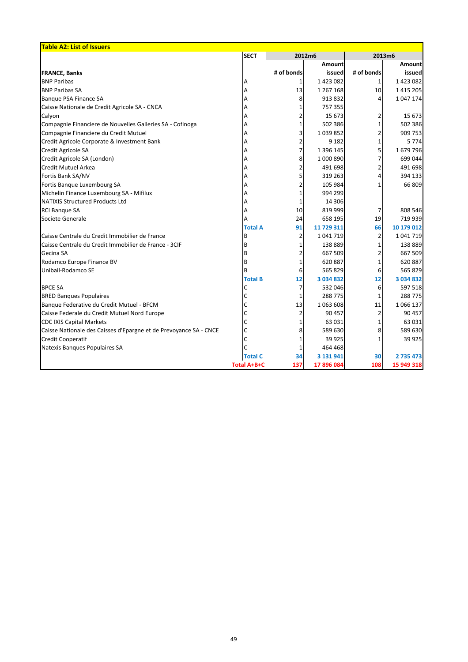| <b>Table A2: List of Issuers</b>                                  |                    |            |               |            |               |  |
|-------------------------------------------------------------------|--------------------|------------|---------------|------------|---------------|--|
|                                                                   | <b>SECT</b>        | 2012m6     |               | 2013m6     |               |  |
|                                                                   |                    |            | <b>Amount</b> |            | <b>Amount</b> |  |
| <b>FRANCE, Banks</b>                                              |                    | # of bonds | issued        | # of bonds | issued        |  |
| <b>BNP Paribas</b>                                                | Α                  |            | 1 423 082     |            | 1423082       |  |
| <b>BNP Paribas SA</b>                                             | А                  | 13         | 1 267 168     | 10         | 1 4 1 5 2 0 5 |  |
| Banque PSA Finance SA                                             |                    | 8          | 913 832       | 4          | 1 047 174     |  |
| Caisse Nationale de Credit Agricole SA - CNCA                     |                    |            | 757 355       |            |               |  |
| Calyon                                                            |                    |            | 15 673        | 2          | 15 673        |  |
| Compagnie Financiere de Nouvelles Galleries SA - Cofinoga         |                    |            | 502 386       |            | 502 386       |  |
| Compagnie Financiere du Credit Mutuel                             |                    |            | 1 0 39 8 52   |            | 909 753       |  |
| Credit Agricole Corporate & Investment Bank                       |                    | 2          | 9 1 8 2       |            | 5 7 7 4       |  |
| Credit Agricole SA                                                |                    | 7          | 1 396 145     | 5          | 1679796       |  |
| Credit Agricole SA (London)                                       |                    | 8          | 1 000 890     |            | 699 044       |  |
| <b>Credit Mutuel Arkea</b>                                        |                    |            | 491 698       |            | 491 698       |  |
| Fortis Bank SA/NV                                                 |                    |            | 319 263       | 4          | 394 133       |  |
| Fortis Banque Luxembourg SA                                       |                    |            | 105 984       |            | 66 809        |  |
| Michelin Finance Luxembourg SA - Mifilux                          |                    |            | 994 299       |            |               |  |
| <b>NATIXIS Structured Products Ltd</b>                            |                    |            | 14 30 6       |            |               |  |
| <b>RCI Banque SA</b>                                              |                    | 10         | 819 999       | 7          | 808 546       |  |
| Societe Generale                                                  |                    | 24         | 658 195       | 19         | 719 939       |  |
|                                                                   | <b>Total A</b>     | 91         | 11 729 311    | 66         | 10 179 012    |  |
| Caisse Centrale du Credit Immobilier de France                    | B                  | 2          | 1 041 719     | 2          | 1 041 719     |  |
| Caisse Centrale du Credit Immobilier de France - 3CIF             | B                  |            | 138 889       |            | 138 889       |  |
| Gecina SA                                                         | B                  |            | 667 509       |            | 667 509       |  |
| Rodamco Europe Finance BV                                         | B                  |            | 620 887       |            | 620 887       |  |
| Unibail-Rodamco SE                                                | B                  | 6          | 565 829       | 6          | 565 829       |  |
|                                                                   | <b>Total B</b>     | 12         | 3 0 3 4 8 3 2 | 12         | 3 034 832     |  |
| <b>BPCE SA</b>                                                    |                    |            | 532 046       | 6          | 597 518       |  |
| <b>BRED Banques Populaires</b>                                    |                    |            | 288 775       | 1          | 288 775       |  |
| Banque Federative du Credit Mutuel - BFCM                         |                    | 13         | 1 063 608     | 11         | 1 0 6 1 3 7   |  |
| Caisse Federale du Credit Mutuel Nord Europe                      | С                  |            | 90 457        | 2          | 90 457        |  |
| <b>CDC IXIS Capital Markets</b>                                   |                    |            | 63 031        |            | 63 031        |  |
| Caisse Nationale des Caisses d'Epargne et de Prevoyance SA - CNCE |                    | 8          | 589 630       | 8          | 589 630       |  |
| <b>Credit Cooperatif</b>                                          |                    |            | 39 9 25       |            | 39 9 25       |  |
| Natexis Banques Populaires SA                                     |                    |            | 464 468       |            |               |  |
|                                                                   | <b>Total C</b>     | 34         | 3 131 941     | 30         | 2735473       |  |
|                                                                   | <b>Total A+B+C</b> | 137        | 17 896 084    | 108        | 15 949 318    |  |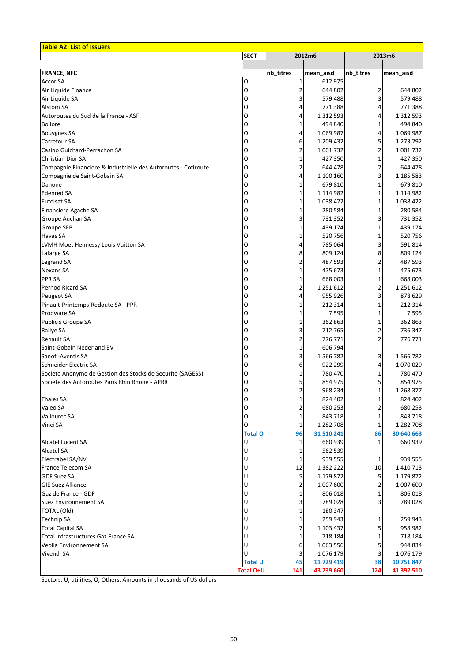| <b>Table A2: List of Issuers</b>                               |                  |           |             |           |               |
|----------------------------------------------------------------|------------------|-----------|-------------|-----------|---------------|
|                                                                | <b>SECT</b>      |           | 2012m6      |           | 2013m6        |
| <b>FRANCE, NFC</b>                                             |                  | nb_titres | mean_aisd   | nb_titres | mean_aisd     |
| <b>Accor SA</b>                                                | O                |           | 612 975     |           |               |
| Air Liquide Finance                                            | O                |           | 644 802     | 2         | 644 802       |
| Air Liquide SA                                                 | O                | 3         | 579 488     |           | 579 488       |
| <b>Alstom SA</b>                                               | O                | 4         | 771 388     |           | 771 388       |
| Autoroutes du Sud de la France - ASF                           | O                | 4         | 1 312 593   |           | 1 3 1 2 5 9 3 |
| <b>Bollore</b>                                                 | O                | 1         | 494 840     |           | 494 840       |
| <b>Bouygues SA</b>                                             | O                | 4         | 1 069 987   | 4         | 1 0 69 9 87   |
| Carrefour SA                                                   | O                | 6         | 1 209 432   |           | 1 273 292     |
| Casino Guichard-Perrachon SA                                   | O                |           | 1 001 732   |           | 1 001 732     |
| <b>Christian Dior SA</b>                                       | Ω                |           | 427 350     |           | 427 350       |
| Compagnie Financiere & Industrielle des Autoroutes - Cofiroute | O                | 2         | 644 478     |           | 644 478       |
| Compagnie de Saint-Gobain SA                                   | O                | 4         | 1 100 160   |           | 1 185 583     |
| Danone                                                         | O                | 1         | 679 810     |           | 679 810       |
| <b>Edenred SA</b>                                              | O                | 1         | 1 114 982   |           | 1 114 982     |
| <b>Eutelsat SA</b>                                             | O                | 1         | 1 0 38 4 22 |           | 1038422       |
| Financiere Agache SA                                           | O                | 1         | 280 584     |           | 280 584       |
| Groupe Auchan SA                                               | O                | 3         | 731 352     |           | 731 352       |
| <b>Groupe SEB</b>                                              | O                | 1         | 439 174     |           | 439 174       |
| <b>Havas SA</b>                                                | O                | 1         | 520 756     |           | 520756        |
| LVMH Moet Hennessy Louis Vuitton SA                            | O                | 4         | 785 064     |           | 591 814       |
| Lafarge SA                                                     | O                | 8         | 809 124     |           | 809 124       |
| Legrand SA                                                     | O                | 2         | 487 593     |           | 487 593       |
| <b>Nexans SA</b>                                               | O                | 1         | 475 673     |           | 475 673       |
| <b>PPR SA</b>                                                  | O                | 1         | 668 003     |           | 668 003       |
| Pernod Ricard SA                                               | O                | 2         | 1 251 612   |           | 1 251 612     |
| Peugeot SA                                                     | O                | 4         | 955 926     |           | 878 629       |
| Pinault-Printemps-Redoute SA - PPR                             | O                | 1         | 212 314     | 1         | 212 314       |
| Prodware SA                                                    | O                |           | 7 5 9 5     |           | 7 5 9 5       |
| Publicis Groupe SA                                             | O                | 1         | 362 863     |           | 362 863       |
| Rallye SA                                                      | O                | 3         | 712 765     |           | 736 347       |
| <b>Renault SA</b>                                              | Ω                | 2         | 776 771     |           | 776 771       |
| Saint-Gobain Nederland BV                                      | O                |           | 606 794     |           |               |
| Sanofi-Aventis SA                                              | O                | 3         | 1 566 782   | 3.        | 1566782       |
| Schneider Electric SA                                          | Ω                | 6         | 922 299     |           | 1070029       |
| Societe Anonyme de Gestion des Stocks de Securite (SAGESS)     |                  | 1         | 780 470     |           | 780 470       |
| Societe des Autoroutes Paris Rhin Rhone - APRR                 | O                | 5         | 854 975     |           | 854 975       |
|                                                                | O                |           | 968 234     |           | 1 268 377     |
| <b>Thales SA</b>                                               | Ω                | 1         | 824 402     |           | 824 402       |
| Valeo SA                                                       |                  | 2         | 680 253     |           | 680 253       |
| <b>Vallourec SA</b>                                            | Ω                | 1         | 843 718     |           | 843 718       |
| Vinci SA                                                       |                  | 1         | 1 282 708   |           | 1 282 708     |
|                                                                | <b>Total O</b>   | 96        | 31 510 241  | 86        | 30 640 663    |
| <b>Alcatel Lucent SA</b>                                       |                  | 1         | 660 939     | 1         | 660 939       |
| <b>Alcatel SA</b>                                              |                  | 1         | 562 539     |           |               |
| Electrabel SA/NV                                               |                  | 1         | 939 555     | 1         | 939 555       |
| France Telecom SA                                              |                  | 12        | 1 382 222   | 10        | 1 4 1 0 7 1 3 |
| <b>GDF Suez SA</b>                                             |                  | 5         | 1 179 872   |           | 1 179 872     |
| <b>GIE Suez Alliance</b>                                       |                  | 2         | 1 007 600   |           | 1 007 600     |
| Gaz de France - GDF                                            |                  |           | 806 018     |           | 806 018       |
| <b>Suez Environnement SA</b>                                   |                  |           | 789 028     |           | 789 028       |
| <b>TOTAL (Old)</b>                                             |                  |           | 180 347     |           |               |
| <b>Technip SA</b>                                              |                  | 1         | 259 943     |           | 259 943       |
| <b>Total Capital SA</b>                                        |                  | 7         | 1 103 437   | 5         | 958 982       |
| Total Infrastructures Gaz France SA                            |                  | 1         | 718 184     |           | 718 184       |
| Veolia Environnement SA                                        |                  | 6         | 1 063 556   |           | 944 834       |
| Vivendi SA                                                     |                  |           | 1 076 179   |           | 1076 179      |
|                                                                | <b>Total U</b>   | 45        | 11 729 419  | 38        | 10 751 847    |
|                                                                | <b>Total O+U</b> | 141       | 43 239 660  | 124       | 41 392 510    |

Sectors: U, utilities; O, Others. Amounts in thousands of US dollars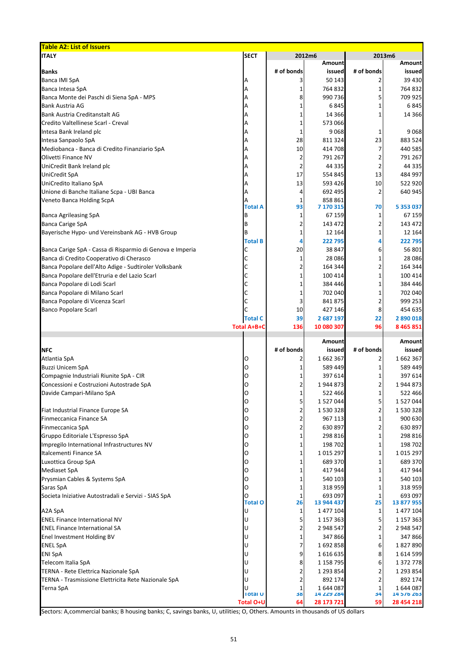| <b>Table A2: List of Issuers</b>                                  |                     |            |                       |                          |                           |
|-------------------------------------------------------------------|---------------------|------------|-----------------------|--------------------------|---------------------------|
| <b>ITALY</b>                                                      | <b>SECT</b>         |            | 2012m6                |                          | 2013m6                    |
|                                                                   |                     |            | <b>Amount</b>         |                          | <b>Amount</b>             |
| <b>Banks</b>                                                      |                     | # of bonds | issued                | # of bonds               | issued                    |
| <b>Banca IMI SpA</b>                                              | А                   | 3          | 50 143<br>764 832     |                          | 39 4 30<br>764 832        |
| Banca Intesa SpA<br>Banca Monte dei Paschi di Siena SpA - MPS     | А<br>А              | 8          | 990 736               |                          | 709 925                   |
| <b>Bank Austria AG</b>                                            | А                   |            | 6845                  |                          | 6845                      |
| Bank Austria Creditanstalt AG                                     |                     |            | 14 3 66               |                          | 14 3 66                   |
| Credito Valtellinese Scarl - Creval                               | А                   |            | 573 066               |                          |                           |
| Intesa Bank Ireland plc                                           |                     | 1          | 9068                  |                          | 9068                      |
| Intesa Sanpaolo SpA                                               | А                   | 28         | 811 324               | 23                       | 883 524                   |
| Mediobanca - Banca di Credito Finanziario SpA                     | А                   | 10         | 414 708               |                          | 440 585                   |
| Olivetti Finance NV                                               | А                   | 2          | 791 267               |                          | 791 267                   |
| UniCredit Bank Ireland plc                                        | А                   | 2          | 44 335                | 2                        | 44 335                    |
| <b>UniCredit SpA</b>                                              |                     | 17         | 554 845               | 13                       | 484 997                   |
| UniCredito Italiano SpA                                           |                     | 13         | 593 426               | 10                       | 522 920                   |
| Unione di Banche Italiane Scpa - UBI Banca                        |                     | 4          | 692 495               | 2                        | 640 945                   |
| Veneto Banca Holding ScpA                                         |                     | 1          | 858 861               |                          |                           |
|                                                                   | <b>Total A</b>      | 93         | 7 170 315             | 70                       | 5 3 5 3 0 3 7             |
| <b>Banca Agrileasing SpA</b>                                      |                     | 1          | 67 159                |                          | 67 159                    |
| <b>Banca Carige SpA</b>                                           | B                   | 2          | 143 472               |                          | 143 472                   |
| Bayerische Hypo- und Vereinsbank AG - HVB Group                   | B                   | 1          | 12 164                |                          | 12 164                    |
|                                                                   | <b>Total B</b>      | 4          | 222 795               |                          | 222 795                   |
| Banca Carige SpA - Cassa di Risparmio di Genova e Imperia         |                     | 20         | 38 847                | 6                        | 56 801                    |
| Banca di Credito Cooperativo di Cherasco                          |                     | 1          | 28 0 86               |                          | 28 0 86                   |
| Banca Popolare dell'Alto Adige - Sudtiroler Volksbank             |                     | 2          | 164 344               |                          | 164 344                   |
| Banca Popolare dell'Etruria e del Lazio Scarl                     |                     |            | 100 414               |                          | 100 414                   |
| Banca Popolare di Lodi Scarl                                      |                     |            | 384 446<br>702 040    |                          | 384 446<br>702 040        |
| Banca Popolare di Milano Scarl<br>Banca Popolare di Vicenza Scarl |                     | 3          | 841 875               | 2                        | 999 253                   |
| <b>Banco Popolare Scarl</b>                                       | С                   | 10         | 427 146               | 8 <sup>1</sup>           | 454 635                   |
|                                                                   | <b>Total C</b>      | 39         | 2 687 197             | 22                       | 2 890 018                 |
|                                                                   |                     |            |                       |                          |                           |
|                                                                   |                     |            |                       |                          |                           |
|                                                                   | <b>Total A+B+C</b>  | 136        | 10 080 307            | 96                       | 8 4 6 5 8 5 1             |
|                                                                   |                     |            | <b>Amount</b>         |                          | <b>Amount</b>             |
| <b>NFC</b>                                                        |                     | # of bonds | issued                | # of bonds               | issued                    |
| Atlantia SpA                                                      | 0                   | 2          | 1662367               |                          | 1662367                   |
| <b>Buzzi Unicem SpA</b>                                           | O                   |            | 589 449               |                          | 589 449                   |
| Compagnie Industriali Riunite SpA - CIR                           | O                   |            | 397 614               |                          | 397 614                   |
| Concessioni e Costruzioni Autostrade SpA                          | O                   | 2          | 1944873               |                          | 1944873                   |
| Davide Campari-Milano SpA                                         | Ω                   | 1          | 522 466               |                          | 522 466                   |
|                                                                   | O                   | 5          | 1 527 044             |                          | 1 527 044                 |
| Fiat Industrial Finance Europe SA                                 | O                   | 2          | 1 530 328             |                          | 1 530 328                 |
| Finmeccanica Finance SA                                           | O                   | 2          | 967 113               |                          | 900 630                   |
| Finmeccanica SpA                                                  | O                   | 2          | 630 897               |                          | 630 897                   |
| Gruppo Editoriale L'Espresso SpA                                  | Ω                   |            | 298 816               |                          | 298 816                   |
| Impregilo International Infrastructures NV                        | O                   | 1          | 198 702               |                          | 198 702                   |
| Italcementi Finance SA                                            | Ω                   |            | 1015 297              |                          | 1 0 1 5 2 9 7             |
| Luxottica Group SpA                                               | O                   | 1          | 689 370               |                          | 689 370                   |
| <b>Mediaset SpA</b>                                               | Ω                   |            | 417 944               |                          | 417 944                   |
| Prysmian Cables & Systems SpA                                     | O                   |            | 540 103               |                          | 540 103                   |
| Saras SpA                                                         |                     |            | 318 959               |                          | 318 959                   |
| Societa Iniziative Autostradali e Servizi - SIAS SpA              | <b>Total O</b>      | 1<br>26    | 693 097<br>13 944 437 | 1<br>25                  | 693 097<br>13 877 955     |
| A2A SpA                                                           |                     | 1          | 1 477 104             | $\mathbf{1}$             | 1 477 104                 |
| <b>ENEL Finance International NV</b>                              |                     | 5          | 1 157 363             |                          | 1 157 363                 |
| <b>ENEL Finance International SA</b>                              |                     | 2          | 2 948 547             |                          | 2 948 547                 |
| Enel Investment Holding BV                                        |                     | 1          | 347 866               |                          | 347 866                   |
| <b>ENEL SpA</b>                                                   |                     | 7          | 1692858               | 6                        | 1827890                   |
| <b>ENI SpA</b>                                                    |                     | 9          | 1616635               | 8                        | 1 614 599                 |
| Telecom Italia SpA                                                |                     | 8          | 1 158 795             | 6                        | 1 372 778                 |
| TERNA - Rete Elettrica Nazionale SpA                              |                     | 2          | 1 293 854             | $\overline{\phantom{a}}$ | 1 293 854                 |
| TERNA - Trasmissione Elettricita Rete Nazionale SpA               | U                   | 2          | 892 174               | 2                        | 892 174                   |
| <b>Terna SpA</b>                                                  | U<br><b>Total U</b> | 1<br>38    | 1644087<br>14 229 284 | 1<br>34                  | 1644087<br>14 5 / 6 2 6 3 |

Sectors: A,commercial banks; B housing banks; C, savings banks, U, utilities; O, Others. Amounts in thousands of US dollars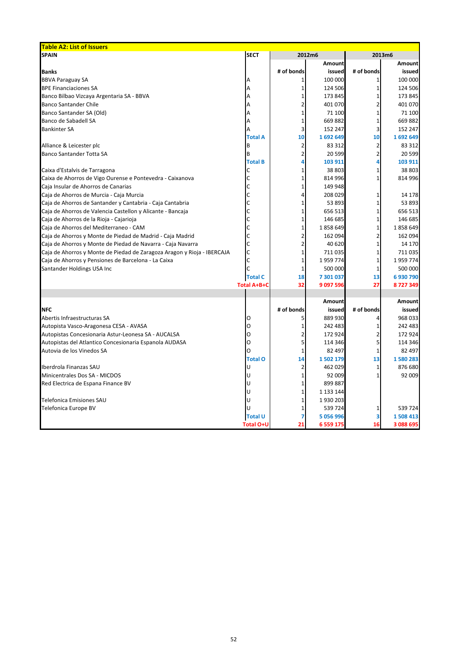| <b>Table A2: List of Issuers</b>                                        |                    |            |               |            |               |
|-------------------------------------------------------------------------|--------------------|------------|---------------|------------|---------------|
| <b>SPAIN</b>                                                            | <b>SECT</b>        | 2012m6     |               |            | 2013m6        |
|                                                                         |                    |            | Amount        |            | <b>Amount</b> |
| <b>Banks</b>                                                            |                    | # of bonds | issued        | # of bonds | issued        |
| <b>BBVA Paraguay SA</b>                                                 |                    |            | 100 000       |            | 100 000       |
| <b>BPE Financiaciones SA</b>                                            |                    |            | 124 506       |            | 124 506       |
| Banco Bilbao Vizcaya Argentaria SA - BBVA                               |                    |            | 173 845       |            | 173 845       |
| <b>Banco Santander Chile</b>                                            |                    |            | 401 070       |            | 401 070       |
| Banco Santander SA (Old)                                                |                    |            | 71 100        |            | 71 100        |
| Banco de Sabadell SA                                                    |                    |            | 669882        |            | 669882        |
| <b>Bankinter SA</b>                                                     |                    |            | 152 247       |            | 152 247       |
|                                                                         | <b>Total A</b>     | 10         | 1692649       | 10         | 1692649       |
| Alliance & Leicester plc                                                |                    |            | 83 312        |            | 83 312        |
| <b>Banco Santander Totta SA</b>                                         | B                  |            | 20 599        |            | 20 599        |
|                                                                         | <b>Total B</b>     |            | 103 911       |            | 103 911       |
| Caixa d'Estalvis de Tarragona                                           |                    |            | 38 803        |            | 38 803        |
| Caixa de Ahorros de Vigo Ourense e Pontevedra - Caixanova               |                    |            | 814 996       |            | 814 996       |
| Caja Insular de Ahorros de Canarias                                     |                    |            | 149 948       |            |               |
| Caja de Ahorros de Murcia - Caja Murcia                                 |                    |            | 208 029       |            | 14 178        |
| Caja de Ahorros de Santander y Cantabria - Caja Cantabria               |                    |            | 53 893        |            | 53 893        |
| Caja de Ahorros de Valencia Castellon y Alicante - Bancaja              |                    |            | 656 513       |            | 656 513       |
| Caja de Ahorros de la Rioja - Cajarioja                                 |                    |            | 146 685       |            | 146 685       |
| Caja de Ahorros del Mediterraneo - CAM                                  |                    |            | 1858649       |            | 1858649       |
| Caja de Ahorros y Monte de Piedad de Madrid - Caja Madrid               |                    |            | 162 094       |            | 162 094       |
| Caja de Ahorros y Monte de Piedad de Navarra - Caja Navarra             |                    |            | 40 620        |            | 14 170        |
| Caja de Ahorros y Monte de Piedad de Zaragoza Aragon y Rioja - IBERCAJA |                    |            | 711 035       |            | 711 035       |
| Caja de Ahorros y Pensiones de Barcelona - La Caixa                     |                    |            | 1959774       |            | 1959774       |
| Santander Holdings USA Inc                                              |                    |            | 500 000       |            | 500 000       |
|                                                                         | <b>Total C</b>     | 18         | 7 301 037     | 13         | 6930790       |
|                                                                         | <b>Total A+B+C</b> | 32         | 9 097 596     | 27         | 8727349       |
|                                                                         |                    |            |               |            |               |
|                                                                         |                    |            | <b>Amount</b> |            | <b>Amount</b> |
| <b>NFC</b>                                                              |                    | # of bonds | issued        | # of bonds | issued        |
| Abertis Infraestructuras SA                                             | Ő                  |            | 889 930       |            | 968 033       |
| Autopista Vasco-Aragonesa CESA - AVASA                                  | O                  |            | 242 483       |            | 242 483       |
| Autopistas Concesionaria Astur-Leonesa SA - AUCALSA                     | O                  |            | 172 924       |            | 172 924       |
| Autopistas del Atlantico Concesionaria Espanola AUDASA                  | O                  |            | 114 346       | 5          | 114 346       |
| Autovia de los Vinedos SA                                               | O                  |            | 82 497        |            | 82 497        |
|                                                                         | <b>Total O</b>     | 14         | 1 502 179     | 13         | 1580283       |
| Iberdrola Finanzas SAU                                                  |                    |            | 462 029       |            | 876 680       |
| Minicentrales Dos SA - MICDOS                                           |                    |            | 92 009        |            | 92 009        |
| Red Electrica de Espana Finance BV                                      |                    |            | 899 887       |            |               |
|                                                                         |                    |            | 1 133 144     |            |               |
| <b>Telefonica Emisiones SAU</b>                                         |                    |            | 1930 203      |            |               |
| Telefonica Europe BV                                                    | U                  |            | 539 724       |            | 539 724       |
|                                                                         | <b>Total U</b>     |            | 5 056 996     | 3          | 1508 413      |
|                                                                         | <b>Total O+U</b>   | 21         | 6 5 5 9 1 7 5 | 16         | 3 088 695     |